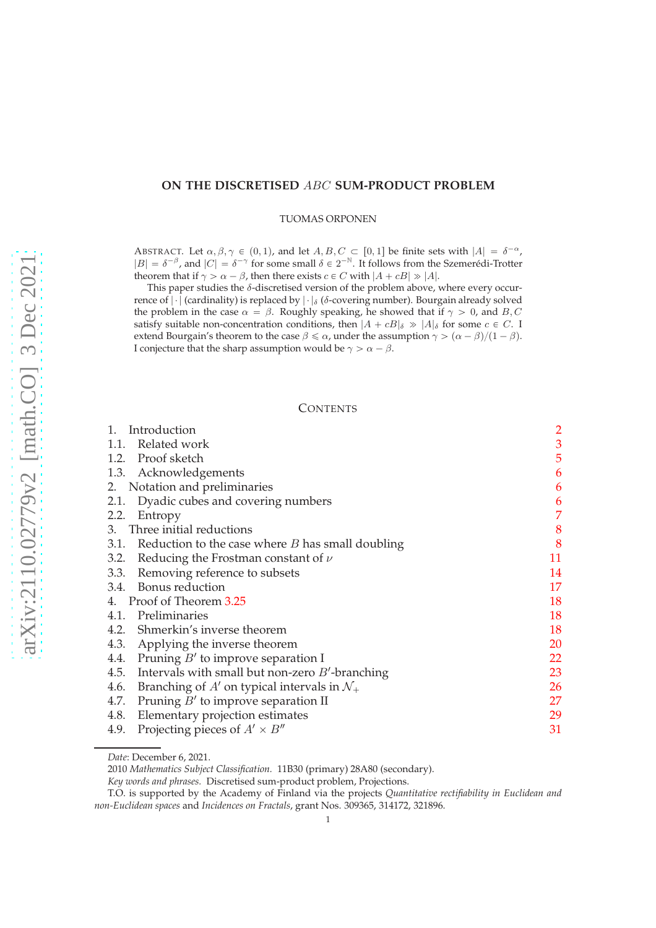# **ON THE DISCRETISED** ABC **SUM-PRODUCT PROBLEM**

TUOMAS ORPONEN

ABSTRACT. Let  $\alpha, \beta, \gamma \in (0, 1)$ , and let  $A, B, C \subset [0, 1]$  be finite sets with  $|A| = \delta^{-\alpha}$ ,  $|B| = \delta^{-\beta}$ , and  $|C| = \delta^{-\gamma}$  for some small  $\delta \in 2^{-\mathbb{N}}$ . It follows from the Szemerédi-Trotter theorem that if  $\gamma > \alpha - \beta$ , then there exists  $c \in C$  with  $|A + cB| \gg |A|$ .

This paper studies the  $\delta$ -discretised version of the problem above, where every occurrence of  $|\cdot|$  (cardinality) is replaced by  $|\cdot|_{\delta}$  ( $\delta$ -covering number). Bourgain already solved the problem in the case  $\alpha = \beta$ . Roughly speaking, he showed that if  $\gamma > 0$ , and B, C satisfy suitable non-concentration conditions, then  $|A + cB|_{\delta} \gg |A|_{\delta}$  for some  $c \in C$ . I extend Bourgain's theorem to the case  $\beta \le \alpha$ , under the assumption  $\gamma > (\alpha - \beta)/(1 - \beta)$ . I conjecture that the sharp assumption would be  $\gamma > \alpha - \beta$ .

# **CONTENTS**

| Introduction<br>1.                                              | $\overline{c}$ |
|-----------------------------------------------------------------|----------------|
| Related work<br>1.1.                                            | 3              |
| 1.2. Proof sketch                                               | 5              |
| 1.3. Acknowledgements                                           | 6              |
| 2. Notation and preliminaries                                   | 6              |
| 2.1. Dyadic cubes and covering numbers                          | 6              |
| 2.2.<br>Entropy                                                 | 7              |
| 3. Three initial reductions                                     | 8              |
| Reduction to the case where $B$ has small doubling<br>3.1.      | 8              |
| Reducing the Frostman constant of $\nu$<br>3.2.                 | 11             |
| Removing reference to subsets<br>3.3.                           | 14             |
| 3.4. Bonus reduction                                            | 17             |
| 4. Proof of Theorem 3.25                                        | 18             |
| 4.1. Preliminaries                                              | 18             |
| 4.2. Shmerkin's inverse theorem                                 | 18             |
| 4.3.<br>Applying the inverse theorem                            | 20             |
| 4.4. Pruning $B'$ to improve separation I                       | 22             |
| 4.5. Intervals with small but non-zero $B'$ -branching          | 23             |
| Branching of A' on typical intervals in $\mathcal{N}_+$<br>4.6. | 26             |
| Pruning $B'$ to improve separation II<br>4.7.                   | 27             |
| Elementary projection estimates<br>4.8.                         | 29             |
| Projecting pieces of $A' \times B''$<br>4.9.                    | 31             |
|                                                                 |                |

*Date*: December 6, 2021.

<sup>2010</sup> *Mathematics Subject Classification.* 11B30 (primary) 28A80 (secondary).

*Key words and phrases.* Discretised sum-product problem, Projections.

T.O. is supported by the Academy of Finland via the projects *Quantitative rectifiability in Euclidean and non-Euclidean spaces* and *Incidences on Fractals*, grant Nos. 309365, 314172, 321896.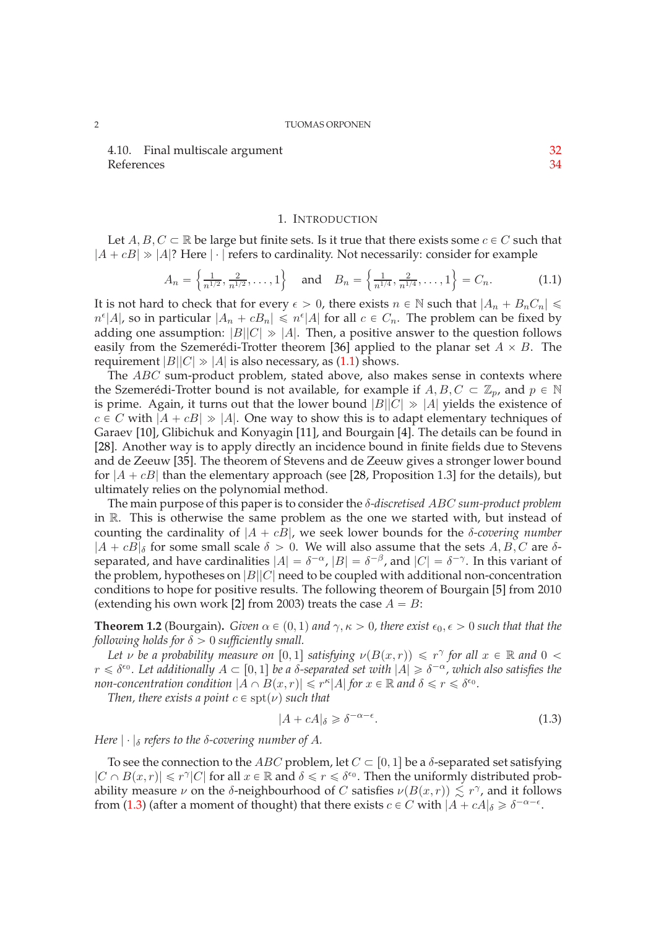4.10. Final multiscale argument [32](#page-31-0) References [34](#page-33-0)

# 1. INTRODUCTION

<span id="page-1-0"></span>Let  $A, B, C \subset \mathbb{R}$  be large but finite sets. Is it true that there exists some  $c \in C$  such that  $|A + cB| \gg |A|$ ? Here  $|\cdot|$  refers to cardinality. Not necessarily: consider for example

<span id="page-1-1"></span>
$$
A_n = \left\{ \frac{1}{n^{1/2}}, \frac{2}{n^{1/2}}, \dots, 1 \right\} \quad \text{and} \quad B_n = \left\{ \frac{1}{n^{1/4}}, \frac{2}{n^{1/4}}, \dots, 1 \right\} = C_n. \tag{1.1}
$$

It is not hard to check that for every  $\epsilon > 0$ , there exists  $n \in \mathbb{N}$  such that  $|A_n + B_nC_n| \leq$  $n^{\epsilon} |A|$ , so in particular  $|A_n + cB_n| \leq n^{\epsilon} |A|$  for all  $c \in C_n$ . The problem can be fixed by adding one assumption:  $|B||C| \gg |A|$ . Then, a positive answer to the question follows easily from the Szemerédi-Trotter theorem [\[36\]](#page-34-0) applied to the planar set  $A \times B$ . The requirement  $|B||C| \gg |A|$  is also necessary, as [\(1.1\)](#page-1-1) shows.

The ABC sum-product problem, stated above, also makes sense in contexts where the Szemerédi-Trotter bound is not available, for example if  $A, B, C \subset \mathbb{Z}_p$ , and  $p \in \mathbb{N}$ is prime. Again, it turns out that the lower bound  $|B||C| \gg |A|$  yields the existence of  $c \in C$  with  $|A + cB| \gg |A|$ . One way to show this is to adapt elementary techniques of Garaev [\[10\]](#page-34-1), Glibichuk and Konyagin [\[11\]](#page-34-2), and Bourgain [\[4\]](#page-33-1). The details can be found in [\[28\]](#page-34-3). Another way is to apply directly an incidence bound in finite fields due to Stevens and de Zeeuw [\[35\]](#page-34-4). The theorem of Stevens and de Zeeuw gives a stronger lower bound for  $|A + cB|$  than the elementary approach (see [\[28,](#page-34-3) Proposition 1.3] for the details), but ultimately relies on the polynomial method.

The main purpose of this paper is to consider the δ*-discretised* ABC *sum-product problem* in R. This is otherwise the same problem as the one we started with, but instead of counting the cardinality of  $|A + cB|$ , we seek lower bounds for the *δ-covering number*  $|A + cB|_{\delta}$  for some small scale  $\delta > 0$ . We will also assume that the sets A, B, C are  $\delta$ separated, and have cardinalities  $|A| = \delta^{-\alpha}$ ,  $|B| = \delta^{-\beta}$ , and  $|C| = \delta^{-\gamma}$ . In this variant of the problem, hypotheses on  $|B||C|$  need to be coupled with additional non-concentration conditions to hope for positive results. The following theorem of Bourgain [\[5\]](#page-33-2) from 2010 (extending his own work [\[2\]](#page-33-3) from 2003) treats the case  $A = B$ :

<span id="page-1-3"></span>**Theorem 1.2** (Bourgain). *Given*  $\alpha \in (0, 1)$  *and*  $\gamma$ ,  $\kappa > 0$ , *there exist*  $\epsilon_0$ ,  $\epsilon > 0$  *such that that the following holds for*  $\delta > 0$  *sufficiently small.* 

*Let*  $\nu$  *be a probability measure on* [0, 1] *satisfying*  $\nu(B(x,r)) \leq r^{\gamma}$  *for all*  $x \in \mathbb{R}$  *and*  $0 <$  $r \leq \delta^{\epsilon_0}$ . Let additionally  $A \subset [0,1]$  be a  $\delta$ -separated set with  $|A| \geq \delta^{-\alpha}$ , which also satisfies the *non-concentration condition*  $|A \cap B(x,r)| \leq r^{\kappa} |A|$  *for*  $x \in \mathbb{R}$  *and*  $\delta \leq r \leq \delta^{\epsilon_0}$ *.* 

*Then, there exists a point*  $c \in \text{spt}(\nu)$  *such that* 

<span id="page-1-2"></span>
$$
|A + cA|_{\delta} \geq \delta^{-\alpha - \epsilon}.\tag{1.3}
$$

*Here*  $|\cdot|_{\delta}$  *refers to the*  $\delta$ *-covering number of A.* 

To see the connection to the *ABC* problem, let  $C \subset [0, 1]$  be a  $\delta$ -separated set satisfying  $|C \cap B(x,r)| \leq r^{\gamma} |C|$  for all  $x \in \mathbb{R}$  and  $\delta \leq r \leq \delta^{\epsilon_0}$ . Then the uniformly distributed probability measure  $\nu$  on the  $\delta$ -neighbourhood of C satisfies  $\nu(B(x,r)) \lesssim r^{\gamma}$ , and it follows from [\(1.3\)](#page-1-2) (after a moment of thought) that there exists  $c \in C$  with  $|A + cA|_{\delta} \geq \delta^{-\alpha - \epsilon}$ .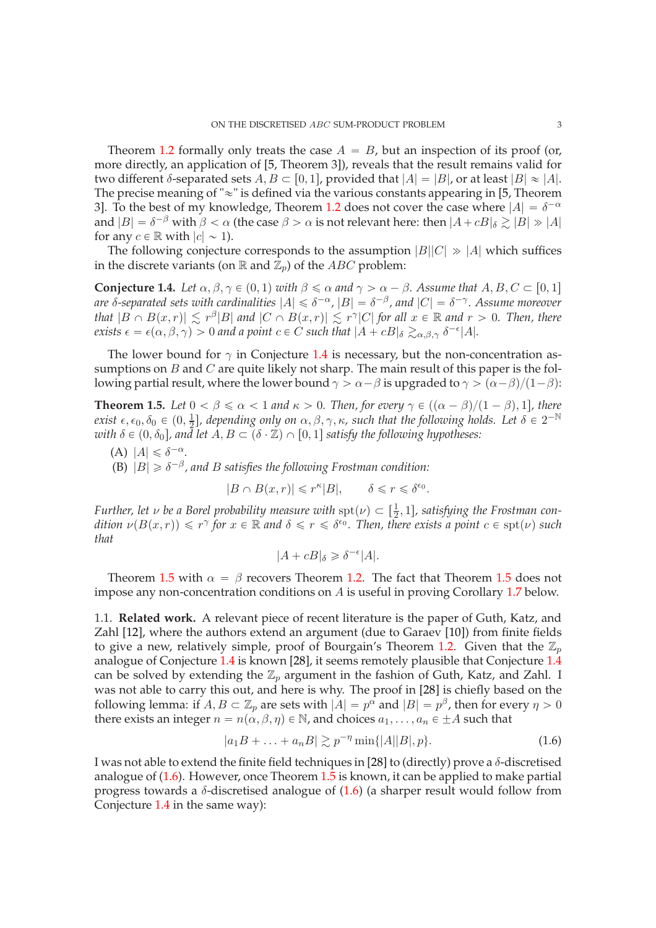Theorem [1.2](#page-1-3) formally only treats the case  $A = B$ , but an inspection of its proof (or, more directly, an application of [\[5,](#page-33-2) Theorem 3]), reveals that the result remains valid for two different δ-separated sets  $A, B \subset [0, 1]$ , provided that  $|A| = |B|$ , or at least  $|B| \approx |A|$ . The precise meaning of " $\approx$ " is defined via the various constants appearing in [\[5,](#page-33-2) Theorem 3]. To the best of my knowledge, Theorem [1.2](#page-1-3) does not cover the case where  $|A| = \delta^{-\alpha}$ and  $|B| = \delta^{-\beta}$  with  $\beta < \alpha$  (the case  $\beta > \alpha$  is not relevant here: then  $|A + cB|_{\delta} \gtrsim |B| \gg |A|$ for any  $c \in \mathbb{R}$  with  $|c| \sim 1$ ).

The following conjecture corresponds to the assumption  $|B||C| \gg |A|$  which suffices in the discrete variants (on  $\mathbb R$  and  $\mathbb{Z}_p$ ) of the ABC problem:

<span id="page-2-1"></span>**Conjecture 1.4.** *Let*  $\alpha, \beta, \gamma \in (0, 1)$  *with*  $\beta \le \alpha$  *and*  $\gamma > \alpha - \beta$ *. Assume that*  $A, B, C \subset [0, 1]$ *are*  $\delta$ -separated sets with cardinalities  $|A| \leq \delta^{-\alpha}$ ,  $|B| = \delta^{-\beta}$ , and  $|C| = \delta^{-\gamma}$ . Assume moreover *that*  $|B \cap B(x,r)| \lesssim r^{\beta} |B|$  and  $|C \cap B(x,r)| \lesssim r^{\gamma} |C|$  for all  $x \in \mathbb{R}$  and  $r > 0$ . Then, there  $exists \epsilon = \epsilon(\alpha, \beta, \gamma) > 0$  and a point  $c \in C$  such that  $|A + cB|_{\delta} \gtrsim_{\alpha, \beta, \gamma} \delta^{-\epsilon} |A|$ .

The lower bound for  $\gamma$  in Conjecture [1.4](#page-2-1) is necessary, but the non-concentration assumptions on  $B$  and  $C$  are quite likely not sharp. The main result of this paper is the following partial result, where the lower bound  $\gamma > \alpha - \beta$  is upgraded to  $\gamma > (\alpha - \beta)/(1 - \beta)$ :

<span id="page-2-2"></span>**Theorem 1.5.** *Let*  $0 < \beta \le \alpha < 1$  *and*  $\kappa > 0$ *. Then, for every*  $\gamma \in ((\alpha - \beta)/(1 - \beta), 1]$ *, there exist*  $\epsilon$ ,  $\epsilon_0$ ,  $\delta_0 \in (0, \frac{1}{2})$  $\frac{1}{2}$ ], depending only on  $\alpha, \beta, \gamma, \kappa$ , such that the following holds. Let  $\delta \in 2^{-\mathbb{N}}$ *with*  $\delta \in (0, \delta_0]$ , and let  $A, B \subset (\delta \cdot \mathbb{Z}) \cap [0, 1]$  *satisfy the following hypotheses:* 

(A)  $|A| \leq \delta^{-\alpha}$ .

(B)  $|B| \geq \delta^{-\beta}$ , and *B* satisfies the following Frostman condition:

$$
|B \cap B(x,r)| \leqslant r^{\kappa} |B|, \qquad \delta \leqslant r \leqslant \delta^{\epsilon_0}.
$$

*Further, let*  $\nu$  *be a Borel probability measure with*  $\text{spt}(\nu) \subset \left[\frac{1}{2}, 1\right]$ *, satisfying the Frostman condition*  $\nu(B(x,r)) \leq r^{\gamma}$  for  $x \in \mathbb{R}$  and  $\delta \leq r \leq \delta^{\epsilon_0}$ . Then, there exists a point  $c \in \text{spt}(\nu)$  such *that*

$$
|A + cB|_{\delta} \geqslant \delta^{-\epsilon}|A|.
$$

Theorem [1.5](#page-2-2) with  $\alpha = \beta$  recovers Theorem [1.2.](#page-1-3) The fact that Theorem 1.5 does not impose any non-concentration conditions on A is useful in proving Corollary [1.7](#page-3-0) below.

<span id="page-2-0"></span>1.1. **Related work.** A relevant piece of recent literature is the paper of Guth, Katz, and Zahl [\[12\]](#page-34-5), where the authors extend an argument (due to Garaev [\[10\]](#page-34-1)) from finite fields to give a new, relatively simple, proof of Bourgain's Theorem [1.2.](#page-1-3) Given that the  $\mathbb{Z}_p$ analogue of Conjecture [1.4](#page-2-1) is known [\[28\]](#page-34-3), it seems remotely plausible that Conjecture [1.4](#page-2-1) can be solved by extending the  $\mathbb{Z}_p$  argument in the fashion of Guth, Katz, and Zahl. I was not able to carry this out, and here is why. The proof in [\[28\]](#page-34-3) is chiefly based on the following lemma: if  $A, B \subset \mathbb{Z}_p$  are sets with  $|A| = p^{\alpha}$  and  $|B| = p^{\beta}$ , then for every  $\eta > 0$ there exists an integer  $n = n(\alpha, \beta, \eta) \in \mathbb{N}$ , and choices  $a_1, \dots, a_n \in \pm A$  such that

<span id="page-2-3"></span>
$$
|a_1B + \ldots + a_nB| \gtrsim p^{-\eta} \min\{|A||B|, p\}.
$$
 (1.6)

I was not able to extend the finite field techniques in [\[28\]](#page-34-3) to (directly) prove a  $\delta$ -discretised analogue of  $(1.6)$ . However, once Theorem  $1.5$  is known, it can be applied to make partial progress towards a  $\delta$ -discretised analogue of [\(1.6\)](#page-2-3) (a sharper result would follow from Conjecture [1.4](#page-2-1) in the same way):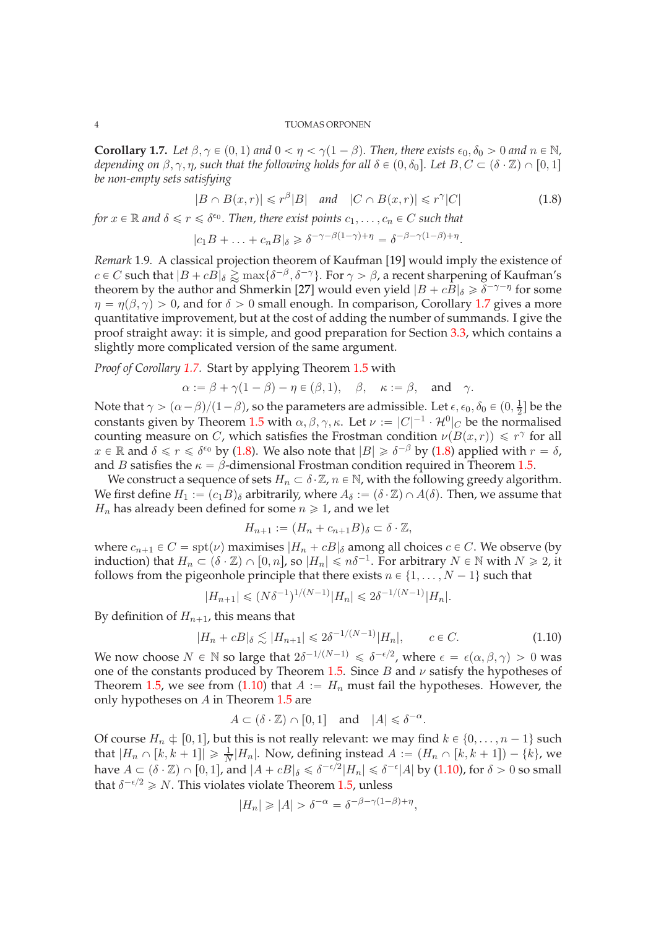<span id="page-3-0"></span>**Corollary 1.7.** *Let*  $\beta, \gamma \in (0, 1)$  *and*  $0 < \eta < \gamma(1 - \beta)$ *. Then, there exists*  $\epsilon_0, \delta_0 > 0$  *and*  $n \in \mathbb{N}$ *, depending on*  $\beta$ ,  $\gamma$ ,  $\eta$ , such that the following holds for all  $\delta \in (0, \delta_0]$ . Let  $B, C \subset (\delta \cdot \mathbb{Z}) \cap [0, 1]$ *be non-empty sets satisfying*

<span id="page-3-1"></span>
$$
|B \cap B(x,r)| \leq r^{\beta}|B| \quad \text{and} \quad |C \cap B(x,r)| \leq r^{\gamma}|C| \tag{1.8}
$$

*for*  $x \in \mathbb{R}$  and  $\delta \leq r \leq \delta^{\epsilon_0}$ . Then, there exist points  $c_1, \ldots, c_n \in C$  such that

$$
|c_1B + \ldots + c_nB|_{\delta} \geq \delta^{-\gamma - \beta(1-\gamma)+\eta} = \delta^{-\beta - \gamma(1-\beta)+\eta}.
$$

*Remark* 1.9*.* A classical projection theorem of Kaufman [\[19\]](#page-34-6) would imply the existence of  $c \in C$  such that  $|B + cB|_{\delta} \gtrapprox \max\{\delta^{-\beta}, \delta^{-\gamma}\}\$ . For  $\gamma > \beta$ , a recent sharpening of Kaufman's theorem by the author and Shmerkin [\[27\]](#page-34-7) would even yield  $|B + cB|_{\delta} \ge \delta^{-\gamma - \eta}$  for some  $\eta = \eta(\beta, \gamma) > 0$ , and for  $\delta > 0$  small enough. In comparison, Corollary [1.7](#page-3-0) gives a more quantitative improvement, but at the cost of adding the number of summands. I give the proof straight away: it is simple, and good preparation for Section [3.3,](#page-13-0) which contains a slightly more complicated version of the same argument.

*Proof of Corollary [1.7.](#page-3-0)* Start by applying Theorem [1.5](#page-2-2) with

$$
\alpha := \beta + \gamma(1 - \beta) - \eta \in (\beta, 1), \quad \beta, \quad \kappa := \beta, \quad \text{and} \quad \gamma.
$$

Note that  $\gamma > (\alpha - \beta)/(1 - \beta)$ , so the parameters are admissible. Let  $\epsilon, \epsilon_0, \delta_0 \in (0, \frac{1}{2})$  $\frac{1}{2}$  be the constants given by Theorem [1.5](#page-2-2) with  $\alpha, \beta, \gamma, \kappa$ . Let  $\nu := |C|^{-1} \cdot \mathcal{H}^0|_C$  be the normalised counting measure on C, which satisfies the Frostman condition  $\nu(B(x,r)) \leq r^{\gamma}$  for all  $x \in \mathbb{R}$  and  $\delta \leq r \leq \delta^{\epsilon_0}$  by [\(1.8\)](#page-3-1). We also note that  $|B| \geq \delta^{-\beta}$  by (1.8) applied with  $r = \delta$ , and B satisfies the  $\kappa = \beta$ -dimensional Frostman condition required in Theorem [1.5.](#page-2-2)

We construct a sequence of sets  $H_n \subset \delta \cdot \mathbb{Z}$ ,  $n \in \mathbb{N}$ , with the following greedy algorithm. We first define  $H_1 := (c_1B)_{\delta}$  arbitrarily, where  $A_{\delta} := (\delta \cdot \mathbb{Z}) \cap A(\delta)$ . Then, we assume that  $H_n$  has already been defined for some  $n \geq 1$ , and we let

$$
H_{n+1} := (H_n + c_{n+1}B)_{\delta} \subset \delta \cdot \mathbb{Z},
$$

where  $c_{n+1} \in C = spt(\nu)$  maximises  $|H_n + cB|_{\delta}$  among all choices  $c \in C$ . We observe (by induction) that  $H_n \subset (\delta \cdot \mathbb{Z}) \cap [0, n]$ , so  $|H_n| \leq n\delta^{-1}$ . For arbitrary  $N \in \mathbb{N}$  with  $N \geq 2$ , it follows from the pigeonhole principle that there exists  $n \in \{1, \ldots, N - 1\}$  such that

$$
|H_{n+1}| \le (N\delta^{-1})^{1/(N-1)}|H_n| \le 2\delta^{-1/(N-1)}|H_n|.
$$

By definition of  $H_{n+1}$ , this means that

<span id="page-3-2"></span>
$$
|H_n + cB|_{\delta} \lesssim |H_{n+1}| \le 2\delta^{-1/(N-1)}|H_n|, \qquad c \in C. \tag{1.10}
$$

,

We now choose  $N \in \mathbb{N}$  so large that  $2\delta^{-1/(N-1)} \leq \delta^{-\epsilon/2}$ , where  $\epsilon = \epsilon(\alpha, \beta, \gamma) > 0$  was one of the constants produced by Theorem [1.5.](#page-2-2) Since  $B$  and  $\nu$  satisfy the hypotheses of Theorem [1.5,](#page-2-2) we see from [\(1.10\)](#page-3-2) that  $A := H_n$  must fail the hypotheses. However, the only hypotheses on  $A$  in Theorem [1.5](#page-2-2) are

$$
A\subset (\delta\cdot \mathbb{Z})\cap [0,1] \quad \text{and} \quad |A|\leqslant \delta^{-\alpha}.
$$

Of course  $H_n \n\in [0, 1]$ , but this is not really relevant: we may find  $k \in \{0, \ldots, n - 1\}$  such that  $|H_n \cap [k, k + 1]| \ge \frac{1}{N}|H_n|$ . Now, defining instead  $A := (H_n \cap [k, k + 1]) - \{k\}$ , we have  $A \subset (\delta \cdot \mathbb{Z}) \cap [0, 1]$ , and  $|A + cB|_{\delta} \leq \delta^{-\epsilon/2} |H_n| \leq \delta^{-\epsilon} |A|$  by [\(1.10\)](#page-3-2), for  $\delta > 0$  so small that  $\delta^{-\epsilon/2} \geq N$ . This violates violate Theorem [1.5,](#page-2-2) unless

$$
|H_n| \geq |A| > \delta^{-\alpha} = \delta^{-\beta - \gamma(1-\beta) + \eta}
$$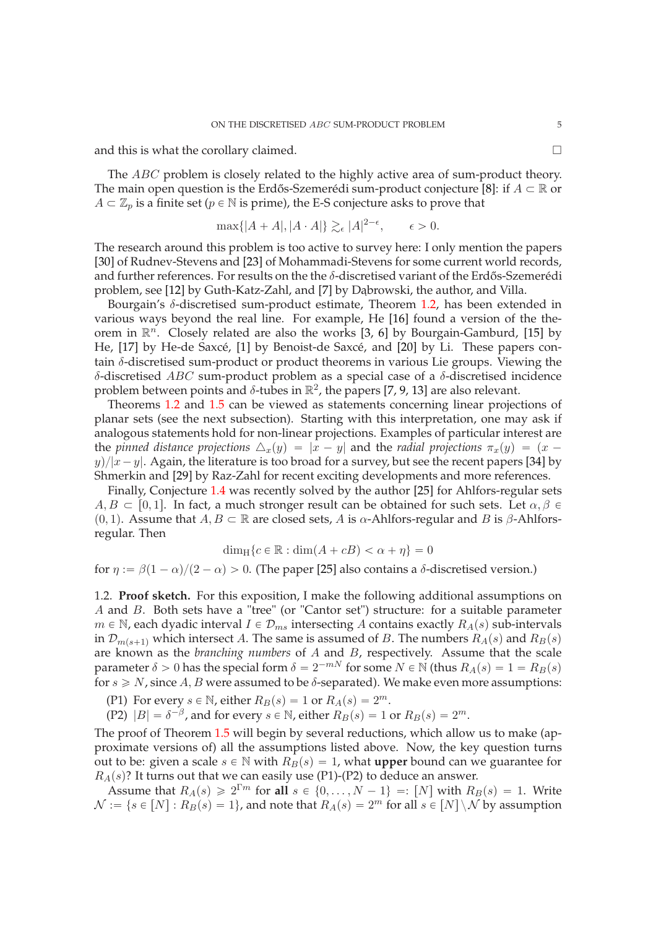and this is what the corollary claimed.

The *ABC* problem is closely related to the highly active area of sum-product theory. The main open question is the Erdős-Szemerédi sum-product conjecture [\[8\]](#page-34-8): if  $A \subset \mathbb{R}$  or  $A \subset \mathbb{Z}_p$  is a finite set ( $p \in \mathbb{N}$  is prime), the E-S conjecture asks to prove that

$$
\max\{|A+A|, |A\cdot A|\} \gtrsim_{\epsilon} |A|^{2-\epsilon}, \qquad \epsilon > 0.
$$

The research around this problem is too active to survey here: I only mention the papers [\[30\]](#page-34-9) of Rudnev-Stevens and [\[23\]](#page-34-10) of Mohammadi-Stevens for some current world records, and further references. For results on the the  $\delta$ -discretised variant of the Erdős-Szemerédi problem, see [\[12\]](#page-34-5) by Guth-Katz-Zahl, and [\[7\]](#page-33-4) by Dabrowski, the author, and Villa.

Bourgain's  $\delta$ -discretised sum-product estimate, Theorem [1.2,](#page-1-3) has been extended in various ways beyond the real line. For example, He [\[16\]](#page-34-11) found a version of the theorem in  $\mathbb{R}^n$ . Closely related are also the works [\[3,](#page-33-5) [6\]](#page-33-6) by Bourgain-Gamburd, [\[15\]](#page-34-12) by He, [\[17\]](#page-34-13) by He-de Saxcé, [\[1\]](#page-33-7) by Benoist-de Saxcé, and [\[20\]](#page-34-14) by Li. These papers contain  $\delta$ -discretised sum-product or product theorems in various Lie groups. Viewing the δ-discretised ABC sum-product problem as a special case of a δ-discretised incidence problem between points and  $\delta$ -tubes in  $\mathbb{R}^2$ , the papers [\[7,](#page-33-4) [9,](#page-34-15) [13\]](#page-34-16) are also relevant.

Theorems [1.2](#page-1-3) and [1.5](#page-2-2) can be viewed as statements concerning linear projections of planar sets (see the next subsection). Starting with this interpretation, one may ask if analogous statements hold for non-linear projections. Examples of particular interest are the *pinned distance projections*  $\Delta_x(y) = |x - y|$  and the *radial projections*  $\pi_x(y) = (x - y)$  $y$ / $|x-y|$ . Again, the literature is too broad for a survey, but see the recent papers [\[34\]](#page-34-17) by Shmerkin and [\[29\]](#page-34-18) by Raz-Zahl for recent exciting developments and more references.

Finally, Conjecture [1.4](#page-2-1) was recently solved by the author [\[25\]](#page-34-19) for Ahlfors-regular sets  $A, B \subset [0, 1]$ . In fact, a much stronger result can be obtained for such sets. Let  $\alpha, \beta \in$ (0, 1). Assume that  $A, B \subset \mathbb{R}$  are closed sets, A is  $\alpha$ -Ahlfors-regular and B is  $\beta$ -Ahlforsregular. Then

$$
\dim_{\mathrm{H}}\{c \in \mathbb{R} : \dim(A + cB) < \alpha + \eta\} = 0
$$

for  $\eta := \beta(1 - \alpha)/(2 - \alpha) > 0$ . (The paper [\[25\]](#page-34-19) also contains a δ-discretised version.)

<span id="page-4-0"></span>1.2. **Proof sketch.** For this exposition, I make the following additional assumptions on A and B. Both sets have a "tree" (or "Cantor set") structure: for a suitable parameter  $m \in \mathbb{N}$ , each dyadic interval  $I \in \mathcal{D}_{ms}$  intersecting A contains exactly  $R_A(s)$  sub-intervals in  $\mathcal{D}_{m(s+1)}$  which intersect A. The same is assumed of B. The numbers  $R_A(s)$  and  $R_B(s)$ are known as the *branching numbers* of A and B, respectively. Assume that the scale parameter  $\delta > 0$  has the special form  $\delta = 2^{-mN}$  for some  $N \in \mathbb{N}$  (thus  $R_A(s) = 1 = R_B(s)$ for  $s \ge N$ , since A, B were assumed to be  $\delta$ -separated). We make even more assumptions:

(P1) For every  $s \in \mathbb{N}$ , either  $R_B(s) = 1$  or  $R_A(s) = 2^m$ .

(P2)  $|B| = \delta^{-\beta}$ , and for every  $s \in \mathbb{N}$ , either  $R_B(s) = 1$  or  $R_B(s) = 2^m$ .

The proof of Theorem [1.5](#page-2-2) will begin by several reductions, which allow us to make (approximate versions of) all the assumptions listed above. Now, the key question turns out to be: given a scale  $s \in \mathbb{N}$  with  $R_B(s) = 1$ , what **upper** bound can we guarantee for  $R_A(s)$ ? It turns out that we can easily use (P1)-(P2) to deduce an answer.

Assume that  $R_A(s) \ge 2^{\Gamma m}$  for all  $s \in \{0, ..., N-1\} =: [N]$  with  $R_B(s) = 1$ . Write  $\mathcal{N} := \{s \in [N]: R_B(s) = 1\}$ , and note that  $R_A(s) = 2^m$  for all  $s \in [N] \setminus \mathcal{N}$  by assumption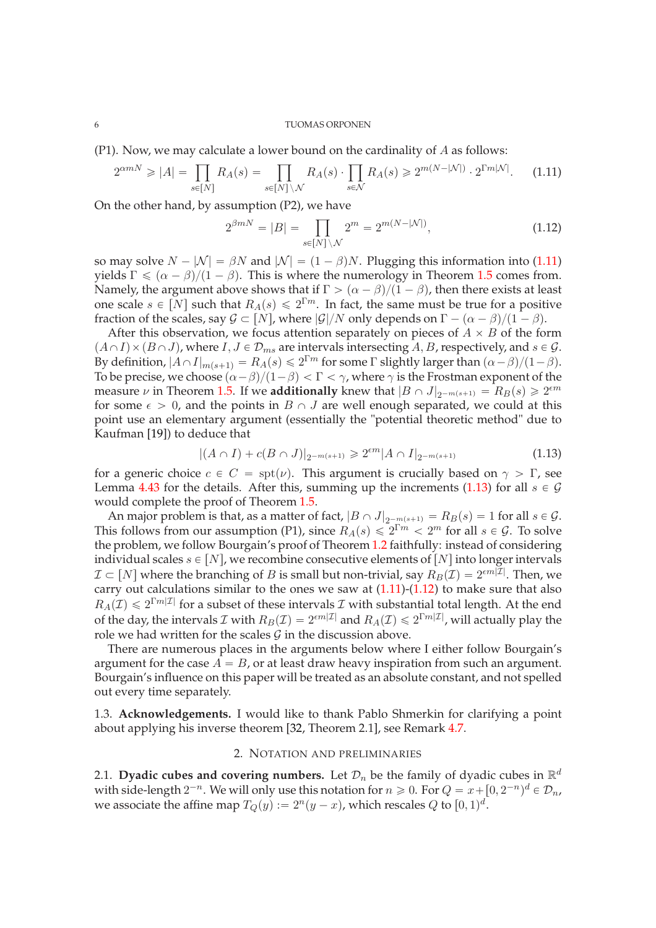(P1). Now, we may calculate a lower bound on the cardinality of  $A$  as follows:

<span id="page-5-3"></span>
$$
2^{\alpha m N} \geqslant |A| = \prod_{s \in [N]} R_A(s) = \prod_{s \in [N] \setminus \mathcal{N}} R_A(s) \cdot \prod_{s \in \mathcal{N}} R_A(s) \geqslant 2^{m(N - |\mathcal{N}|)} \cdot 2^{\Gamma m |\mathcal{N}|}. \tag{1.11}
$$

On the other hand, by assumption (P2), we have

<span id="page-5-5"></span>
$$
2^{\beta mN} = |B| = \prod_{s \in [N] \setminus \mathcal{N}} 2^m = 2^{m(N - |\mathcal{N}|)},\tag{1.12}
$$

so may solve  $N - |N| = \beta N$  and  $|N| = (1 - \beta)N$ . Plugging this information into [\(1.11\)](#page-5-3) yields  $\Gamma \leq (\alpha - \beta)/(1 - \beta)$ . This is where the numerology in Theorem [1.5](#page-2-2) comes from. Namely, the argument above shows that if  $\Gamma > (\alpha - \beta)/(\overline{1} - \beta)$ , then there exists at least one scale  $s \in [N]$  such that  $R_A(s) \leq 2^{\Gamma m}$ . In fact, the same must be true for a positive fraction of the scales, say  $G \subset [N]$ , where  $|G|/N$  only depends on  $\Gamma - (\alpha - \beta)/(1 - \beta)$ .

After this observation, we focus attention separately on pieces of  $A \times B$  of the form  $(A \cap I) \times (B \cap J)$ , where  $I, J \in \mathcal{D}_{ms}$  are intervals intersecting A, B, respectively, and  $s \in \mathcal{G}$ . By definition,  $|A \cap I|_{m(s+1)} = R_A(s) \leq 2^{\Gamma m}$  for some  $\Gamma$  slightly larger than  $(\alpha - \beta)/(1 - \beta)$ . To be precise, we choose  $(\alpha - \beta)/(1 - \beta) < \Gamma < \gamma$ , where  $\gamma$  is the Frostman exponent of the measure  $\nu$  in Theorem [1.5.](#page-2-2) If we **additionally** knew that  $|B \cap J|_{2^{-m(s+1)}} = R_B(s) \ge 2^{\epsilon m}$ for some  $\epsilon > 0$ , and the points in  $B \cap J$  are well enough separated, we could at this point use an elementary argument (essentially the "potential theoretic method" due to Kaufman [\[19\]](#page-34-6)) to deduce that

<span id="page-5-4"></span>
$$
|(A \cap I) + c(B \cap J)|_{2^{-m(s+1)}} \geq 2^{\epsilon m} |A \cap I|_{2^{-m(s+1)}} \tag{1.13}
$$

for a generic choice  $c \in C = \text{spt}(\nu)$ . This argument is crucially based on  $\gamma > \Gamma$ , see Lemma [4.43](#page-28-1) for the details. After this, summing up the increments [\(1.13\)](#page-5-4) for all  $s \in \mathcal{G}$ would complete the proof of Theorem [1.5.](#page-2-2)

An major problem is that, as a matter of fact,  $|B \cap J|_{2^{-m(s+1)}} = R_B(s) = 1$  for all  $s \in \mathcal{G}$ . This follows from our assumption (P1), since  $R_A(s) \leq 2^{\Gamma m} < 2^m$  for all  $s \in \mathcal{G}$ . To solve the problem, we follow Bourgain's proof of Theorem [1.2](#page-1-3) faithfully: instead of considering individual scales  $s \in [N]$ , we recombine consecutive elements of  $[N]$  into longer intervals  $\mathcal{I} \subset [N]$  where the branching of B is small but non-trivial, say  $R_B(\mathcal{I}) = 2^{\epsilon m |\mathcal{I}|}$ . Then, we carry out calculations similar to the ones we saw at  $(1.11)-(1.12)$  $(1.11)-(1.12)$  to make sure that also  $R_A(\mathcal{I}) \leq 2^{\Gamma m |\mathcal{I}|}$  for a subset of these intervals  $\mathcal I$  with substantial total length. At the end of the day, the intervals  $\mathcal I$  with  $R_B(\mathcal I)=2^{\epsilon m|\mathcal I|}$  and  $R_A(\mathcal I)\leqslant 2^{\Gamma m|\mathcal I|}$ , will actually play the role we had written for the scales  $G$  in the discussion above.

There are numerous places in the arguments below where I either follow Bourgain's argument for the case  $A = B$ , or at least draw heavy inspiration from such an argument. Bourgain's influence on this paper will be treated as an absolute constant, and not spelled out every time separately.

<span id="page-5-1"></span><span id="page-5-0"></span>1.3. **Acknowledgements.** I would like to thank Pablo Shmerkin for clarifying a point about applying his inverse theorem [\[32,](#page-34-20) Theorem 2.1], see Remark [4.7.](#page-18-0)

# 2. NOTATION AND PRELIMINARIES

<span id="page-5-2"></span>2.1. Dyadic cubes and covering numbers. Let  $\mathcal{D}_n$  be the family of dyadic cubes in  $\mathbb{R}^d$ with side-length  $2^{-n}$ . We will only use this notation for  $n \geq 0$ . For  $Q = x + [0, 2^{-n})^d \in \mathcal{D}_n$ , we associate the affine map  $T_Q(y) := 2^n(y - x)$ , which rescales  $Q$  to  $[0, 1)^d$ .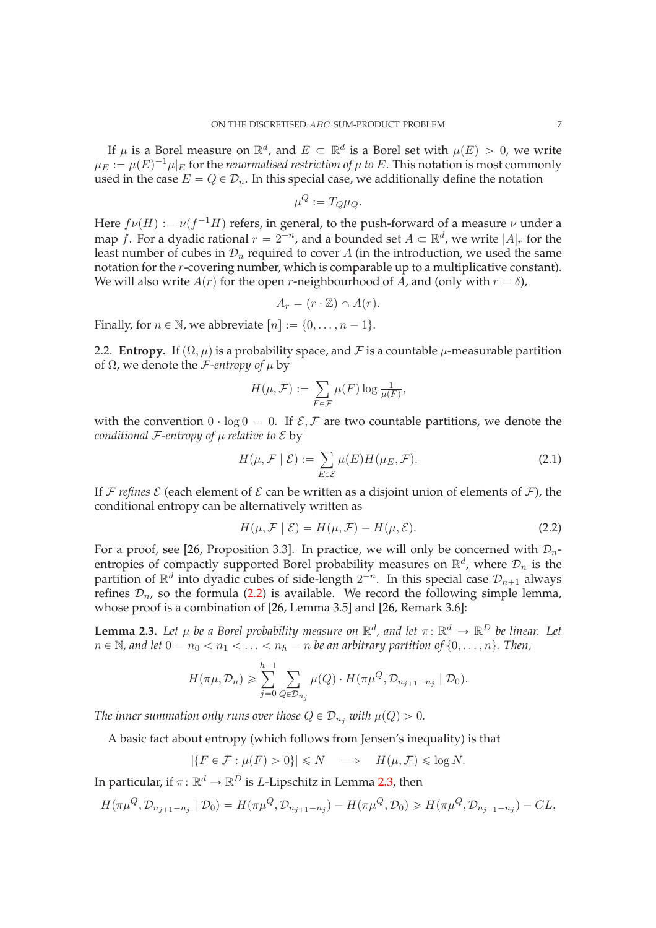If  $\mu$  is a Borel measure on  $\mathbb{R}^d$ , and  $E \subset \mathbb{R}^d$  is a Borel set with  $\mu(E) > 0$ , we write  $\mu_E := \mu(E)^{-1} \mu|_E$  for the *renormalised restriction of*  $\mu$  *to*  $E$ . This notation is most commonly used in the case  $E = Q \in \mathcal{D}_n$ . In this special case, we additionally define the notation

$$
\mu^Q := T_Q \mu_Q.
$$

Here  $f\nu(H) := \nu(f^{-1}H)$  refers, in general, to the push-forward of a measure  $\nu$  under a map f. For a dyadic rational  $r = 2^{-n}$ , and a bounded set  $A \subset \mathbb{R}^d$ , we write  $|A|_r$  for the least number of cubes in  $\mathcal{D}_n$  required to cover A (in the introduction, we used the same notation for the r-covering number, which is comparable up to a multiplicative constant). We will also write  $A(r)$  for the open r-neighbourhood of A, and (only with  $r = \delta$ ),

$$
A_r = (r \cdot \mathbb{Z}) \cap A(r).
$$

Finally, for  $n \in \mathbb{N}$ , we abbreviate  $[n] := \{0, \ldots, n - 1\}.$ 

<span id="page-6-0"></span>2.2. **Entropy.** If  $(\Omega, \mu)$  is a probability space, and F is a countable  $\mu$ -measurable partition of  $\Omega$ , we denote the *F*-entropy of  $\mu$  by

$$
H(\mu, \mathcal{F}) := \sum_{F \in \mathcal{F}} \mu(F) \log \frac{1}{\mu(F)},
$$

with the convention  $0 \cdot \log 0 = 0$ . If  $\mathcal{E}, \mathcal{F}$  are two countable partitions, we denote the *conditional*  $F$ -entropy of  $\mu$  relative to  $\mathcal E$  by

$$
H(\mu, \mathcal{F} \mid \mathcal{E}) := \sum_{E \in \mathcal{E}} \mu(E) H(\mu_E, \mathcal{F}).
$$
\n(2.1)

If F *refines*  $\mathcal E$  (each element of  $\mathcal E$  can be written as a disjoint union of elements of  $\mathcal F$ ), the conditional entropy can be alternatively written as

<span id="page-6-1"></span>
$$
H(\mu, \mathcal{F} \mid \mathcal{E}) = H(\mu, \mathcal{F}) - H(\mu, \mathcal{E}). \tag{2.2}
$$

For a proof, see [\[26,](#page-34-21) Proposition 3.3]. In practice, we will only be concerned with  $\mathcal{D}_n$ entropies of compactly supported Borel probability measures on  $\mathbb{R}^d$ , where  $\mathcal{D}_n$  is the partition of  $\mathbb{R}^d$  into dyadic cubes of side-length  $2^{-n}$ . In this special case  $\mathcal{D}_{n+1}$  always refines  $\mathcal{D}_n$ , so the formula [\(2.2\)](#page-6-1) is available. We record the following simple lemma, whose proof is a combination of [\[26,](#page-34-21) Lemma 3.5] and [\[26,](#page-34-21) Remark 3.6]:

<span id="page-6-2"></span>**Lemma 2.3.** Let  $\mu$  be a Borel probability measure on  $\mathbb{R}^d$ , and let  $\pi \colon \mathbb{R}^d \to \mathbb{R}^D$  be linear. Let  $n \in \mathbb{N}$ , and let  $0 = n_0 < n_1 < \ldots < n_h = n$  be an arbitrary partition of  $\{0, \ldots, n\}$ . Then,

$$
H(\pi\mu, \mathcal{D}_n) \geq \sum_{j=0}^{h-1} \sum_{Q \in \mathcal{D}_{n_j}} \mu(Q) \cdot H(\pi\mu^Q, \mathcal{D}_{n_{j+1}-n_j} | \mathcal{D}_0).
$$

*The inner summation only runs over those*  $Q \in \mathcal{D}_{n_i}$  *with*  $\mu(Q) > 0$ *.* 

A basic fact about entropy (which follows from Jensen's inequality) is that

$$
|\{F \in \mathcal{F} : \mu(F) > 0\}| \le N \implies H(\mu, \mathcal{F}) \le \log N.
$$

In particular, if  $\pi \colon \mathbb{R}^d \to \mathbb{R}^D$  is *L*-Lipschitz in Lemma [2.3,](#page-6-2) then

$$
H(\pi \mu^{Q}, \mathcal{D}_{n_{j+1}-n_j} | \mathcal{D}_0) = H(\pi \mu^{Q}, \mathcal{D}_{n_{j+1}-n_j}) - H(\pi \mu^{Q}, \mathcal{D}_0) \ge H(\pi \mu^{Q}, \mathcal{D}_{n_{j+1}-n_j}) - CL,
$$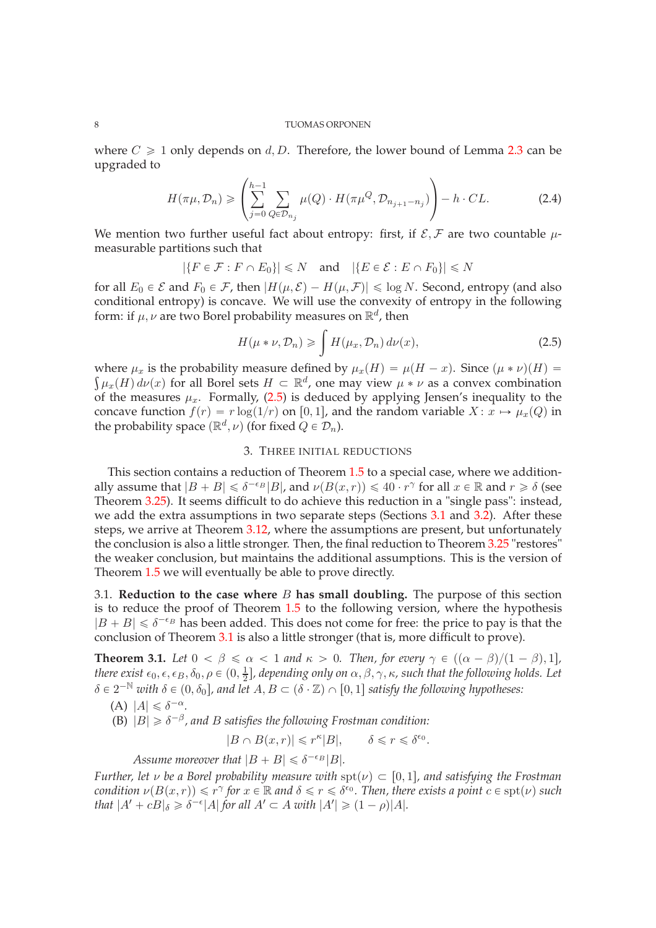where  $C \geq 1$  only depends on d, D. Therefore, the lower bound of Lemma [2.3](#page-6-2) can be upgraded to

<span id="page-7-4"></span>
$$
H(\pi\mu, \mathcal{D}_n) \geqslant \left(\sum_{j=0}^{h-1} \sum_{Q \in \mathcal{D}_{n_j}} \mu(Q) \cdot H(\pi \mu^Q, \mathcal{D}_{n_{j+1}-n_j})\right) - h \cdot CL.
$$
 (2.4)

We mention two further useful fact about entropy: first, if  $\mathcal{E}, \mathcal{F}$  are two countable  $\mu$ measurable partitions such that

$$
|\{F \in \mathcal{F} : F \cap E_0\}| \leq N
$$
 and  $|\{E \in \mathcal{E} : E \cap F_0\}| \leq N$ 

for all  $E_0 \in \mathcal{E}$  and  $F_0 \in \mathcal{F}$ , then  $|H(\mu, \mathcal{E}) - H(\mu, \mathcal{F})| \leq \log N$ . Second, entropy (and also conditional entropy) is concave. We will use the convexity of entropy in the following form: if  $\mu$ ,  $\nu$  are two Borel probability measures on  $\mathbb{R}^d$ , then

<span id="page-7-2"></span>
$$
H(\mu * \nu, \mathcal{D}_n) \ge \int H(\mu_x, \mathcal{D}_n) d\nu(x), \tag{2.5}
$$

where  $\mu_x$  is the probability measure defined by  $\mu_x(H) = \mu(H - x)$ . Since  $(\mu * \nu)(H) =$  $\int \mu_x(H) d\nu(x)$  for all Borel sets  $H \subset \mathbb{R}^d$ , one may view  $\mu * \nu$  as a convex combination of the measures  $\mu_x$ . Formally, [\(2.5\)](#page-7-2) is deduced by applying Jensen's inequality to the concave function  $f(r) = r \log(1/r)$  on [0, 1], and the random variable  $X : x \mapsto \mu_x(Q)$  in the probability space  $(\mathbb{R}^d, \nu)$  (for fixed  $Q \in \mathcal{D}_n$ ).

# 3. THREE INITIAL REDUCTIONS

<span id="page-7-0"></span>This section contains a reduction of Theorem [1.5](#page-2-2) to a special case, where we additionally assume that  $|B + B| \le \delta^{-\epsilon_B} |B|$ , and  $\nu(B(x, r)) \le 40 \cdot r^\gamma$  for all  $x \in \mathbb{R}$  and  $r \ge \delta$  (see Theorem [3.25\)](#page-13-1). It seems difficult to do achieve this reduction in a "single pass": instead, we add the extra assumptions in two separate steps (Sections [3.1](#page-7-1) and [3.2\)](#page-10-0). After these steps, we arrive at Theorem [3.12,](#page-10-1) where the assumptions are present, but unfortunately the conclusion is also a little stronger. Then, the final reduction to Theorem [3.25](#page-13-1) "restores" the weaker conclusion, but maintains the additional assumptions. This is the version of Theorem [1.5](#page-2-2) we will eventually be able to prove directly.

<span id="page-7-1"></span>3.1. **Reduction to the case where** B **has small doubling.** The purpose of this section is to reduce the proof of Theorem [1.5](#page-2-2) to the following version, where the hypothesis  $|B + B| \le \delta^{-\epsilon_B}$  has been added. This does not come for free: the price to pay is that the conclusion of Theorem [3.1](#page-7-3) is also a little stronger (that is, more difficult to prove).

<span id="page-7-3"></span>**Theorem 3.1.** *Let*  $0 < \beta \le \alpha < 1$  *and*  $\kappa > 0$ *. Then, for every*  $\gamma \in ((\alpha - \beta)/(1 - \beta), 1]$ *, there exist*  $\epsilon_0, \epsilon, \epsilon_B, \delta_0, \rho \in (0, \frac{1}{2})$  $\frac{1}{2}$ ], depending only on  $\alpha, \beta, \gamma, \kappa$ , such that the following holds. Let  $\delta \in 2^{-\mathbb{N}}$  with  $\delta \in (0, \delta_0]$ , and let  $A, B \subset (\delta \cdot \mathbb{Z}) \cap [0, 1]$  satisfy the following hypotheses:

$$
(A) |A| \leq \delta^{-\alpha}.
$$

(B)  $|B| \geq \delta^{-\beta}$ , and *B* satisfies the following Frostman condition:

$$
|B \cap B(x,r)| \leq r^{\kappa} |B|, \qquad \delta \leq r \leq \delta^{\epsilon_0}.
$$

Assume moreover that  $|B + B| \leq \delta^{-\epsilon_B} |B|$ .

*Further, let*  $\nu$  *be a Borel probability measure with*  $spt(\nu) \subset [0, 1]$ *, and satisfying the Frostman condition*  $\nu(B(x,r)) \leq r^{\gamma}$  for  $x \in \mathbb{R}$  and  $\delta \leq r \leq \delta^{\epsilon_0}$ . Then, there exists a point  $c \in \text{spt}(\nu)$  such *that*  $|A' + cB|_{\delta} \geq \delta^{-\epsilon} |A|$  *for all*  $A' \subset A$  *with*  $|A'| \geq (1 - \rho)|A|$ *.*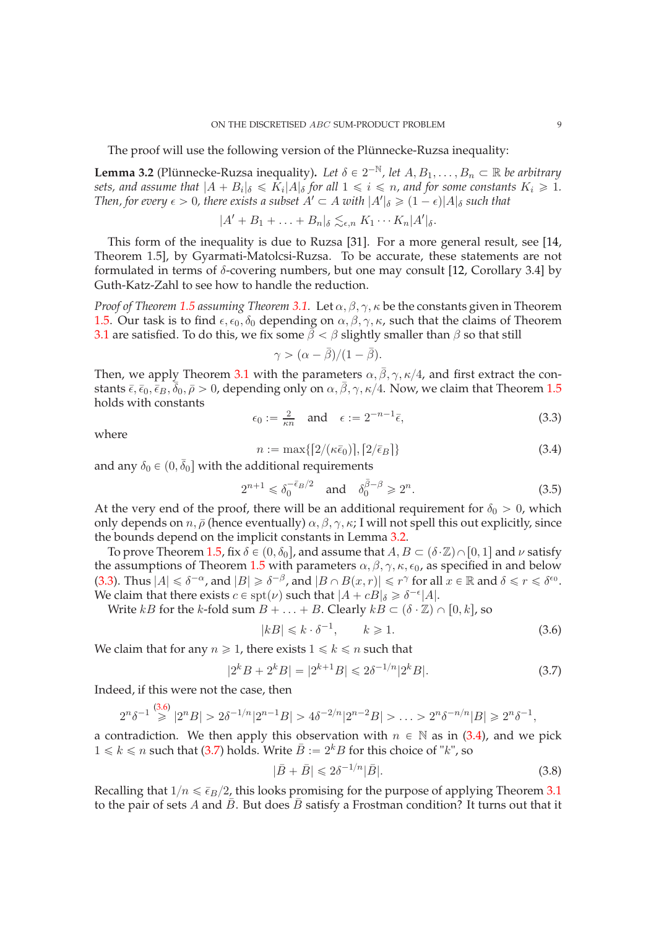The proof will use the following version of the Plünnecke-Ruzsa inequality:

<span id="page-8-0"></span>**Lemma 3.2** (Plünnecke-Ruzsa inequality). Let  $\delta \in 2^{-\mathbb{N}}$ , let  $A, B_1, \ldots, B_n \subset \mathbb{R}$  be arbitrary sets, and assume that  $|A + B_i|_{\delta} \leqslant K_i |A|_{\delta}$  for all  $1 \leqslant i \leqslant n$ , and for some constants  $K_i \geqslant 1$ . *Then, for every*  $\epsilon > 0$ , there exists a subset  $A' \subset A$  with  $|A'|_{\delta} \geq (1 - \epsilon)|A|_{\delta}$  such that

$$
|A' + B_1 + \ldots + B_n|_{\delta} \lesssim_{\epsilon,n} K_1 \cdots K_n |A'|_{\delta}.
$$

This form of the inequality is due to Ruzsa [\[31\]](#page-34-22). For a more general result, see [\[14,](#page-34-23) Theorem 1.5], by Gyarmati-Matolcsi-Ruzsa. To be accurate, these statements are not formulated in terms of δ-covering numbers, but one may consult [\[12,](#page-34-5) Corollary 3.4] by Guth-Katz-Zahl to see how to handle the reduction.

*Proof of Theorem [1.5](#page-2-2) assuming Theorem [3.1.](#page-7-3)* Let α, β, γ, κ be the constants given in Theorem [1.5.](#page-2-2) Our task is to find  $\epsilon, \epsilon_0, \delta_0$  depending on  $\alpha, \beta, \gamma, \kappa$ , such that the claims of Theorem [3.1](#page-7-3) are satisfied. To do this, we fix some  $\bar{\beta} < \beta$  slightly smaller than  $\beta$  so that still

$$
\gamma > (\alpha - \bar{\beta})/(1 - \bar{\beta}).
$$

Then, we apply Theorem [3.1](#page-7-3) with the parameters  $\alpha$ ,  $\bar{\beta}$ ,  $\gamma$ ,  $\kappa/4$ , and first extract the constants  $\bar{\epsilon}$ ,  $\bar{\epsilon}_0$ ,  $\bar{\bar{\epsilon}}_B$ ,  $\bar{\delta}_0$ ,  $\bar{\rho} > 0$ , depending only on  $\alpha$ ,  $\bar{\beta}$ ,  $\gamma$ ,  $\kappa/4$ . Now, we claim that Theorem [1.5](#page-2-2) holds with constants

<span id="page-8-1"></span>
$$
\epsilon_0 := \frac{2}{\kappa n} \quad \text{and} \quad \epsilon := 2^{-n-1}\bar{\epsilon}, \tag{3.3}
$$

where

<span id="page-8-3"></span>
$$
n := \max\{[2/(\kappa \bar{\epsilon}_0)], [2/\bar{\epsilon}_B]\}\tag{3.4}
$$

and any  $\delta_0 \in (0, \bar{\delta}_0]$  with the additional requirements

<span id="page-8-6"></span>
$$
2^{n+1} \leq \delta_0^{-\bar{\epsilon}_B/2} \quad \text{and} \quad \delta_0^{\bar{\beta}-\beta} \geq 2^n. \tag{3.5}
$$

At the very end of the proof, there will be an additional requirement for  $\delta_0 > 0$ , which only depends on  $n, \bar{\rho}$  (hence eventually)  $\alpha, \beta, \gamma, \kappa$ ; I will not spell this out explicitly, since the bounds depend on the implicit constants in Lemma [3.2.](#page-8-0)

To prove Theorem [1.5,](#page-2-2) fix  $\delta \in (0, \delta_0]$ , and assume that  $A, B \subset (\delta \cdot \mathbb{Z}) \cap [0, 1]$  and  $\nu$  satisfy the assumptions of Theorem [1.5](#page-2-2) with parameters  $\alpha$ ,  $\beta$ ,  $\gamma$ ,  $\kappa$ ,  $\epsilon_0$ , as specified in and below [\(3.3\)](#page-8-1). Thus  $|A| \le \delta^{-\alpha}$ , and  $|B| \ge \delta^{-\beta}$ , and  $|B \cap B(x,r)| \le r^{\gamma}$  for all  $x \in \mathbb{R}$  and  $\delta \le r \le \delta^{\epsilon_0}$ . We claim that there exists  $c \in \text{spt}(\nu)$  such that  $|A + cB|_{\delta} \geq \delta^{-\epsilon} |A|$ .

Write kB for the k-fold sum  $B + \ldots + B$ . Clearly  $kB \subset (\delta \cdot \mathbb{Z}) \cap [0, k]$ , so

<span id="page-8-2"></span>
$$
|kB| \le k \cdot \delta^{-1}, \qquad k \ge 1. \tag{3.6}
$$

We claim that for any  $n \ge 1$ , there exists  $1 \le k \le n$  such that

<span id="page-8-4"></span>
$$
|2^{k}B + 2^{k}B| = |2^{k+1}B| \le 2\delta^{-1/n}|2^{k}B|.
$$
 (3.7)

Indeed, if this were not the case, then

$$
2^{n} \delta^{-1} \stackrel{(3.6)}{\geq} |2^{n} B| > 2 \delta^{-1/n} |2^{n-1} B| > 4 \delta^{-2/n} |2^{n-2} B| > \ldots > 2^{n} \delta^{-n/n} |B| \geq 2^{n} \delta^{-1},
$$

a contradiction. We then apply this observation with  $n \in \mathbb{N}$  as in [\(3.4\)](#page-8-3), and we pick  $1 \leq k \leq n$  such that [\(3.7\)](#page-8-4) holds. Write  $\bar{B} := 2^k B$  for this choice of "k", so

<span id="page-8-5"></span>
$$
|\bar{B} + \bar{B}| \leq 2\delta^{-1/n} |\bar{B}|.
$$
\n(3.8)

Recalling that  $1/n \le \bar{\epsilon}_B/2$ , this looks promising for the purpose of applying Theorem [3.1](#page-7-3) to the pair of sets A and  $\bar{B}$ . But does  $\bar{B}$  satisfy a Frostman condition? It turns out that it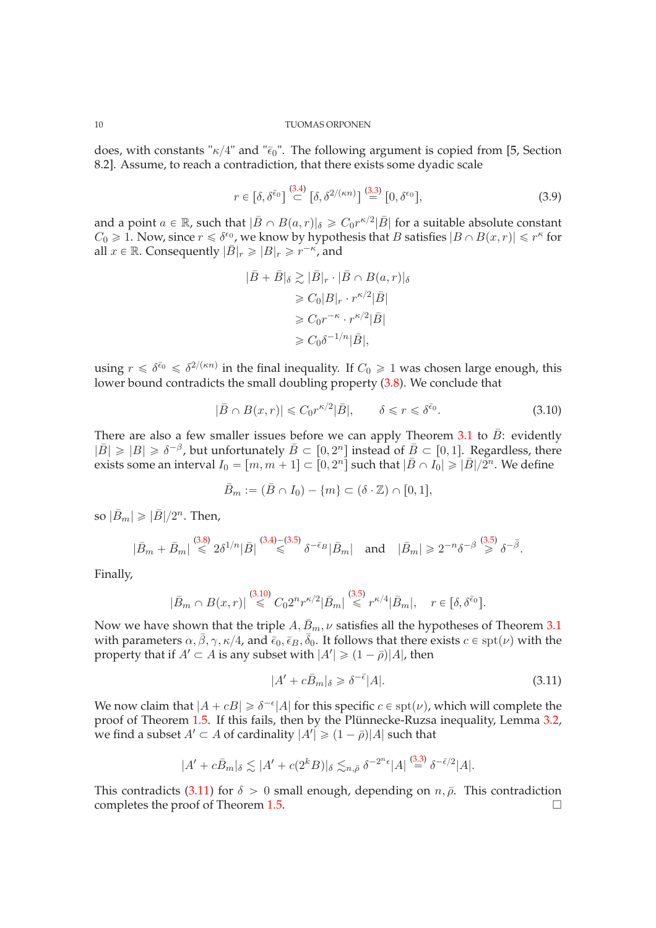does, with constants " $\kappa/4$ " and " $\bar{\epsilon}_0$ ". The following argument is copied from [\[5,](#page-33-2) Section 8.2]. Assume, to reach a contradiction, that there exists some dyadic scale

$$
r \in \left[\delta, \delta^{\bar{\epsilon}_0}\right] \stackrel{(3.4)}{\subset} \left[\delta, \delta^{2/(\kappa n)}\right] \stackrel{(3.3)}{=} \left[0, \delta^{\epsilon_0}\right],\tag{3.9}
$$

and a point  $a \in \mathbb{R}$ , such that  $|\bar{B} \cap B(a, r)|_{\delta} \geq C_0 r^{\kappa/2} |\bar{B}|$  for a suitable absolute constant  $C_0 \geq 1$ . Now, since  $r \leq \delta^{\epsilon_0}$ , we know by hypothesis that B satisfies  $|B \cap B(x,r)| \leq r^{\kappa}$  for all  $x \in \mathbb{R}$ . Consequently  $|\bar{B}|_r \geq |B|_r \geq r^{-\kappa}$ , and

$$
|\bar{B} + \bar{B}|_{\delta} \gtrsim |\bar{B}|_{r} \cdot |\bar{B} \cap B(a, r)|_{\delta}
$$
  
\n
$$
\geq C_{0}|B|_{r} \cdot r^{\kappa/2}|\bar{B}|
$$
  
\n
$$
\geq C_{0}r^{-\kappa} \cdot r^{\kappa/2}|\bar{B}|
$$
  
\n
$$
\geq C_{0}\delta^{-1/n}|\bar{B}|,
$$

using  $r \leq \delta^{\bar{\epsilon}_0} \leq \delta^{2/(\kappa n)}$  in the final inequality. If  $C_0 \geq 1$  was chosen large enough, this lower bound contradicts the small doubling property [\(3.8\)](#page-8-5). We conclude that

<span id="page-9-0"></span>
$$
|\bar{B} \cap B(x,r)| \leq C_0 r^{\kappa/2} |\bar{B}|, \qquad \delta \leq r \leq \delta^{\bar{\epsilon}_0}.
$$
 (3.10)

There are also a few smaller issues before we can apply Theorem  $3.1$  to  $B$ : evidently  $|\bar{B}| \geq |B| \geq \delta^{-\beta}$ , but unfortunately  $\bar{B} \subset [0, 2^n]$  instead of  $\bar{B} \subset [0, 1]$ . Regardless, there exists some an interval  $I_0 = [m, m + 1] \subset [0, 2^n]$  such that  $|\bar{B} \cap I_0| \geq |\bar{B}|/2^n$ . We define

$$
\bar{B}_m := (\bar{B} \cap I_0) - \{m\} \subset (\delta \cdot \mathbb{Z}) \cap [0,1],
$$

so  $|\bar{B}_m| \geqslant |\bar{B}|/2^n$ . Then,

$$
|\bar{B}_m+\bar{B}_m| \stackrel{(3.8)}{\leq} 2\delta^{1/n}|\bar{B}| \stackrel{(3.4)-(3.5)}{\leq} \delta^{-\bar{\epsilon}_B}|\bar{B}_m| \quad \text{and} \quad |\bar{B}_m| \geq 2^{-n}\delta^{-\beta} \stackrel{(3.5)}{\geq} \delta^{-\bar{\beta}}.
$$

Finally,

$$
|\bar{B}_m \cap B(x,r)| \stackrel{(3.10)}{\leq} C_0 2^n r^{\kappa/2} |\bar{B}_m| \stackrel{(3.5)}{\leq} r^{\kappa/4} |\bar{B}_m|, \quad r \in [\delta, \delta^{\bar{\epsilon}_0}].
$$

Now we have shown that the triple  $A, \bar{B}_m, \nu$  satisfies all the hypotheses of Theorem [3.1](#page-7-3) with parameters  $\alpha$ ,  $\bar{\beta}$ ,  $\gamma$ ,  $\kappa/4$ , and  $\bar{\epsilon}_0$ ,  $\bar{\epsilon}_B$ ,  $\bar{\delta}_0$ . It follows that there exists  $c \in \text{spt}(\nu)$  with the property that if  $A' \subset A$  is any subset with  $|A'| \geq (1 - \bar{\rho})|A|$ , then

<span id="page-9-1"></span>
$$
|A' + c\bar{B}_m|_{\delta} \ge \delta^{-\bar{\epsilon}}|A|.\tag{3.11}
$$

We now claim that  $|A + cB| \ge \delta^{-\epsilon} |A|$  for this specific  $c \in \text{spt}(\nu)$ , which will complete the proof of Theorem [1.5.](#page-2-2) If this fails, then by the Plünnecke-Ruzsa inequality, Lemma [3.2,](#page-8-0) we find a subset  $A' \subset A$  of cardinality  $|A'| \geq (1 - \bar{\rho})|A|$  such that

$$
|A' + c\bar{B}_m|_{\delta} \lesssim |A' + c(2^k B)|_{\delta} \lesssim_{n,\bar{\rho}} \delta^{-2^n \epsilon} |A| \stackrel{(3.3)}{=} \delta^{-\bar{\epsilon}/2} |A|.
$$

This contradicts [\(3.11\)](#page-9-1) for  $\delta > 0$  small enough, depending on  $n, \bar{\rho}$ . This contradiction completes the proof of Theorem 1.5 completes the proof of Theorem [1.5.](#page-2-2)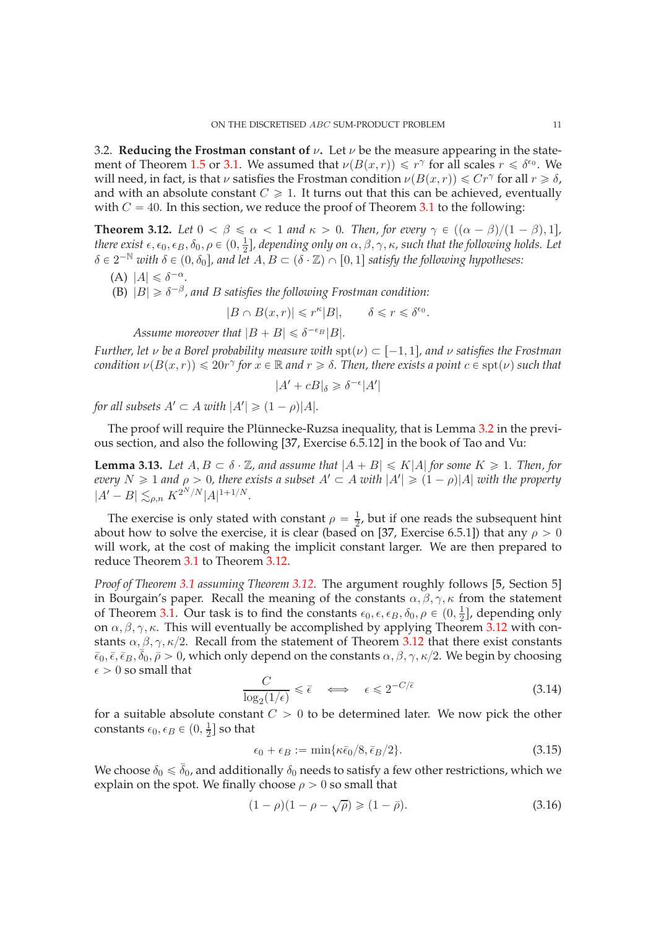<span id="page-10-0"></span>3.2. **Reducing the Frostman constant of**  $\nu$ . Let  $\nu$  be the measure appearing in the state-ment of Theorem [1.5](#page-2-2) or [3.1.](#page-7-3) We assumed that  $\nu(B(x,r)) \le r^{\gamma}$  for all scales  $r \le \delta^{\epsilon_0}$ . We will need, in fact, is that  $\nu$  satisfies the Frostman condition  $\nu(B(x,r)) \leq Cr^{\gamma}$  for all  $r \geq \delta$ , and with an absolute constant  $C \geq 1$ . It turns out that this can be achieved, eventually with  $C = 40$ . In this section, we reduce the proof of Theorem [3.1](#page-7-3) to the following:

<span id="page-10-1"></span>**Theorem 3.12.** *Let*  $0 < \beta \le \alpha < 1$  *and*  $\kappa > 0$ *. Then, for every*  $\gamma \in ((\alpha - \beta)/(1 - \beta), 1]$ *, there exist*  $\epsilon, \epsilon_0, \epsilon_B, \delta_0, \rho \in (0, \frac{1}{2})$  $\frac{1}{2}$ ], depending only on  $\alpha, \beta, \gamma, \kappa$ , such that the following holds. Let  $\delta \in 2^{-\mathbb{N}}$  *with*  $\delta \in (0, \delta_0]$ , and let  $A, B \subset (\delta \cdot \mathbb{Z}) \cap [0, 1]$  *satisfy the following hypotheses:* 

- (A)  $|A| \leq \delta^{-\alpha}$ .
- (B)  $|B| \geq \delta^{-\beta}$ , and *B* satisfies the following Frostman condition:

$$
|B\cap B(x,r)|\leqslant r^{\kappa}|B|,\qquad \delta\leqslant r\leqslant \delta^{\epsilon_0}.
$$

Assume moreover that  $|B + B| \leq \delta^{-\epsilon_B} |B|$ .

*Further, let*  $\nu$  *be a Borel probability measure with*  $spt(\nu) \subset [-1, 1]$ *, and*  $\nu$  *satisfies the Frostman condition*  $\nu(B(x,r)) \leq 20r^{\gamma}$  for  $x \in \mathbb{R}$  and  $r \geq \delta$ . Then, there exists a point  $c \in \text{spt}(\nu)$  such that

$$
|A' + cB|_{\delta} \geq \delta^{-\epsilon} |A'|
$$

*for all subsets*  $A' \subset A$  *with*  $|A'| \geq (1 - \rho)|A|$ *.* 

The proof will require the Plünnecke-Ruzsa inequality, that is Lemma [3.2](#page-8-0) in the previous section, and also the following [\[37,](#page-34-24) Exercise 6.5.12] in the book of Tao and Vu:

<span id="page-10-3"></span>**Lemma 3.13.** Let  $A, B \subset \delta \cdot \mathbb{Z}$ , and assume that  $|A + B| \le K|A|$  for some  $K \ge 1$ . Then, for *every*  $N \geq 1$  *and*  $\rho > 0$ , there exists a subset  $A' \subset A$  with  $|A'| \geq (1 - \rho)|A|$  with the property  $|A' - B| \lesssim_{\rho,n} K^{2^N/N} |A|^{1+1/N}.$ 

The exercise is only stated with constant  $\rho = \frac{1}{2}$  $\frac{1}{2}$ , but if one reads the subsequent hint about how to solve the exercise, it is clear (based on [\[37,](#page-34-24) Exercise 6.5.1]) that any  $\rho > 0$ will work, at the cost of making the implicit constant larger. We are then prepared to reduce Theorem [3.1](#page-7-3) to Theorem [3.12.](#page-10-1)

*Proof of Theorem [3.1](#page-7-3) assuming Theorem [3.12.](#page-10-1)* The argument roughly follows [\[5,](#page-33-2) Section 5] in Bourgain's paper. Recall the meaning of the constants  $\alpha, \beta, \gamma, \kappa$  from the statement of Theorem [3.1.](#page-7-3) Our task is to find the constants  $\epsilon_0$ ,  $\epsilon$ ,  $\epsilon_B$ ,  $\delta_0$ ,  $\rho \in (0, \frac{1}{2})$  $\frac{1}{2}$ , depending only on  $\alpha, \beta, \gamma, \kappa$ . This will eventually be accomplished by applying Theorem [3.12](#page-10-1) with constants  $\alpha, \beta, \gamma, \kappa/2$ . Recall from the statement of Theorem [3.12](#page-10-1) that there exist constants  $\bar{\epsilon}_0$ ,  $\bar{\epsilon}$ ,  $\bar{\epsilon}_B$ ,  $\bar{\delta}_0$ ,  $\bar{\rho} > 0$ , which only depend on the constants  $\alpha$ ,  $\beta$ ,  $\gamma$ ,  $\kappa/2$ . We begin by choosing  $\epsilon > 0$  so small that

<span id="page-10-5"></span>
$$
\frac{C}{\log_2(1/\epsilon)} \leq \bar{\epsilon} \quad \Longleftrightarrow \quad \epsilon \leq 2^{-C/\bar{\epsilon}} \tag{3.14}
$$

for a suitable absolute constant  $C > 0$  to be determined later. We now pick the other constants  $\epsilon_0, \epsilon_B \in (0, \frac{1}{2})$  $\frac{1}{2}$  so that

<span id="page-10-2"></span>
$$
\epsilon_0 + \epsilon_B := \min\{\kappa \bar{\epsilon}_0/8, \bar{\epsilon}_B/2\}.
$$
\n(3.15)

We choose  $\delta_0 \leq \bar{\delta}_0$ , and additionally  $\delta_0$  needs to satisfy a few other restrictions, which we explain on the spot. We finally choose  $\rho > 0$  so small that

<span id="page-10-4"></span>
$$
(1 - \rho)(1 - \rho - \sqrt{\rho}) \ge (1 - \bar{\rho}).
$$
\n(3.16)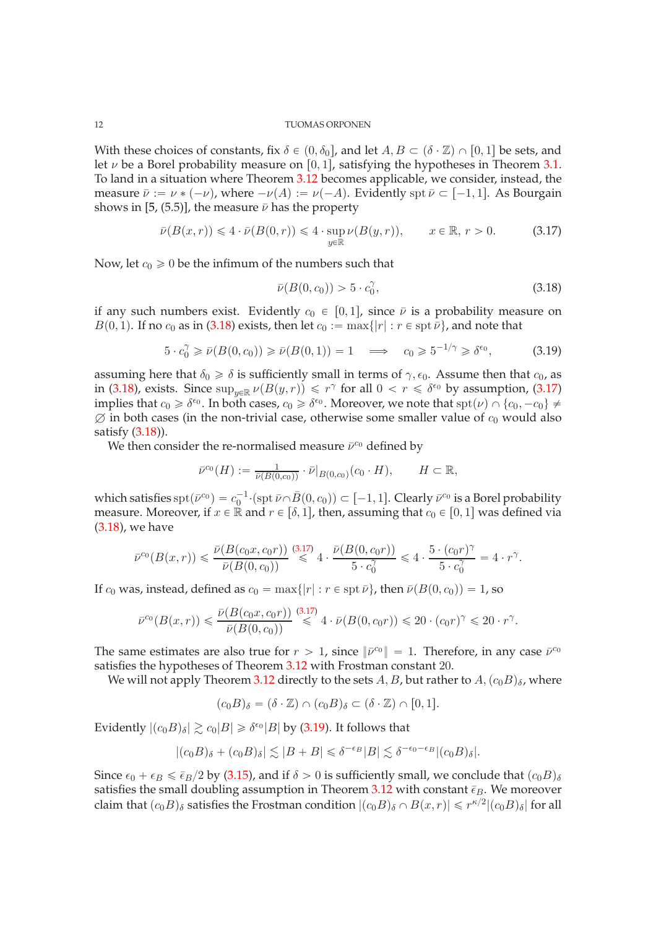With these choices of constants, fix  $\delta \in (0, \delta_0]$ , and let  $A, B \subset (\delta \cdot \mathbb{Z}) \cap [0, 1]$  be sets, and let  $\nu$  be a Borel probability measure on [0, 1], satisfying the hypotheses in Theorem [3.1.](#page-7-3) To land in a situation where Theorem [3.12](#page-10-1) becomes applicable, we consider, instead, the measure  $\bar{\nu} := \nu * (-\nu)$ , where  $-\nu(A) := \nu(-A)$ . Evidently spt  $\bar{\nu} \subset [-1, 1]$ . As Bourgain shows in [\[5,](#page-33-2) (5.5)], the measure  $\bar{\nu}$  has the property

<span id="page-11-1"></span>
$$
\bar{\nu}(B(x,r)) \leq 4 \cdot \bar{\nu}(B(0,r)) \leq 4 \cdot \sup_{y \in \mathbb{R}} \nu(B(y,r)), \qquad x \in \mathbb{R}, r > 0.
$$
 (3.17)

Now, let  $c_0 \geq 0$  be the infimum of the numbers such that

<span id="page-11-0"></span>
$$
\bar{\nu}(B(0,c_0)) > 5 \cdot c_0^{\gamma},\tag{3.18}
$$

if any such numbers exist. Evidently  $c_0 \in [0, 1]$ , since  $\bar{\nu}$  is a probability measure on  $B(0, 1)$ . If no  $c_0$  as in [\(3.18\)](#page-11-0) exists, then let  $c_0 := \max\{|r| : r \in \text{spt } \bar{\nu}\}\)$ , and note that

<span id="page-11-2"></span>
$$
5 \cdot c_0^{\gamma} \ge \bar{\nu}(B(0, c_0)) \ge \bar{\nu}(B(0, 1)) = 1 \quad \Longrightarrow \quad c_0 \ge 5^{-1/\gamma} \ge \delta^{\epsilon_0},\tag{3.19}
$$

assuming here that  $\delta_0 \geq \delta$  is sufficiently small in terms of  $\gamma$ ,  $\epsilon_0$ . Assume then that  $c_0$ , as in [\(3.18\)](#page-11-0), exists. Since  $\sup_{y\in\mathbb{R}} \nu(B(y,r)) \leq r^{\gamma}$  for all  $0 < r \leq \delta^{\epsilon_0}$  by assumption, [\(3.17\)](#page-11-1) implies that  $c_0 \ge \delta^{\epsilon_0}$ . In both cases,  $c_0 \ge \delta^{\epsilon_0}$ . Moreover, we note that  $\text{spt}(\nu) \cap \{c_0, -c_0\} \ne$  $\emptyset$  in both cases (in the non-trivial case, otherwise some smaller value of  $c_0$  would also satisfy [\(3.18\)](#page-11-0)).

We then consider the re-normalised measure  $\bar{\nu}^{c_0}$  defined by

$$
\bar{\nu}^{c_0}(H) := \frac{1}{\bar{\nu}(B(0,c_0))} \cdot \bar{\nu}|_{B(0,c_0)}(c_0 \cdot H), \qquad H \subset \mathbb{R},
$$

which satisfies  $\text{spt}(\bar{\nu}^{c_0}) = c_0^{-1} \cdot (\text{spt } \bar{\nu} \cap \bar{B}(0, c_0)) \subset [-1, 1]$ . Clearly  $\bar{\nu}^{c_0}$  is a Borel probability measure. Moreover, if  $x \in \mathbb{R}$  and  $r \in [\delta, 1]$ , then, assuming that  $c_0 \in [0, 1]$  was defined via [\(3.18\)](#page-11-0), we have

$$
\bar\nu^{c_0}(B(x,r))\leqslant \dfrac{\bar\nu(B(c_0x,c_0r))}{\bar\nu(B(0,c_0))}\stackrel{(3.17)}{\leqslant} 4\cdot\dfrac{\bar\nu(B(0,c_0r))}{5\cdot c_0^\gamma}\leqslant 4\cdot\dfrac{5\cdot (c_0r)^\gamma}{5\cdot c_0^\gamma}=4\cdot r^\gamma.
$$

If  $c_0$  was, instead, defined as  $c_0 = \max\{|r| : r \in \text{spt } \bar{\nu}\}\$ , then  $\bar{\nu}(B(0, c_0)) = 1$ , so

$$
\bar{\nu}^{c_0}(B(x,r)) \leq \frac{\bar{\nu}(B(c_0x,c_0r))}{\bar{\nu}(B(0,c_0))} \stackrel{(3.17)}{\leq} 4 \cdot \bar{\nu}(B(0,c_0r)) \leq 20 \cdot (c_0r)^{\gamma} \leq 20 \cdot r^{\gamma}.
$$

The same estimates are also true for  $r > 1$ , since  $\|\bar{\nu}^{c_0}\| = 1$ . Therefore, in any case  $\bar{\nu}^{c_0}$ satisfies the hypotheses of Theorem [3.12](#page-10-1) with Frostman constant 20.

We will not apply Theorem [3.12](#page-10-1) directly to the sets A, B, but rather to  $A,(c_0B)_{\delta}$ , where

$$
(c_0B)_{\delta} = (\delta \cdot \mathbb{Z}) \cap (c_0B)_{\delta} \subset (\delta \cdot \mathbb{Z}) \cap [0,1].
$$

Evidently  $|(c_0B)_\delta| \gtrsim c_0|B| \geq \delta^{\epsilon_0}|B|$  by [\(3.19\)](#page-11-2). It follows that

$$
|(c_0B)_{\delta}+(c_0B)_{\delta}|\lesssim |B+B|\leqslant \delta^{-\epsilon_B}|B|\lesssim \delta^{-\epsilon_0-\epsilon_B}|(c_0B)_{\delta}|.
$$

Since  $\epsilon_0 + \epsilon_B \le \bar{\epsilon}_B/2$  by [\(3.15\)](#page-10-2), and if  $\delta > 0$  is sufficiently small, we conclude that  $(c_0B)_{\delta}$ satisfies the small doubling assumption in Theorem [3.12](#page-10-1) with constant  $\bar{\epsilon}_B$ . We moreover claim that  $(c_0B)_{\delta}$  satisfies the Frostman condition  $|(c_0B)_{\delta} \cap B(x, r)| \leq r^{\kappa/2}|(c_0B)_{\delta}|$  for all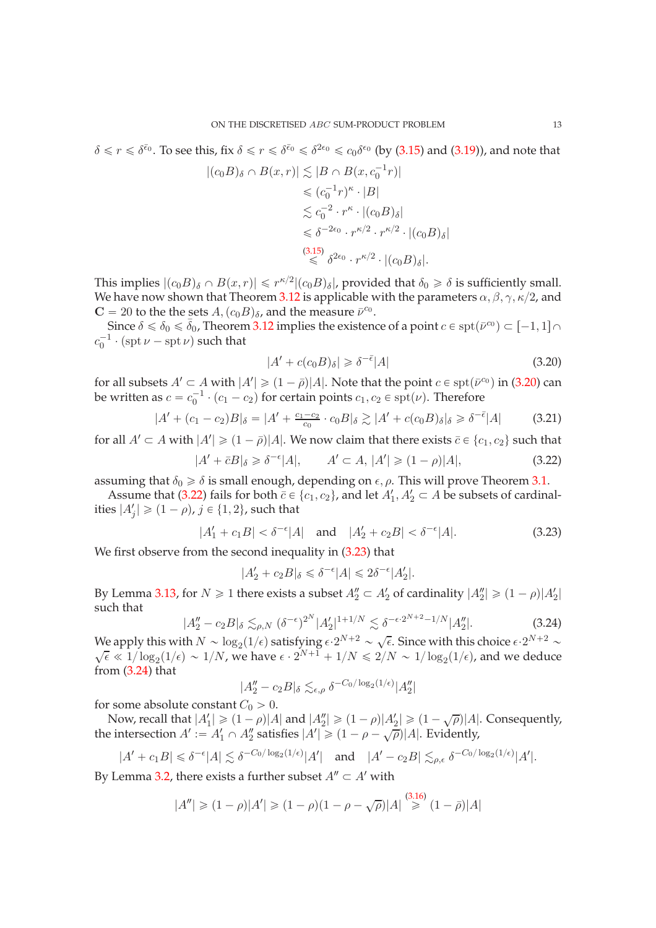$\delta \leq r \leq \delta^{\bar{\epsilon}_0}$ . To see this, fix  $\delta \leq r \leq \delta^{\bar{\epsilon}_0} \leq \delta^{2\epsilon_0} \leq c_0 \delta^{\epsilon_0}$  (by [\(3.15\)](#page-10-2) and [\(3.19\)](#page-11-2)), and note that  $|(c_0B)_{\delta} \cap B(x,r)| \lesssim |B \cap B(x, c_0^{-1}r)|$  $\leqslant (c_0^{-1}r)^{\kappa} \cdot |B|$  $\lesssim c_0^{-2} \cdot r^{\kappa} \cdot |(c_0 B)_{\delta}|$  $\leq \delta^{-2\epsilon_0} \cdot r^{\kappa/2} \cdot r^{\kappa/2} \cdot |(c_0B)_{\delta}|$  $\stackrel{(3.15)}{\leq} \delta^{2\epsilon_0} \cdot r^{\kappa/2} \cdot |(c_0B)_{\delta}|.$  $\stackrel{(3.15)}{\leq} \delta^{2\epsilon_0} \cdot r^{\kappa/2} \cdot |(c_0B)_{\delta}|.$  $\stackrel{(3.15)}{\leq} \delta^{2\epsilon_0} \cdot r^{\kappa/2} \cdot |(c_0B)_{\delta}|.$ 

This implies  $|(c_0B)_{\delta} \cap B(x,r)| \leq r^{\kappa/2}|(c_0B)_{\delta}|$ , provided that  $\delta_0 \geq \delta$  is sufficiently small. We have now shown that Theorem [3.12](#page-10-1) is applicable with the parameters  $\alpha$ ,  $\beta$ ,  $\gamma$ ,  $\kappa/2$ , and  $C = 20$  to the the sets  $A, (c_0B)_{\delta}$ , and the measure  $\bar{\nu}^{c_0}$ .

Since  $\delta \le \delta_0 \le \bar{\delta}_0$ , Theorem [3.12](#page-10-1) implies the existence of a point  $c \in \text{spt}(\bar{\nu}^{c_0}) \subset [-1, 1] \cap$  $c_0^{-1} \cdot (\operatorname{spt} \nu - \operatorname{spt} \nu)$  such that

<span id="page-12-0"></span>
$$
|A' + c(c_0 B)_{\delta}| \geq \delta^{-\bar{\epsilon}} |A| \tag{3.20}
$$

for all subsets  $A' \subset A$  with  $|A'| \geq (1 - \bar{\rho})|A|$ . Note that the point  $c \in \text{spt}(\bar{\nu}^{c_0})$  in [\(3.20\)](#page-12-0) can be written as  $c = c_0^{-1} \cdot (c_1 - c_2)$  for certain points  $c_1, c_2 \in \text{spr}(\nu)$ . Therefore

<span id="page-12-4"></span>
$$
|A' + (c_1 - c_2)B|_{\delta} = |A' + \frac{c_1 - c_2}{c_0} \cdot c_0B|_{\delta} \gtrsim |A' + c(c_0B)_{\delta}|_{\delta} \geq \delta^{-\bar{\epsilon}}|A| \tag{3.21}
$$

for all  $A' \subset A$  with  $|A'| \geq (1 - \bar{\rho})|A|$ . We now claim that there exists  $\bar{c} \in \{c_1, c_2\}$  such that

<span id="page-12-1"></span>
$$
|A' + \bar{c}B|_{\delta} \ge \delta^{-\epsilon}|A|, \qquad A' \subset A, \, |A'| \ge (1 - \rho)|A|,\tag{3.22}
$$

assuming that  $\delta_0 \geq \delta$  is small enough, depending on  $\epsilon$ ,  $\rho$ . This will prove Theorem [3.1.](#page-7-3)

Assume that [\(3.22\)](#page-12-1) fails for both  $\bar{c} \in \{c_1, c_2\}$ , and let  $A'_1, A'_2 \subset A$  be subsets of cardinalities  $|A'_j| \geqslant (1-\rho),$   $j \in \{1, 2\}$ , such that

<span id="page-12-2"></span>
$$
|A'_1 + c_1 B| < \delta^{-\epsilon} |A| \quad \text{and} \quad |A'_2 + c_2 B| < \delta^{-\epsilon} |A|.
$$
\n(3.23)

We first observe from the second inequality in [\(3.23\)](#page-12-2) that

$$
|A_2' + c_2 B|_{\delta} \le \delta^{-\epsilon} |A| \le 2\delta^{-\epsilon} |A_2'|.
$$

By Lemma [3.13,](#page-10-3) for  $N \geq 1$  there exists a subset  $A''_2 \subset A'_2$  of cardinality  $|A''_2| \geq (1 - \rho)|A'_2|$ such that

<span id="page-12-3"></span>
$$
|A_2'' - c_2 B|_{\delta} \lesssim_{\rho, N} (\delta^{-\epsilon})^{2^N} |A_2'|^{1+1/N} \lesssim \delta^{-\epsilon \cdot 2^{N+2} - 1/N} |A_2''|.
$$
 (3.24)

We apply this with  $N \sim \log_2(1/\epsilon)$  satisfying  $\epsilon \cdot 2^{N+2} \sim \sqrt{\epsilon}$ . Since with this choice  $\epsilon \cdot 2^{N+2} \sim \sqrt{\epsilon}$  (1/0  $\epsilon \cdot 1/\log_2(1/\epsilon) \approx 1/N$ ) we have  $\epsilon \cdot 2^{N+1} + 1/N \le 2/N \approx 1/\log_2(1/\epsilon)$  and we deduce  $\overline{\epsilon} \ll 1/\log_2(1/\epsilon) \sim 1/N$ , we have  $\epsilon \cdot 2^{N+1} + 1/N \leq 2/N \sim 1/\log_2(1/\epsilon)$ , and we deduce from [\(3.24\)](#page-12-3) that

$$
|A_2'' - c_2B|_{\delta} \lesssim_{\epsilon,\rho} \delta^{-C_0/\log_2(1/\epsilon)} |A_2''|
$$

for some absolute constant  $C_0 > 0$ .

Now, recall that  $|A'_1| \geq (1-\rho)|A|$  and  $|A''_2| \geq (1-\rho)|A'_2| \geq (1-\sqrt{\rho})|A|$ . Consequently, the intersection  $A' := A'_1 \cap A''_2$  satisfies  $|A'| \geq (1 - \rho - \sqrt{\rho})|A|$ . Evidently,

$$
|A' + c_1B| \le \delta^{-\epsilon}|A| \lesssim \delta^{-C_0/\log_2(1/\epsilon)}|A'| \quad \text{and} \quad |A' - c_2B| \lesssim_{\rho,\epsilon} \delta^{-C_0/\log_2(1/\epsilon)}|A'|.
$$

By Lemma [3.2,](#page-8-0) there exists a further subset  $A'' \subset A'$  with

$$
|A''| \geq (1 - \rho)|A'| \geq (1 - \rho)(1 - \rho - \sqrt{\rho})|A| \stackrel{(3.16)}{\geq} (1 - \bar{\rho})|A|
$$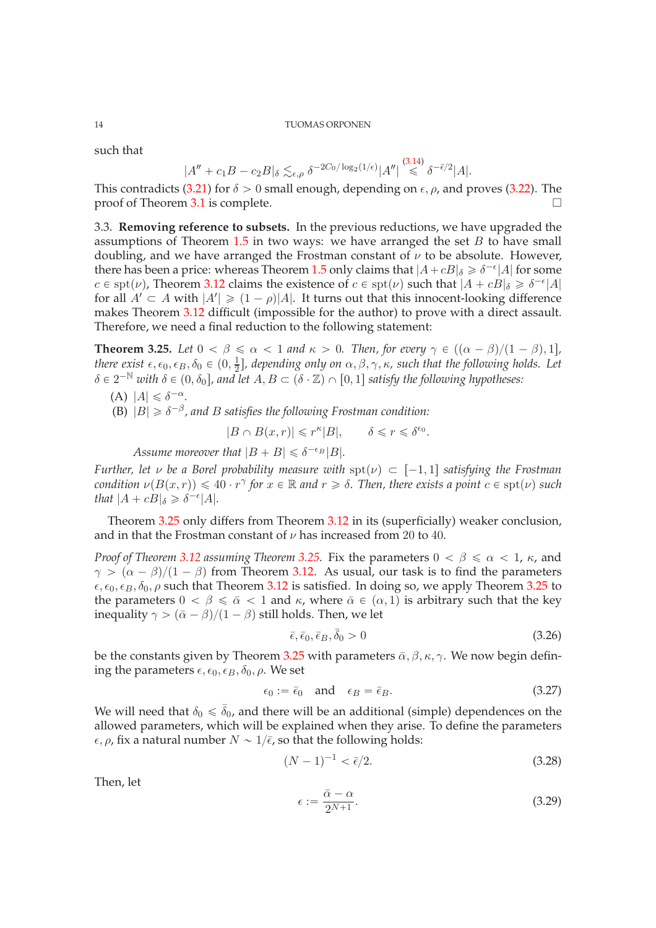such that

$$
|A'' + c_1B - c_2B|_{\delta} \lesssim_{\epsilon,\rho} \delta^{-2C_0/\log_2(1/\epsilon)} |A''| \stackrel{(3.14)}{\leq} \delta^{-\bar{\epsilon}/2} |A|.
$$

This contradicts [\(3.21\)](#page-12-4) for  $\delta > 0$  small enough, depending on  $\epsilon$ ,  $\rho$ , and proves [\(3.22\)](#page-12-1). The proof of Theorem 3.1 is complete proof of Theorem [3.1](#page-7-3) is complete.

<span id="page-13-0"></span>3.3. **Removing reference to subsets.** In the previous reductions, we have upgraded the assumptions of Theorem  $1.5$  in two ways: we have arranged the set  $B$  to have small doubling, and we have arranged the Frostman constant of  $\nu$  to be absolute. However, there has been a price: whereas Theorem [1.5](#page-2-2) only claims that  $|A + cB|_{\delta} \ge \delta^{-\epsilon}|A|$  for some  $c \in \text{spt}(\nu)$ , Theorem [3.12](#page-10-1) claims the existence of  $c \in \text{spt}(\nu)$  such that  $|A + cB|_{\delta} \geq \delta^{-\epsilon}|A|$ for all  $A' \subset A$  with  $|A'| \geq (1 - \rho)|A|$ . It turns out that this innocent-looking difference makes Theorem [3.12](#page-10-1) difficult (impossible for the author) to prove with a direct assault. Therefore, we need a final reduction to the following statement:

<span id="page-13-1"></span>**Theorem 3.25.** *Let*  $0 < \beta \le \alpha < 1$  *and*  $\kappa > 0$ *. Then, for every*  $\gamma \in ((\alpha - \beta)/(1 - \beta), 1]$ *, there exist*  $\epsilon, \epsilon_0, \epsilon_B, \delta_0 \in (0, \frac{1}{2})$  $\frac{1}{2}$ ], depending only on  $\alpha, \beta, \gamma, \kappa$ , such that the following holds. Let  $\delta \in 2^{-\mathbb{N}}$  with  $\delta \in (0, \delta_0]$ , and let  $A, B \subset (\delta \cdot \mathbb{Z}) \cap [0, 1]$  satisfy the following hypotheses:

$$
(A) |A| \leq \delta^{-\alpha}.
$$

(B)  $|B| \geq \delta^{-\beta}$ , and *B* satisfies the following Frostman condition:

 $|B \cap B(x,r)| \leqslant r^{\kappa} |B|, \qquad \delta \leqslant r \leqslant \delta^{\epsilon_0}.$ 

Assume moreover that  $|B + B| \leq \delta^{-\epsilon_B} |B|$ .

*Further, let*  $\nu$  *be a Borel probability measure with*  $spt(\nu) \subset [-1, 1]$  *satisfying the Frostman condition*  $\nu(B(x,r)) \leq 40 \cdot r^{\gamma}$  for  $x \in \mathbb{R}$  and  $r \geq \delta$ . Then, there exists a point  $c \in \text{spt}(\nu)$  such *that*  $|A + cB|_{\delta} \geq \delta^{-\epsilon} |A|$ *.* 

Theorem [3.25](#page-13-1) only differs from Theorem [3.12](#page-10-1) in its (superficially) weaker conclusion, and in that the Frostman constant of  $\nu$  has increased from 20 to 40.

*Proof of Theorem* [3.12](#page-10-1) *assuming Theorem* [3.25.](#page-13-1) Fix the parameters  $0 < \beta \le \alpha < 1$ ,  $\kappa$ , and  $\gamma > (\alpha - \beta)/(1 - \beta)$  from Theorem [3.12.](#page-10-1) As usual, our task is to find the parameters  $\epsilon, \epsilon_0, \epsilon_B, \delta_0, \rho$  such that Theorem [3.12](#page-10-1) is satisfied. In doing so, we apply Theorem [3.25](#page-13-1) to the parameters  $0 < \beta \le \bar{\alpha} < 1$  and  $\kappa$ , where  $\bar{\alpha} \in (\alpha, 1)$  is arbitrary such that the key inequality  $\gamma > (\bar{\alpha} - \beta)/(1 - \beta)$  still holds. Then, we let

$$
\bar{\epsilon}, \bar{\epsilon}_0, \bar{\epsilon}_B, \bar{\delta}_0 > 0 \tag{3.26}
$$

be the constants given by Theorem [3.25](#page-13-1) with parameters  $\bar{\alpha}$ ,  $\beta$ ,  $\kappa$ ,  $\gamma$ . We now begin defining the parameters  $\epsilon, \epsilon_0, \epsilon_B, \delta_0, \rho$ . We set

$$
\epsilon_0 := \bar{\epsilon}_0 \quad \text{and} \quad \epsilon_B = \bar{\epsilon}_B. \tag{3.27}
$$

We will need that  $\delta_0 \leq \bar{\delta}_0$ , and there will be an additional (simple) dependences on the allowed parameters, which will be explained when they arise. To define the parameters  $\epsilon$ ,  $\rho$ , fix a natural number  $N \sim 1/\bar{\epsilon}$ , so that the following holds:

<span id="page-13-2"></span>
$$
(N-1)^{-1} < \bar{\epsilon}/2. \tag{3.28}
$$

Then, let

<span id="page-13-3"></span>
$$
\epsilon := \frac{\bar{\alpha} - \alpha}{2^{N+1}}.\tag{3.29}
$$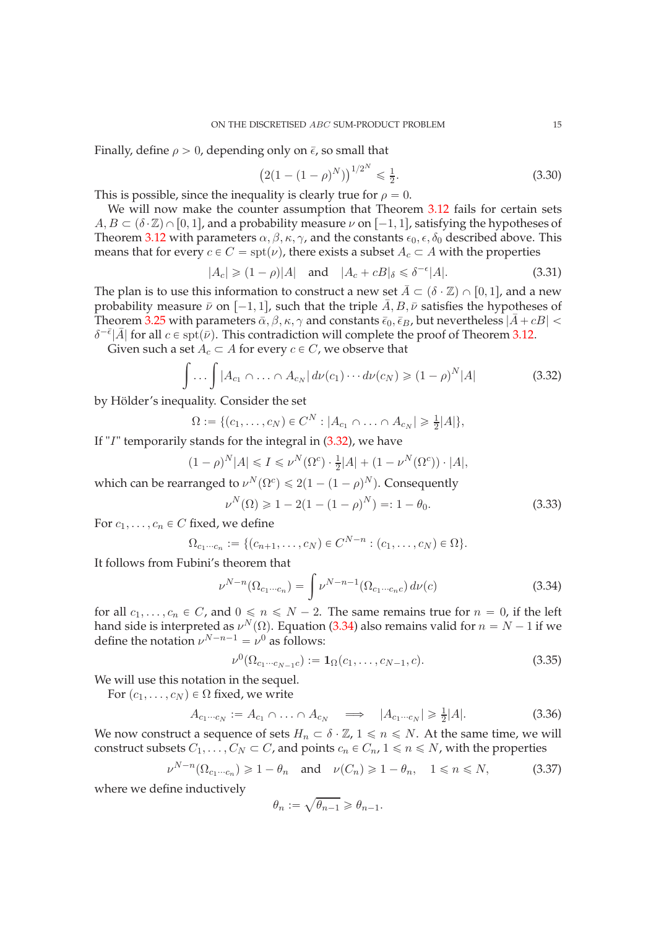Finally, define  $\rho > 0$ , depending only on  $\bar{\epsilon}$ , so small that

<span id="page-14-4"></span>
$$
(2(1 - (1 - \rho)^N))^{1/2^N} \leq \frac{1}{2}.
$$
\n(3.30)

This is possible, since the inequality is clearly true for  $\rho = 0$ .

We will now make the counter assumption that Theorem [3.12](#page-10-1) fails for certain sets  $A, B \subset (\delta \cdot \mathbb{Z}) \cap [0, 1]$ , and a probability measure  $\nu$  on  $[-1, 1]$ , satisfying the hypotheses of Theorem [3.12](#page-10-1) with parameters  $\alpha$ ,  $\beta$ ,  $\kappa$ ,  $\gamma$ , and the constants  $\epsilon_0$ ,  $\epsilon$ ,  $\delta_0$  described above. This means that for every  $c \in C = spt(\nu)$ , there exists a subset  $A_c \subset A$  with the properties

<span id="page-14-6"></span>
$$
|A_c| \ge (1 - \rho)|A| \quad \text{and} \quad |A_c + cB|_{\delta} \le \delta^{-\epsilon}|A|.
$$
 (3.31)

The plan is to use this information to construct a new set  $A \subset (\delta \cdot \mathbb{Z}) \cap [0, 1]$ , and a new probability measure  $\bar{\nu}$  on  $[-1, 1]$ , such that the triple  $\bar{A}, B, \bar{\nu}$  satisfies the hypotheses of Theorem [3.25](#page-13-1) with parameters  $\bar{\alpha}, \beta, \kappa, \gamma$  and constants  $\bar{\epsilon}_0, \bar{\epsilon}_B$ , but nevertheless  $|\bar{A} + cB|$  <  $\delta^{-\bar{\epsilon}}|\bar{A}|$  for all  $c \in \text{spt}(\bar{\nu})$ . This contradiction will complete the proof of Theorem [3.12.](#page-10-1)

Given such a set  $A_c \subset A$  for every  $c \in C$ , we observe that

<span id="page-14-0"></span>
$$
\int \dots \int |A_{c_1} \cap \dots \cap A_{c_N}| \, d\nu(c_1) \cdots d\nu(c_N) \geq (1 - \rho)^N |A| \tag{3.32}
$$

by Hölder's inequality. Consider the set

$$
\Omega := \{ (c_1, \ldots, c_N) \in C^N : |A_{c_1} \cap \ldots \cap A_{c_N}| \geq \frac{1}{2}|A| \},\
$$

If "I" temporarily stands for the integral in [\(3.32\)](#page-14-0), we have

$$
(1 - \rho)^N |A| \leq I \leq \nu^N(\Omega^c) \cdot \frac{1}{2}|A| + (1 - \nu^N(\Omega^c)) \cdot |A|,
$$

which can be rearranged to  $\nu^N(\Omega^c) \leq 2(1 - (1 - \rho)^N)$ . Consequently

<span id="page-14-5"></span>
$$
\nu^N(\Omega) \geq 1 - 2(1 - (1 - \rho)^N) = 1 - \theta_0.
$$
\n(3.33)

For  $c_1, \ldots, c_n \in C$  fixed, we define

$$
\Omega_{c_1\cdots c_n} := \{ (c_{n+1}, \ldots, c_N) \in C^{N-n} : (c_1, \ldots, c_N) \in \Omega \}.
$$

It follows from Fubini's theorem that

<span id="page-14-1"></span>
$$
\nu^{N-n}(\Omega_{c_1\cdots c_n}) = \int \nu^{N-n-1}(\Omega_{c_1\cdots c_n c}) d\nu(c)
$$
\n(3.34)

for all  $c_1, \ldots, c_n \in C$ , and  $0 \le n \le N - 2$ . The same remains true for  $n = 0$ , if the left hand side is interpreted as  $\nu^N(\Omega)$ . Equation [\(3.34\)](#page-14-1) also remains valid for  $n = N - 1$  if we define the notation  $\nu^{N-n-1} = \nu^0$  as follows:

<span id="page-14-3"></span>
$$
\nu^{0}(\Omega_{c_{1}\cdots c_{N-1}c}):=1_{\Omega}(c_{1},\ldots,c_{N-1},c).
$$
\n(3.35)

We will use this notation in the sequel.

For  $(c_1, \ldots, c_N) \in \Omega$  fixed, we write

<span id="page-14-7"></span>
$$
A_{c_1\cdots c_N} := A_{c_1} \cap \ldots \cap A_{c_N} \quad \Longrightarrow \quad |A_{c_1\cdots c_N}| \geq \frac{1}{2}|A|.
$$
 (3.36)

We now construct a sequence of sets  $H_n \subset \delta \cdot \mathbb{Z}$ ,  $1 \leq n \leq N$ . At the same time, we will construct subsets  $C_1, \ldots, C_N \subset C$ , and points  $c_n \in C_n$ ,  $1 \leq n \leq N$ , with the properties

<span id="page-14-2"></span>
$$
\nu^{N-n}(\Omega_{c_1\cdots c_n}) \geq 1 - \theta_n \quad \text{and} \quad \nu(C_n) \geq 1 - \theta_n, \quad 1 \leq n \leq N,\tag{3.37}
$$

where we define inductively

$$
\theta_n := \sqrt{\theta_{n-1}} \geqslant \theta_{n-1}.
$$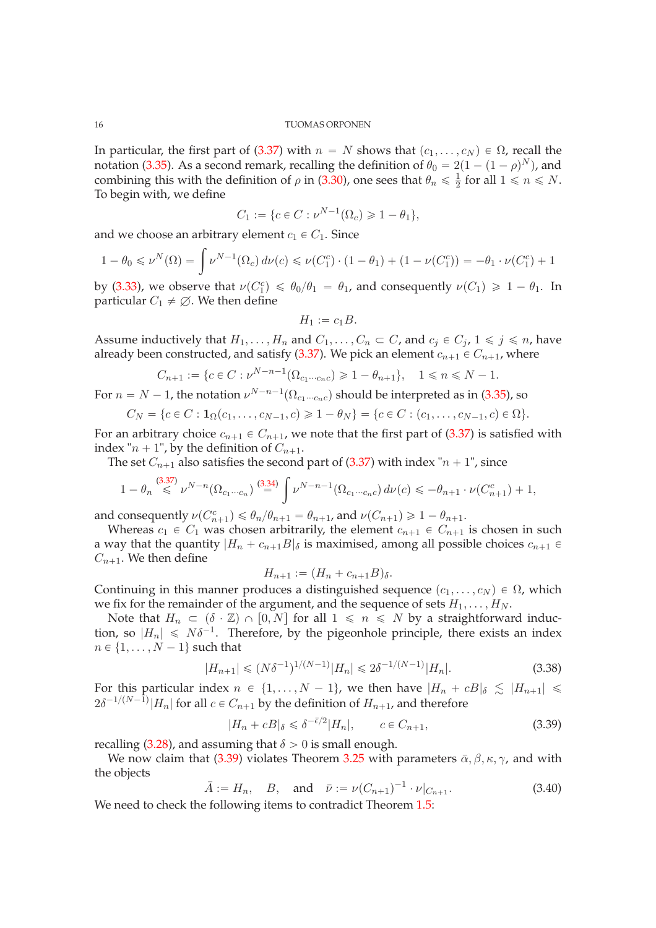In particular, the first part of [\(3.37\)](#page-14-2) with  $n = N$  shows that  $(c_1, \ldots, c_N) \in \Omega$ , recall the notation [\(3.35\)](#page-14-3). As a second remark, recalling the definition of  $\theta_0 = 2(1 - (1 - \rho)^N)$ , and combining this with the definition of  $\rho$  in [\(3.30\)](#page-14-4), one sees that  $\theta_n \leq \frac{1}{2}$  $\frac{1}{2}$  for all  $1 \leq n \leq N$ . To begin with, we define

$$
C_1 := \{ c \in C : \nu^{N-1}(\Omega_c) \geq 1 - \theta_1 \},\
$$

and we choose an arbitrary element  $c_1 \in C_1$ . Since

$$
1 - \theta_0 \leq \nu^N(\Omega) = \int \nu^{N-1}(\Omega_c) d\nu(c) \leq \nu(C_1^c) \cdot (1 - \theta_1) + (1 - \nu(C_1^c)) = -\theta_1 \cdot \nu(C_1^c) + 1
$$

by [\(3.33\)](#page-14-5), we observe that  $\nu(C_1^c) \le \theta_0/\theta_1 = \theta_1$ , and consequently  $\nu(C_1) \ge 1 - \theta_1$ . In particular  $C_1 \neq \emptyset$ . We then define

$$
H_1:=c_1B.
$$

Assume inductively that  $H_1, \ldots, H_n$  and  $C_1, \ldots, C_n \subset C$ , and  $c_j \in C_j$ ,  $1 \leq j \leq n$ , have already been constructed, and satisfy [\(3.37\)](#page-14-2). We pick an element  $c_{n+1} \in C_{n+1}$ , where

$$
C_{n+1} := \{ c \in C : \nu^{N-n-1}(\Omega_{c_1 \cdots c_n c}) \geq 1 - \theta_{n+1} \}, \quad 1 \leq n \leq N - 1.
$$

For  $n = N - 1$ , the notation  $\nu^{N-n-1}(\Omega_{c_1 \cdots c_n c})$  should be interpreted as in [\(3.35\)](#page-14-3), so

$$
C_N = \{c \in C : \mathbf{1}_{\Omega}(c_1, \ldots, c_{N-1}, c) \geq 1 - \theta_N\} = \{c \in C : (c_1, \ldots, c_{N-1}, c) \in \Omega\}.
$$

For an arbitrary choice  $c_{n+1} \in C_{n+1}$ , we note that the first part of [\(3.37\)](#page-14-2) is satisfied with index " $n + 1$ ", by the definition of  $C_{n+1}$ .

The set  $C_{n+1}$  also satisfies the second part of [\(3.37\)](#page-14-2) with index " $n + 1$ ", since

$$
1 - \theta_n \stackrel{(3.37)}{\leq} \nu^{N-n} (\Omega_{c_1 \cdots c_n}) \stackrel{(3.34)}{=} \int \nu^{N-n-1} (\Omega_{c_1 \cdots c_n c}) d\nu(c) \leq -\theta_{n+1} \cdot \nu(C_{n+1}^c) + 1,
$$

and consequently  $\nu(C_{n+1}^c) \leq \theta_n/\theta_{n+1} = \theta_{n+1}$ , and  $\nu(C_{n+1}) \geq 1 - \theta_{n+1}$ .

Whereas  $c_1 \in C_1$  was chosen arbitrarily, the element  $c_{n+1} \in C_{n+1}$  is chosen in such a way that the quantity  $|H_n + c_{n+1}B|_{\delta}$  is maximised, among all possible choices  $c_{n+1} \in$  $C_{n+1}$ . We then define

$$
H_{n+1} := (H_n + c_{n+1}B)_{\delta}.
$$

Continuing in this manner produces a distinguished sequence  $(c_1, \ldots, c_N) \in \Omega$ , which we fix for the remainder of the argument, and the sequence of sets  $H_1, \ldots, H_N$ .

Note that  $H_n \subset (\delta \cdot \mathbb{Z}) \cap [0, N]$  for all  $1 \leq n \leq N$  by a straightforward induction, so  $|H_n| \le N\delta^{-1}$ . Therefore, by the pigeonhole principle, there exists an index  $n \in \{1, \ldots, N - 1\}$  such that

$$
|H_{n+1}| \le (N\delta^{-1})^{1/(N-1)}|H_n| \le 2\delta^{-1/(N-1)}|H_n|.
$$
\n(3.38)

For this particular index  $n \in \{1, ..., N - 1\}$ , we then have  $|H_n + cB|_{\delta} \leq |H_{n+1}| \leq$  $2\delta^{-1/(N-1)}|H_n|$  for all  $c \in C_{n+1}$  by the definition of  $H_{n+1}$ , and therefore

<span id="page-15-0"></span>
$$
|H_n + cB|_{\delta} \leq \delta^{-\bar{\epsilon}/2} |H_n|, \qquad c \in C_{n+1}, \tag{3.39}
$$

recalling [\(3.28\)](#page-13-2), and assuming that  $\delta > 0$  is small enough.

We now claim that [\(3.39\)](#page-15-0) violates Theorem [3.25](#page-13-1) with parameters  $\bar{\alpha}$ ,  $\beta$ ,  $\kappa$ ,  $\gamma$ , and with the objects

<span id="page-15-1"></span>
$$
\bar{A} := H_n, \quad B, \quad \text{and} \quad \bar{\nu} := \nu (C_{n+1})^{-1} \cdot \nu |_{C_{n+1}}.
$$
 (3.40)

We need to check the following items to contradict Theorem [1.5:](#page-2-2)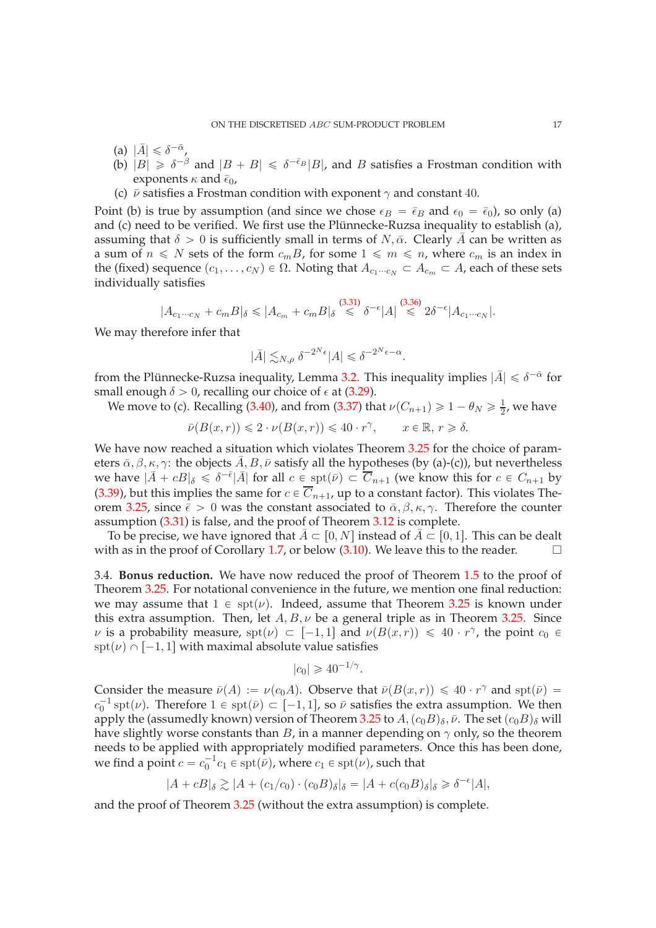- (a)  $|\bar{A}| \leq \delta^{-\bar{\alpha}}$ ,
- (b)  $|B| \ge \delta^{-\beta}$  and  $|B + B| \le \delta^{-\bar{\epsilon}_B}|B|$ , and B satisfies a Frostman condition with exponents  $\kappa$  and  $\bar{\epsilon}_0$ ,
- (c)  $\bar{\nu}$  satisfies a Frostman condition with exponent  $\gamma$  and constant 40.

Point (b) is true by assumption (and since we chose  $\epsilon_B = \bar{\epsilon}_B$  and  $\epsilon_0 = \bar{\epsilon}_0$ ), so only (a) and (c) need to be verified. We first use the Plünnecke-Ruzsa inequality to establish (a), assuming that  $\delta > 0$  is sufficiently small in terms of N,  $\bar{\alpha}$ . Clearly  $\bar{A}$  can be written as a sum of  $n \leq N$  sets of the form  $c_m B$ , for some  $1 \leq m \leq n$ , where  $c_m$  is an index in the (fixed) sequence  $(c_1, \ldots, c_N) \in \Omega$ . Noting that  $A_{c_1 \cdots c_N} \subset A_{c_m} \subset A$ , each of these sets individually satisfies

$$
|A_{c_1\cdots c_N} + c_m B|_{\delta} \leqslant |A_{c_m} + c_m B|_{\delta} \stackrel{(3.31)}{\leqslant} \delta^{-\epsilon} |A| \stackrel{(3.36)}{\leqslant} 2\delta^{-\epsilon} |A_{c_1\cdots c_N}|.
$$

We may therefore infer that

$$
|\bar{A}| \lesssim_{N,\rho} \delta^{-2^N \epsilon} |A| \leq \delta^{-2^N \epsilon - \alpha}.
$$

from the Plünnecke-Ruzsa inequality, Lemma [3.2.](#page-8-0) This inequality implies  $|\bar{A}| \leq \delta^{-\bar{\alpha}}$  for small enough  $\delta > 0$ , recalling our choice of  $\epsilon$  at [\(3.29\)](#page-13-3).

We move to (c). Recalling [\(3.40\)](#page-15-1), and from [\(3.37\)](#page-14-2) that  $\nu(C_{n+1}) \geq 1 - \theta_N \geq \frac{1}{2}$  $\frac{1}{2}$ , we have

$$
\bar{\nu}(B(x,r)) \leq 2 \cdot \nu(B(x,r)) \leq 40 \cdot r^{\gamma}, \qquad x \in \mathbb{R}, r \geq \delta.
$$

We have now reached a situation which violates Theorem [3.25](#page-13-1) for the choice of parameters  $\bar{\alpha}, \beta, \kappa, \gamma$ : the objects  $\bar{A}, B, \bar{\nu}$  satisfy all the hypotheses (by (a)-(c)), but nevertheless we have  $|\bar{A} + cB|_{\delta} \le \delta^{-\bar{\epsilon}} |\bar{A}|$  for all  $c \in \text{spt}(\bar{\nu}) \subset \overline{C}_{n+1}$  (we know this for  $c \in C_{n+1}$  by [\(3.39\)](#page-15-0), but this implies the same for  $c \in \overline{C}_{n+1}$ , up to a constant factor). This violates The-orem [3.25,](#page-13-1) since  $\bar{\epsilon} > 0$  was the constant associated to  $\bar{\alpha}, \beta, \kappa, \gamma$ . Therefore the counter assumption [\(3.31\)](#page-14-6) is false, and the proof of Theorem [3.12](#page-10-1) is complete.

To be precise, we have ignored that  $\bar{A} \subset [0, N]$  instead of  $\bar{A} \subset [0, 1]$ . This can be dealt ith as in the proof of Corollary 1.7, or below (3.10). We leave this to the reader. with as in the proof of Corollary [1.7,](#page-3-0) or below [\(3.10\)](#page-9-0). We leave this to the reader.

<span id="page-16-0"></span>3.4. **Bonus reduction.** We have now reduced the proof of Theorem [1.5](#page-2-2) to the proof of Theorem [3.25.](#page-13-1) For notational convenience in the future, we mention one final reduction: we may assume that  $1 \in \text{spt}(\nu)$ . Indeed, assume that Theorem [3.25](#page-13-1) is known under this extra assumption. Then, let  $A, B, \nu$  be a general triple as in Theorem [3.25.](#page-13-1) Since  $\nu$  is a probability measure,  $spt(\nu) \subset [-1, 1]$  and  $\nu(B(x, r)) \leq 40 \cdot r^{\gamma}$ , the point  $c_0 \in$  $spt(\nu) \cap [-1, 1]$  with maximal absolute value satisfies

$$
|c_0| \geq 40^{-1/\gamma}.
$$

Consider the measure  $\bar{\nu}(A) := \nu(c_0A)$ . Observe that  $\bar{\nu}(B(x,r)) \leq 40 \cdot r^{\gamma}$  and  $\text{spt}(\bar{\nu}) =$  $c_0^{-1}$  spt $(\nu)$ . Therefore  $1 \in \text{spt}(\bar{\nu}) \subset [-1, 1]$ , so  $\bar{\nu}$  satisfies the extra assumption. We then apply the (assumedly known) version of Theorem [3.25](#page-13-1) to  $A,(c_0B)_\delta, \bar{\nu}$ . The set  $(c_0B)_\delta$  will have slightly worse constants than  $B$ , in a manner depending on  $\gamma$  only, so the theorem needs to be applied with appropriately modified parameters. Once this has been done, we find a point  $c = c_0^{-1} c_1 \in \operatorname{spt}(\bar{\nu})$ , where  $c_1 \in \operatorname{spt}(\bar{\nu})$ , such that

$$
|A + cB|_{\delta} \gtrsim |A + (c_1/c_0) \cdot (c_0 B)_{\delta}|_{\delta} = |A + c(c_0 B)_{\delta}|_{\delta} \ge \delta^{-\epsilon}|A|,
$$

and the proof of Theorem [3.25](#page-13-1) (without the extra assumption) is complete.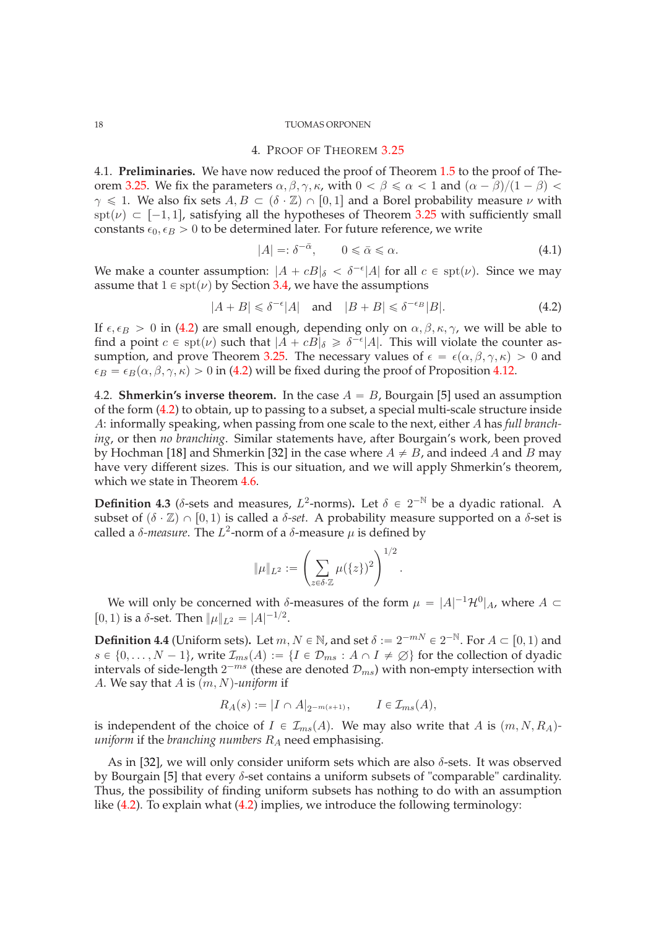# 4. PROOF OF THEOREM [3.25](#page-13-1)

<span id="page-17-1"></span><span id="page-17-0"></span>4.1. **Preliminaries.** We have now reduced the proof of Theorem [1.5](#page-2-2) to the proof of The-orem [3.25.](#page-13-1) We fix the parameters  $\alpha, \beta, \gamma, \kappa$ , with  $0 < \beta \le \alpha < 1$  and  $(\alpha - \beta)/(1 - \beta) < \beta$  $\gamma \leq 1$ . We also fix sets  $A, B \subset (\delta \cdot \mathbb{Z}) \cap [0, 1]$  and a Borel probability measure  $\nu$  with spt( $\nu$ )  $\subset$  [-1, 1], satisfying all the hypotheses of Theorem [3.25](#page-13-1) with sufficiently small constants  $\epsilon_0$ ,  $\epsilon_B > 0$  to be determined later. For future reference, we write

<span id="page-17-4"></span>
$$
|A| =: \delta^{-\bar{\alpha}}, \qquad 0 \leq \bar{\alpha} \leq \alpha. \tag{4.1}
$$

We make a counter assumption:  $|A + cB|_{\delta} < \delta^{-\epsilon} |A|$  for all  $c \in \text{spt}(\nu)$ . Since we may assume that  $1 \in \text{spt}(\nu)$  by Section [3.4,](#page-16-0) we have the assumptions

<span id="page-17-3"></span>
$$
|A + B| \leq \delta^{-\epsilon} |A| \quad \text{and} \quad |B + B| \leq \delta^{-\epsilon_B} |B|.
$$
 (4.2)

If  $\epsilon, \epsilon_B > 0$  in [\(4.2\)](#page-17-3) are small enough, depending only on  $\alpha, \beta, \kappa, \gamma$ , we will be able to find a point  $c \in \text{spt}(\nu)$  such that  $|A + cB|_{\delta} \geq \delta^{-\epsilon} |A|$ . This will violate the counter as-sumption, and prove Theorem [3.25.](#page-13-1) The necessary values of  $\epsilon = \epsilon(\alpha, \beta, \gamma, \kappa) > 0$  and  $\epsilon_B = \epsilon_B(\alpha, \beta, \gamma, \kappa) > 0$  in [\(4.2\)](#page-17-3) will be fixed during the proof of Proposition [4.12.](#page-19-1)

<span id="page-17-2"></span>4.2. **Shmerkin's inverse theorem.** In the case  $A = B$ , Bourgain [\[5\]](#page-33-2) used an assumption of the form [\(4.2\)](#page-17-3) to obtain, up to passing to a subset, a special multi-scale structure inside A: informally speaking, when passing from one scale to the next, either A has *full branching*, or then *no branching*. Similar statements have, after Bourgain's work, been proved by Hochman [\[18\]](#page-34-25) and Shmerkin [\[32\]](#page-34-20) in the case where  $A \neq B$ , and indeed A and B may have very different sizes. This is our situation, and we will apply Shmerkin's theorem, which we state in Theorem [4.6.](#page-18-1)

**Definition 4.3** ( $\delta$ -sets and measures,  $L^2$ -norms). Let  $\delta \in 2^{-N}$  be a dyadic rational. A subset of  $(\delta \cdot \mathbb{Z}) \cap [0, 1)$  is called a  $\delta$ -set. A probability measure supported on a  $\delta$ -set is called a  $\delta$ -*measure*. The  $L^2$ -norm of a  $\delta$ -measure  $\mu$  is defined by

$$
\|\mu\|_{L^2} := \left(\sum_{z \in \delta \cdot \mathbb{Z}} \mu(\{z\})^2\right)^{1/2}.
$$

We will only be concerned with  $\delta$ -measures of the form  $\mu = |A|^{-1} \mathcal{H}^0|_A$ , where  $A \subset$ [0, 1) is a  $\delta$ -set. Then  $\|\mu\|_{L^2} = |A|^{-1/2}$ .

**Definition 4.4** (Uniform sets). Let  $m, N \in \mathbb{N}$ , and set  $\delta := 2^{-mN} \in 2^{-\mathbb{N}}$ . For  $A \subset [0, 1)$  and  $s \in \{0, ..., N - 1\}$ , write  $\mathcal{I}_{ms}(A) := \{I \in \mathcal{D}_{ms} : A \cap I \neq \emptyset\}$  for the collection of dyadic intervals of side-length  $2^{-ms}$  (these are denoted  $\mathcal{D}_{ms}$ ) with non-empty intersection with A. We say that A is  $(m, N)$ -uniform if

$$
R_A(s) := |I \cap A|_{2^{-m(s+1)}}, \qquad I \in \mathcal{I}_{ms}(A),
$$

is independent of the choice of  $I \in \mathcal{I}_{ms}(A)$ . We may also write that A is  $(m, N, R_A)$ *uniform* if the *branching numbers*  $R_A$  need emphasising.

As in [\[32\]](#page-34-20), we will only consider uniform sets which are also  $\delta$ -sets. It was observed by Bourgain [\[5\]](#page-33-2) that every  $\delta$ -set contains a uniform subsets of "comparable" cardinality. Thus, the possibility of finding uniform subsets has nothing to do with an assumption like [\(4.2\)](#page-17-3). To explain what [\(4.2\)](#page-17-3) implies, we introduce the following terminology: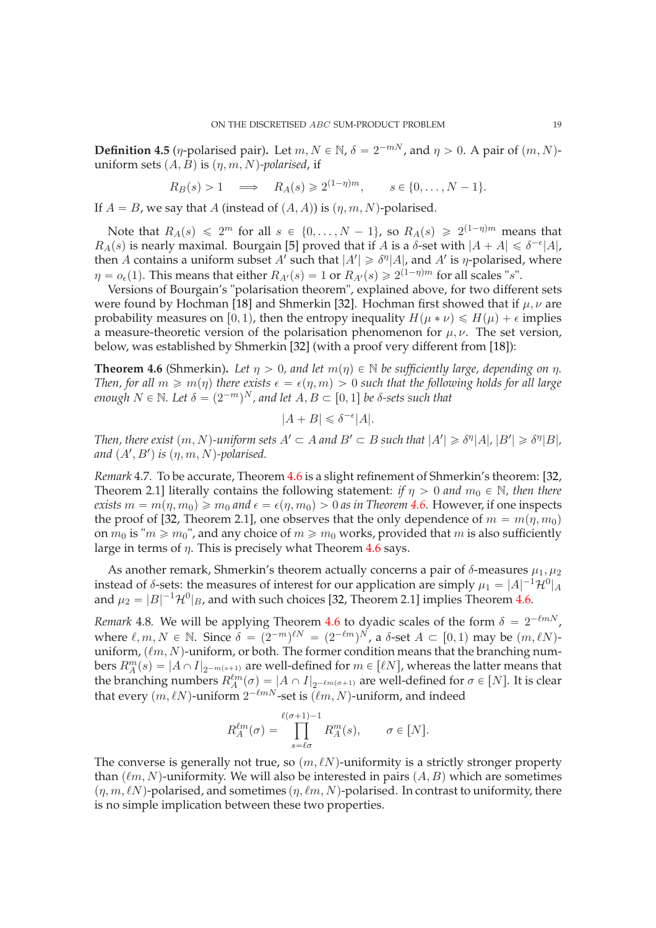**Definition 4.5** (*η*-polarised pair). Let  $m, N \in \mathbb{N}$ ,  $\delta = 2^{-mN}$ , and  $\eta > 0$ . A pair of  $(m, N)$ uniform sets  $(A, B)$  is  $(\eta, m, N)$ -polarised, if

$$
R_B(s) > 1 \implies R_A(s) \geq 2^{(1-\eta)m}, \quad s \in \{0, \ldots, N-1\}.
$$

If  $A = B$ , we say that A (instead of  $(A, A)$ ) is  $(\eta, m, N)$ -polarised.

Note that  $R_A(s) \leq 2^m$  for all  $s \in \{0, \ldots, N-1\}$ , so  $R_A(s) \geq 2^{(1-\eta)m}$  means that  $R_A(s)$  is nearly maximal. Bourgain [\[5\]](#page-33-2) proved that if A is a  $\delta$ -set with  $|A + A| \leq \delta^{-\epsilon} |A|$ , then A contains a uniform subset A' such that  $|A'| \geq \delta^{\eta}|A|$ , and A' is  $\eta$ -polarised, where  $\eta = o_{\epsilon}(1)$ . This means that either  $R_{A}(s) = 1$  or  $R_{A}(s) \geq 2^{(1-\eta)m}$  for all scales "s".

Versions of Bourgain's "polarisation theorem", explained above, for two different sets were found by Hochman [\[18\]](#page-34-25) and Shmerkin [\[32\]](#page-34-20). Hochman first showed that if  $\mu$ ,  $\nu$  are probability measures on [0, 1), then the entropy inequality  $H(\mu * \nu) \le H(\mu) + \epsilon$  implies a measure-theoretic version of the polarisation phenomenon for  $\mu$ ,  $\nu$ . The set version, below, was established by Shmerkin [\[32\]](#page-34-20) (with a proof very different from [\[18\]](#page-34-25)):

<span id="page-18-1"></span>**Theorem 4.6** (Shmerkin). Let  $\eta > 0$ , and let  $m(\eta) \in \mathbb{N}$  be sufficiently large, depending on  $\eta$ . *Then, for all*  $m \ge m(\eta)$  *there exists*  $\epsilon = \epsilon(\eta, m) > 0$  *such that the following holds for all large enough*  $N \in \mathbb{N}$ *. Let*  $\delta = (2^{-m})^N$ *, and let*  $A, B \subset [0, 1]$  *be*  $\delta$ -sets such that

$$
|A + B| \leq \delta^{-\epsilon} |A|.
$$

*Then, there exist*  $(m, N)$ -uniform sets  $A' \subset A$  and  $B' \subset B$  such that  $|A'| \geq \delta^{\eta} |A|$ ,  $|B'| \geq \delta^{\eta} |B|$ , and  $(A', B')$  is  $(\eta, m, N)$ -polarised.

<span id="page-18-0"></span>*Remark* 4.7*.* To be accurate, Theorem [4.6](#page-18-1) is a slight refinement of Shmerkin's theorem: [\[32,](#page-34-20) Theorem 2.1] literally contains the following statement: *if*  $\eta > 0$  *and*  $m_0 \in \mathbb{N}$ *, then there exists*  $m = m(\eta, m_0) \ge m_0$  *and*  $\epsilon = \epsilon(\eta, m_0) > 0$  *as in Theorem* [4.6.](#page-18-1) However, if one inspects the proof of [\[32,](#page-34-20) Theorem 2.1], one observes that the only dependence of  $m = m(\eta, m_0)$ on  $m_0$  is " $m \ge m_0$ ", and any choice of  $m \ge m_0$  works, provided that m is also sufficiently large in terms of  $\eta$ . This is precisely what Theorem [4.6](#page-18-1) says.

As another remark, Shmerkin's theorem actually concerns a pair of  $\delta$ -measures  $\mu_1, \mu_2$ instead of  $\delta$ -sets: the measures of interest for our application are simply  $\mu_1 = |A|^{-1} \mathcal{H}^0|_A$ and  $\mu_2 = |B|^{-1} \mathcal{H}^0|_B$ , and with such choices [\[32,](#page-34-20) Theorem 2.1] implies Theorem [4.6.](#page-18-1)

*Remark* 4.8. We will be applying Theorem [4.6](#page-18-1) to dyadic scales of the form  $\delta = 2^{-\ell m N}$ , where  $\ell, m, N \in \mathbb{N}$ . Since  $\delta = (2^{-m})^{\ell N} = (2^{-\ell m})^N$ , a  $\delta$ -set  $A \subset [0, 1)$  may be  $(m, \ell N)$ uniform,  $(\ell m, N)$ -uniform, or both. The former condition means that the branching numbers  $R_A^m(s) = |A \cap I|_{2^{-m(s+1)}}$  are well-defined for  $m \in [\ell N]$ , whereas the latter means that the branching numbers  $R_A^{\ell m}(\sigma) = |A \cap I|_{2^{-\ell m(\sigma+1)}}$  are well-defined for  $\sigma \in [N]$ . It is clear that every  $(m, \ell N)$ -uniform  $2^{-\ell m N}$ -set is  $(\ell m, N)$ -uniform, and indeed

$$
R_A^{\ell m}(\sigma) = \prod_{s=\ell\sigma}^{\ell(\sigma+1)-1} R_A^m(s), \qquad \sigma \in [N].
$$

The converse is generally not true, so  $(m, \ell N)$ -uniformity is a strictly stronger property than  $(\ell m, N)$ -uniformity. We will also be interested in pairs  $(A, B)$  which are sometimes  $(n, m, \ell N)$ -polarised, and sometimes  $(n, \ell m, N)$ -polarised. In contrast to uniformity, there is no simple implication between these two properties.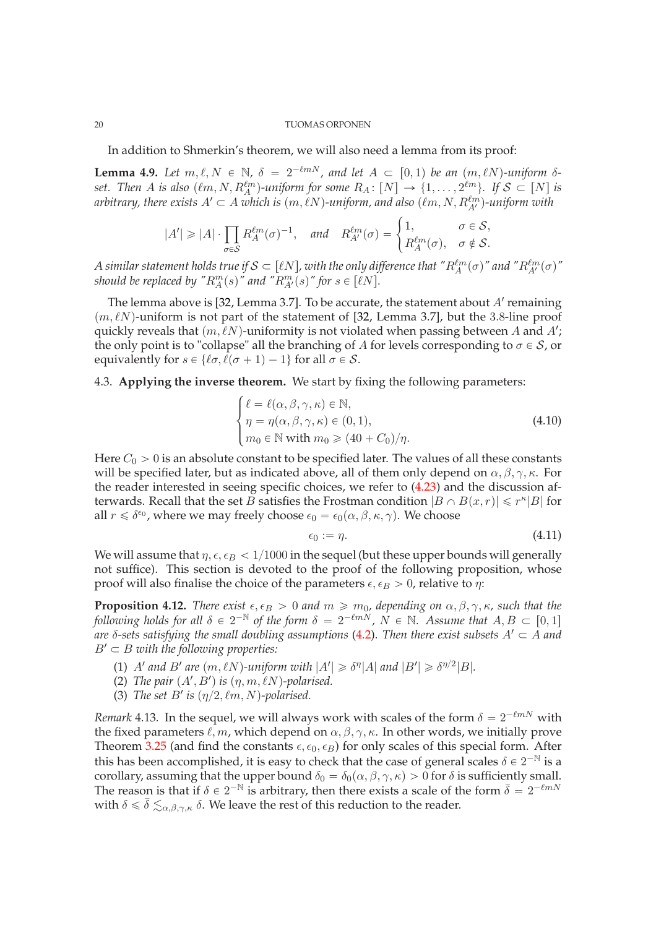In addition to Shmerkin's theorem, we will also need a lemma from its proof:

<span id="page-19-3"></span>**Lemma 4.9.** Let  $m, \ell, N \in \mathbb{N}$ ,  $\delta = 2^{-\ell m N}$ , and let  $A \subset [0, 1)$  be an  $(m, \ell N)$ -uniform  $\delta$ set. Then A is also  $(\ell m, N, R_A^{\ell m})$ -uniform for some  $R_A \colon [N] \to \{1, \ldots, 2^{\ell m}\}$ . If  $S \subset [N]$  is arbitrary, there exists  $A'\subset A$  which is  $(m,\ell N)$ -uniform, and also  $(\ell m, N, R_{A'}^{\ell m})$ -uniform with

$$
|A'| \geq |A| \cdot \prod_{\sigma \in \mathcal{S}} R_A^{\ell m}(\sigma)^{-1}, \quad \text{and} \quad R_{A'}^{\ell m}(\sigma) = \begin{cases} 1, & \sigma \in \mathcal{S}, \\ R_A^{\ell m}(\sigma), & \sigma \notin \mathcal{S}. \end{cases}
$$

*A* similar statement holds true if  $\mathcal{S} \subset [\ell N]$ , with the only difference that " $R_A^{\ell m}(\sigma)$ " and " $R_{A'}^{\ell m}(\sigma)$ " *should be replaced by "* $R_A^m(s)$ " *and "* $R_{A'}^m(s)$ " *for*  $s \in \lfloor \ell N \rfloor$ *.* 

The lemma above is [\[32,](#page-34-20) Lemma 3.7]. To be accurate, the statement about  $A'$  remaining  $(m, \ell N)$ -uniform is not part of the statement of [\[32,](#page-34-20) Lemma 3.7], but the 3.8-line proof quickly reveals that  $(m, \ell N)$ -uniformity is not violated when passing between A and A'; the only point is to "collapse" all the branching of A for levels corresponding to  $\sigma \in \mathcal{S}$ , or equivalently for  $s \in \{l\sigma, l(\sigma + 1) - 1\}$  for all  $\sigma \in S$ .

# <span id="page-19-0"></span>4.3. **Applying the inverse theorem.** We start by fixing the following parameters:

<span id="page-19-2"></span>
$$
\begin{cases}\n\ell = \ell(\alpha, \beta, \gamma, \kappa) \in \mathbb{N}, \\
\eta = \eta(\alpha, \beta, \gamma, \kappa) \in (0, 1), \\
m_0 \in \mathbb{N} \text{ with } m_0 \ge (40 + C_0) / \eta.\n\end{cases}
$$
\n(4.10)

Here  $C_0 > 0$  is an absolute constant to be specified later. The values of all these constants will be specified later, but as indicated above, all of them only depend on  $\alpha, \beta, \gamma, \kappa$ . For the reader interested in seeing specific choices, we refer to [\(4.23\)](#page-23-0) and the discussion afterwards. Recall that the set B satisfies the Frostman condition  $|B \cap B(x, r)| \leq r^{\kappa} |B|$  for all  $r \leq \delta^{\epsilon_0}$ , where we may freely choose  $\epsilon_0 = \epsilon_0(\alpha, \beta, \kappa, \gamma)$ . We choose

<span id="page-19-4"></span>
$$
\epsilon_0 := \eta. \tag{4.11}
$$

We will assume that  $\eta, \epsilon, \epsilon_B < 1/1000$  in the sequel (but these upper bounds will generally not suffice). This section is devoted to the proof of the following proposition, whose proof will also finalise the choice of the parameters  $\epsilon, \epsilon_B > 0$ , relative to  $\eta$ :

<span id="page-19-1"></span>**Proposition 4.12.** *There exist*  $\epsilon, \epsilon_B > 0$  *and*  $m \ge m_0$ , depending on  $\alpha, \beta, \gamma, \kappa$ , such that the *following holds for all*  $\delta \in 2^{-\mathbb{N}}$  *of the form*  $\delta = 2^{-\ell mN}$ ,  $N \in \mathbb{N}$ . Assume that  $A, B \subset [0, 1]$ *are*  $\delta$ -sets satisfying the small doubling assumptions [\(4.2\)](#page-17-3). Then there exist subsets  $A' \subset A$  and  $B' \subset B$  with the following properties:

- (1)  $A'$  and  $B'$  are  $(m, \ell N)$ -uniform with  $|A'| \geq \delta^{\eta} |A|$  and  $|B'| \geq \delta^{\eta/2} |B|$ *.*
- (2) *The pair*  $(A', B')$  *is*  $(\eta, m, \ell N)$ -polarised.
- (3) *The set B' is*  $(\eta/2, \ell m, N)$ -polarised.

*Remark* 4.13. In the sequel, we will always work with scales of the form  $\delta = 2^{-\ell m N}$  with the fixed parameters  $\ell, m$ , which depend on  $\alpha, \beta, \gamma, \kappa$ . In other words, we initially prove Theorem [3.25](#page-13-1) (and find the constants  $\epsilon, \epsilon_0, \epsilon_B$ ) for only scales of this special form. After this has been accomplished, it is easy to check that the case of general scales  $\delta \in 2^{-N}$  is a corollary, assuming that the upper bound  $\delta_0 = \delta_0(\alpha, \beta, \gamma, \kappa) > 0$  for  $\delta$  is sufficiently small. The reason is that if  $\delta \in 2^{-N}$  is arbitrary, then there exists a scale of the form  $\bar{\delta} = 2^{-\ell mN}$ with  $\delta \leq \bar{\delta} \leq_{\alpha,\beta,\gamma,\kappa} \delta$ . We leave the rest of this reduction to the reader.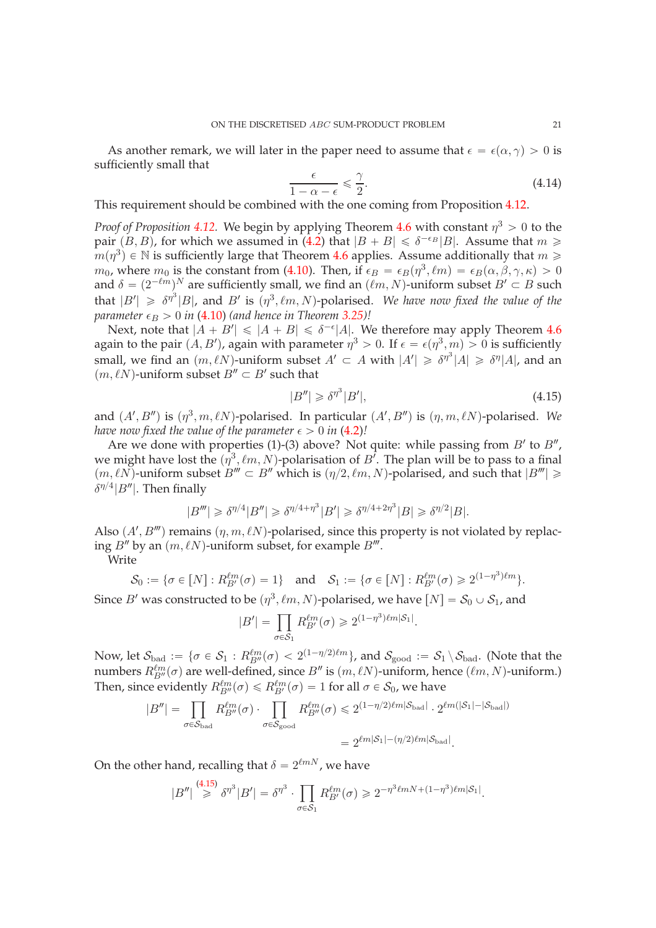As another remark, we will later in the paper need to assume that  $\epsilon = \epsilon(\alpha, \gamma) > 0$  is sufficiently small that

<span id="page-20-1"></span>
$$
\frac{\epsilon}{1 - \alpha - \epsilon} \leq \frac{\gamma}{2}.\tag{4.14}
$$

This requirement should be combined with the one coming from Proposition [4.12.](#page-19-1)

*Proof of Proposition* [4.12.](#page-19-1) We begin by applying Theorem [4.6](#page-18-1) with constant  $\eta^3 > 0$  to the pair  $(B, B)$ , for which we assumed in [\(4.2\)](#page-17-3) that  $|B + B| \le \delta^{-\epsilon_B} |B|$ . Assume that  $m \ge$  $m(\eta^3) \in \mathbb{N}$  is sufficiently large that Theorem [4.6](#page-18-1) applies. Assume additionally that  $m \geqslant$  $m_0$ , where  $m_0$  is the constant from [\(4.10\)](#page-19-2). Then, if  $\epsilon_B = \epsilon_B(\eta^3, \ell m) = \epsilon_B(\alpha, \beta, \gamma, \kappa) > 0$ and  $\delta = (2^{-\ell m})^N$  are sufficiently small, we find an  $(\ell m, N)$ -uniform subset  $B' \subset B$  such that  $|B'| \geq \delta^{\eta^3}|B|$ , and  $B'$  is  $(\eta^3, \ell m, N)$ -polarised. We have now fixed the value of the *parameter*  $\epsilon_B > 0$  *in* [\(4.10\)](#page-19-2) (and hence in Theorem [3.25\)](#page-13-1)!

Next, note that  $|A + B'| \leq |A + B| \leq \delta^{-\epsilon} |A|$ . We therefore may apply Theorem [4.6](#page-18-1) again to the pair  $(A, B')$ , again with parameter  $\eta^3 > 0$ . If  $\epsilon = \epsilon(\eta^3, m) > 0$  is sufficiently small, we find an  $(m, \ell N)$ -uniform subset  $A' \subset A$  with  $|A'| \geq \delta^{\eta^3} |A| \geq \delta^{\eta} |A|$ , and an  $(m, \ell N)$ -uniform subset  $B'' \subset B'$  such that

<span id="page-20-0"></span>
$$
|B''| \geq \delta^{\eta^3} |B'|,\tag{4.15}
$$

and  $(A', B'')$  is  $(\eta^3, m, \ell N)$ -polarised. In particular  $(A', B'')$  is  $(\eta, m, \ell N)$ -polarised. We *have now fixed the value of the parameter*  $\epsilon > 0$  *in* [\(4.2\)](#page-17-3)*!* 

Are we done with properties (1)-(3) above? Not quite: while passing from  $B'$  to  $B''$ , we might have lost the  $(\eta^3, \ell m, N)$ -polarisation of B<sup>'</sup>. The plan will be to pass to a final  $p(m, \ell N)$ -uniform subset  $B''' \subset B''$  which is  $(\eta/2, \ell m, N)$ -polarised, and such that  $|B'''| \geq 0$  $\delta^{\eta/4} |B''|$ . Then finally

$$
|B'''| \geq \delta^{\eta/4} |B''| \geq \delta^{\eta/4 + \eta^3} |B'| \geq \delta^{\eta/4 + 2\eta^3} |B| \geq \delta^{\eta/2} |B|.
$$

Also  $(A', B''')$  remains  $(\eta, m, \ell N)$ -polarised, since this property is not violated by replacing  $B''$  by an  $(m, \ell N)$ -uniform subset, for example  $B'''$ .

Write

$$
\mathcal{S}_0 := \{ \sigma \in [N] : R_{B'}^{\ell m}(\sigma) = 1 \} \quad \text{and} \quad \mathcal{S}_1 := \{ \sigma \in [N] : R_{B'}^{\ell m}(\sigma) \geq 2^{(1 - \eta^3)\ell m} \}.
$$

Since  $B'$  was constructed to be  $(\eta^3, \ell m, N)$ -polarised, we have  $[N] = \mathcal{S}_0 \cup \mathcal{S}_1$ , and

$$
|B'| = \prod_{\sigma \in S_1} R_{B'}^{\ell m}(\sigma) \geq 2^{(1 - \eta^3)\ell m |\mathcal{S}_1|}.
$$

Now, let  $\mathcal{S}_{\mathrm{bad}}:=\{\sigma\in\mathcal{S}_1:R_{B''}^{\ell m}(\sigma)<2^{(1-\eta/2)\ell m}\}$ , and  $\mathcal{S}_{\mathrm{good}}:=\mathcal{S}_1\setminus\mathcal{S}_{\mathrm{bad}}.$  (Note that the numbers  $R_{B''}^{\ell m}(\sigma)$  are well-defined, since  $B''$  is  $(m, \ell N)$ -uniform, hence  $(\ell m, N)$ -uniform.) Then, since evidently  $R_{B''}^{\ell m}(\sigma) \leq R_{B'}^{\ell m}(\sigma) = 1$  for all  $\sigma \in \mathcal{S}_0$ , we have

$$
|B''| = \prod_{\sigma \in \mathcal{S}_{\text{bad}}} R_{B''}^{\ell m}(\sigma) \cdot \prod_{\sigma \in \mathcal{S}_{\text{good}}} R_{B''}^{\ell m}(\sigma) \leq 2^{(1 - \eta/2)\ell m |\mathcal{S}_{\text{bad}}|} \cdot 2^{\ell m(|\mathcal{S}_1| - |\mathcal{S}_{\text{bad}}|)}
$$

$$
= 2^{\ell m |\mathcal{S}_1| - (\eta/2)\ell m |\mathcal{S}_{\text{bad}}|}.
$$

On the other hand, recalling that  $\delta = 2^{\ell m N}$ , we have

$$
|B''| \overset{(4.15)}{\geq} \delta^{\eta^3} |B'| = \delta^{\eta^3} \cdot \prod_{\sigma \in \mathcal{S}_1} R_{B'}^{\ell m}(\sigma) \geq 2^{-\eta^3 \ell m N + (1 - \eta^3) \ell m |\mathcal{S}_1|}.
$$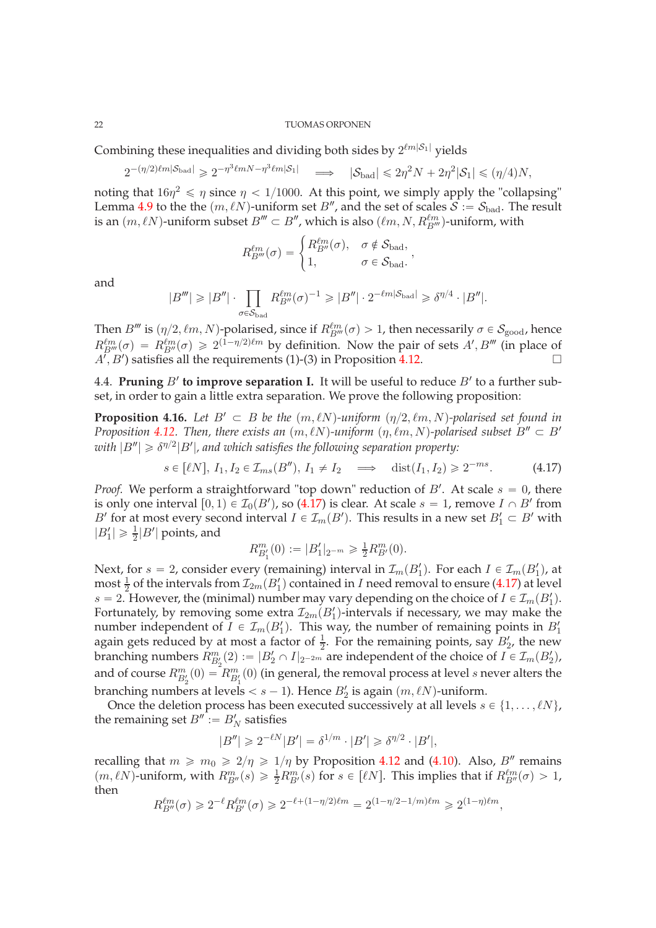Combining these inequalities and dividing both sides by  $2^{\ell m |\mathcal{S}_1|}$  yields

$$
2^{-(\eta/2)\ell m |\mathcal{S}_{bad}|} \geqslant 2^{-\eta^3 \ell m N - \eta^3 \ell m |\mathcal{S}_1|} \quad \Longrightarrow \quad |\mathcal{S}_{bad}| \leqslant 2\eta^2 N + 2\eta^2 |\mathcal{S}_1| \leqslant (\eta/4)N,
$$

noting that  $16\eta^2 \le \eta$  since  $\eta < 1/1000$ . At this point, we simply apply the "collapsing" Lemma [4.9](#page-19-3) to the the  $(m, \ell N)$ -uniform set B'', and the set of scales  $S := S_{bad}$ . The result is an  $(m, \ell N)$ -uniform subset  $B''' \subset B''$ , which is also  $(\ell m, N, R_{B'''}^{\ell m})$ -uniform, with

$$
R_{B'''}^{\ell m}(\sigma) = \begin{cases} R_{B''}^{\ell m}(\sigma), & \sigma \notin \mathcal{S}_{bad}, \\ 1, & \sigma \in \mathcal{S}_{bad}. \end{cases}
$$

and

$$
|B'''| \geqslant |B''| \cdot \prod_{\sigma \in \mathcal{S}_{\mathrm{bad}}} R_{B''}^{\ell m}(\sigma)^{-1} \geqslant |B''| \cdot 2^{-\ell m |\mathcal{S}_{\mathrm{bad}}|} \geqslant \delta^{\eta/4} \cdot |B''|.
$$

Then  $B'''$  is  $(\eta/2, \ell m, N)$ -polarised, since if  $R_{B'''}^{\ell m}(\sigma) > 1$ , then necessarily  $\sigma \in S_{\text{good}}$ , hence  $R_{B'''}^{lm}(\sigma) = R_{B''}^{lm}(\sigma) \geq 2^{(1-\eta/2)\ell m}$  by definition. Now the pair of sets  $A', B'''$  (in place of  $A^{T}, B'$ ) satisfies all the requirements (1)-(3) in Proposition [4.12.](#page-19-1)

<span id="page-21-0"></span>4.4. **Pruning**  $B'$  to improve separation I. It will be useful to reduce  $B'$  to a further subset, in order to gain a little extra separation. We prove the following proposition:

<span id="page-21-2"></span>**Proposition 4.16.** Let  $B' \subset B$  be the  $(m, \ell N)$ -uniform  $(\eta/2, \ell m, N)$ -polarised set found in *Proposition* [4.12.](#page-19-1) *Then, there exists an*  $(m, \ell N)$ -uniform  $(\eta, \ell m, N)$ -polarised subset  $B'' \subset B'$  $with |B''| \geqslant \delta^{\eta/2} |B'|$ , and which satisfies the following separation property:

<span id="page-21-1"></span>
$$
s \in [\ell N], I_1, I_2 \in \mathcal{I}_{ms}(B''), I_1 \neq I_2 \implies \text{dist}(I_1, I_2) \geq 2^{-ms}.
$$
 (4.17)

*Proof.* We perform a straightforward "top down" reduction of  $B'$ . At scale  $s = 0$ , there is only one interval  $[0, 1) \in \mathcal{I}_0(B')$ , so [\(4.17\)](#page-21-1) is clear. At scale  $s = 1$ , remove  $I \cap B'$  from B' for at most every second interval  $I \in \mathcal{I}_m(B')$ . This results in a new set  $B'_1 \subset B'$  with  $|B'_1| \ge \frac{1}{2}|B'|$  points, and

$$
R_{B_1'}^m(0) := |B_1'|_{2^{-m}} \ge \frac{1}{2} R_{B'}^m(0).
$$

Next, for  $s = 2$ , consider every (remaining) interval in  $\mathcal{I}_m(B_1')$ . For each  $I \in \mathcal{I}_m(B_1')$ , at most  $\frac{1}{2}$  of the intervals from  $\mathcal{I}_{2m}(B_1')$  contained in I need removal to ensure [\(4.17\)](#page-21-1) at level  $s = 2$ . However, the (minimal) number may vary depending on the choice of  $I \in \mathcal{I}_m(B_1')$ . Fortunately, by removing some extra  $\mathcal{I}_{2m}(B_1')$ -intervals if necessary, we may make the number independent of  $I \in \mathcal{I}_m(B_1')$ . This way, the number of remaining points in  $B_1'$ again gets reduced by at most a factor of  $\frac{1}{2}$ . For the remaining points, say  $B'_2$ , the new branching numbers  $R_{B_2'}^m(2) := |B_2' \cap I|_{2^{-2m}}$  are independent of the choice of  $I \in \mathcal{I}_m(B_2'),$ and of course  $R_{B'_2}^m(0) = R_{B'_1}^m(0)$  (in general, the removal process at level s never alters the branching numbers at levels  $\lt s - 1$ ). Hence  $B_2'$  is again  $(m, \ell N)$ -uniform.

Once the deletion process has been executed successively at all levels  $s \in \{1, \ldots, \ell N\}$ , the remaining set  $B'':=B'_N$  satisfies

$$
|B''| \geq 2^{-\ell N} |B'| = \delta^{1/m} \cdot |B'| \geq \delta^{\eta/2} \cdot |B'|,
$$

recalling that  $m \ge m_0 \ge 2/\eta \ge 1/\eta$  by Proposition [4.12](#page-19-1) and [\(4.10\)](#page-19-2). Also, B<sup>n</sup> remains  $(m, \ell N)$ -uniform, with  $R_{B''}^m(s) \ge \frac{1}{2} R_{B'}^m(s)$  for  $s \in [\ell N]$ . This implies that if  $R_{B''}^{\ell m}(\sigma) > 1$ , then

$$
R_{B''}^{\ell m}(\sigma) \geq 2^{-\ell} R_{B'}^{\ell m}(\sigma) \geq 2^{-\ell + (1 - \eta/2)\ell m} = 2^{(1 - \eta/2 - 1/m)\ell m} \geq 2^{(1 - \eta)\ell m},
$$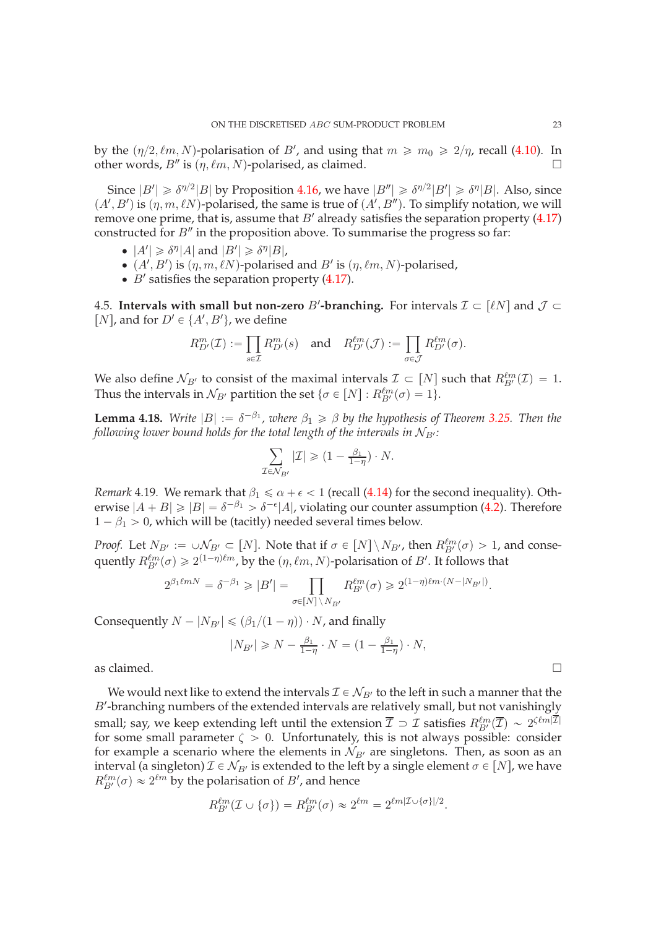by the  $(\eta/2, \ell m, N)$ -polarisation of B', and using that  $m \ge m_0 \ge 2/\eta$ , recall [\(4.10\)](#page-19-2). In other words,  $B''$  is  $(\eta, \ell m, N)$ -polarised, as claimed.

Since  $|B'| \ge \delta^{\eta/2} |B|$  by Proposition [4.16,](#page-21-2) we have  $|B''| \ge \delta^{\eta/2} |B'| \ge \delta^{\eta} |B|$ . Also, since  $(A', B')$  is  $(\eta, m, \ell N)$ -polarised, the same is true of  $(A', B'')$ . To simplify notation, we will remove one prime, that is, assume that  $B'$  already satisfies the separation property [\(4.17\)](#page-21-1) constructed for  $B''$  in the proposition above. To summarise the progress so far:

- $|A'| \ge \delta^{\eta} |A|$  and  $|B'| \ge \delta^{\eta} |B|$ ,
- $(A', B')$  is  $(\eta, m, \ell N)$ -polarised and  $B'$  is  $(\eta, \ell m, N)$ -polarised,
- $\bullet$  *B'* satisfies the separation property [\(4.17\)](#page-21-1).

<span id="page-22-0"></span>4.5. **Intervals with small but non-zero** B'-**branching.** For intervals  $\mathcal{I} \subset [\ell N]$  and  $\mathcal{J} \subset$ [*N*], and for  $D' \in \{A', B'\}$ , we define

$$
R_{D'}^{m}(\mathcal{I}) := \prod_{s \in \mathcal{I}} R_{D'}^{m}(s) \quad \text{and} \quad R_{D'}^{lm}(\mathcal{J}) := \prod_{\sigma \in \mathcal{J}} R_{D'}^{lm}(\sigma).
$$

We also define  $\mathcal{N}_{B'}$  to consist of the maximal intervals  $\mathcal{I} \subset [N]$  such that  $R_{B'}^{\ell m}(\mathcal{I}) = 1$ . Thus the intervals in  $\mathcal{N}_{B'}$  partition the set  $\{\sigma \in [N]: R_{B'}^{\ell m}(\sigma) = 1\}.$ 

<span id="page-22-1"></span>**Lemma 4.18.** *Write*  $|B| := \delta^{-\beta_1}$ , *where*  $\beta_1 \ge \beta$  *by the hypothesis of Theorem [3.25.](#page-13-1) Then the following lower bound holds for the total length of the intervals in*  $N_{B}$ *:* 

$$
\sum_{\mathcal{I}\in\mathcal{N}_{B'}}|\mathcal{I}|\geqslant(1-\tfrac{\beta_1}{1-\eta})\cdot N.
$$

*Remark* 4.19*.* We remark that  $\beta_1 \le \alpha + \epsilon < 1$  (recall [\(4.14\)](#page-20-1) for the second inequality). Otherwise  $|A + B| \geq |B| = \delta^{-\beta_1} > \delta^{-\epsilon} |A|$ , violating our counter assumption [\(4.2\)](#page-17-3). Therefore  $1 - \beta_1 > 0$ , which will be (tacitly) needed several times below.

*Proof.* Let  $N_{B'} := \cup N_{B'} \subset [N]$ . Note that if  $\sigma \in [N] \setminus N_{B'}$ , then  $R_{B'}^{lm}(\sigma) > 1$ , and consequently  $R_{B'}^{\ell m}(\sigma) \geq 2^{(1-\eta)\ell m}$ , by the  $(\eta, \ell m, N)$ -polarisation of  $B'.$  It follows that

$$
2^{\beta_1\ell m N}=\delta^{-\beta_1}\geqslant |B'|=\prod_{\sigma\in [N]\,\backslash\,N_{B'}}R_{B'}^{\ell m}(\sigma)\geqslant 2^{(1-\eta)\ell m\cdot (N-|N_{B'}|)}.
$$

Consequently  $N - |N_{B'}| \leq (\beta_1/(1 - \eta)) \cdot N$ , and finally

$$
|N_{B'}| \ge N - \frac{\beta_1}{1-\eta} \cdot N = \left(1 - \frac{\beta_1}{1-\eta}\right) \cdot N,
$$

as claimed.  $\square$ 

We would next like to extend the intervals  $\mathcal{I} \in \mathcal{N}_{B'}$  to the left in such a manner that the B'-branching numbers of the extended intervals are relatively small, but not vanishingly small; say, we keep extending left until the extension  $\overline{\mathcal{I}} \supset \mathcal{I}$  satisfies  $R_{B'}^{\ell m}(\overline{\mathcal{I}}) \sim 2^{\zeta \ell m |\overline{\mathcal{I}}|}$ for some small parameter  $\zeta > 0$ . Unfortunately, this is not always possible: consider for example a scenario where the elements in  $\mathcal{N}_{B'}$  are singletons. Then, as soon as an interval (a singleton)  $\mathcal{I} \in \mathcal{N}_{B}$  is extended to the left by a single element  $\sigma \in [N]$ , we have  $R_{B'}^{\ell m}(\sigma) \approx 2^{\ell m}$  by the polarisation of  $B'$ , and hence

$$
R_{B'}^{\ell m}(\mathcal{I} \cup {\sigma}) = R_{B'}^{\ell m}(\sigma) \approx 2^{\ell m} = 2^{\ell m |\mathcal{I} \cup {\sigma}|/2}.
$$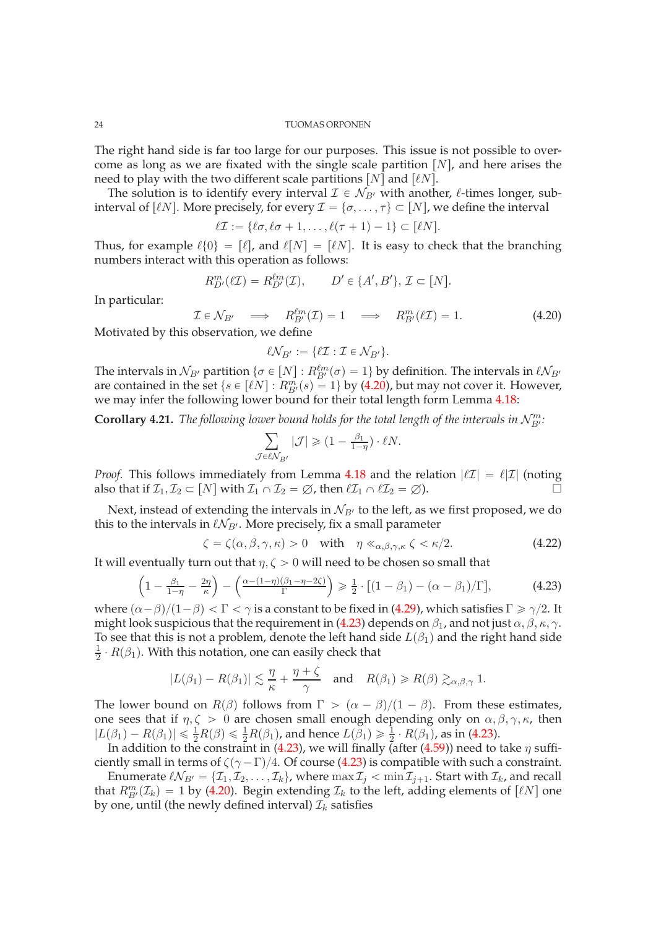The right hand side is far too large for our purposes. This issue is not possible to overcome as long as we are fixated with the single scale partition  $[N]$ , and here arises the need to play with the two different scale partitions  $[N]$  and  $[lnN]$ .

The solution is to identify every interval  $\mathcal{I} \in \mathcal{N}_{B'}$  with another,  $\ell$ -times longer, subinterval of [ $\ell N$ ]. More precisely, for every  $\mathcal{I} = \{\sigma, \ldots, \tau\} \subset [N]$ , we define the interval

$$
\ell \mathcal{I} := \{ \ell \sigma, \ell \sigma + 1, \ldots, \ell(\tau + 1) - 1 \} \subset [\ell N].
$$

Thus, for example  $\ell\{0\} = [\ell]$ , and  $\ell[N] = [\ell N]$ . It is easy to check that the branching numbers interact with this operation as follows:

$$
R_{D'}^{m}(\ell \mathcal{I}) = R_{D'}^{\ell m}(\mathcal{I}), \qquad D' \in \{A', B'\}, \mathcal{I} \subset [N].
$$

In particular:

<span id="page-23-1"></span>
$$
\mathcal{I} \in \mathcal{N}_{B'} \implies R_{B'}^{\ell m}(\mathcal{I}) = 1 \implies R_{B'}^m(\ell \mathcal{I}) = 1. \tag{4.20}
$$

Motivated by this observation, we define

$$
\ell \mathcal{N}_{B'} := \{ \ell \mathcal{I} : \mathcal{I} \in \mathcal{N}_{B'} \}.
$$

The intervals in  $\mathcal{N}_{B'}$  partition  $\{\sigma \in [N] : R_{B'}^{\ell m}(\sigma) = 1\}$  by definition. The intervals in  $\ell \mathcal{N}_{B'}$ are contained in the set  $\{s \in [\ell N] : R_{B'}^m(s) = 1\}$  by [\(4.20\)](#page-23-1), but may not cover it. However, we may infer the following lower bound for their total length form Lemma [4.18:](#page-22-1)

<span id="page-23-2"></span>**Corollary 4.21.** The following lower bound holds for the total length of the intervals in  $\mathcal{N}_{B}^{m}$ :

$$
\sum_{\mathcal{J}\in\ell\mathcal{N}_{B'}}|\mathcal{J}|\geqslant(1-\tfrac{\beta_1}{1-\eta})\cdot\ell N.
$$

*Proof.* This follows immediately from Lemma [4.18](#page-22-1) and the relation  $|\ell \mathcal{I}| = \ell |\mathcal{I}|$  (noting also that if  $\mathcal{I}_1, \mathcal{I}_2 \subset [N]$  with  $\mathcal{I}_1 \cap \mathcal{I}_2 = \emptyset$ , then  $\ell \mathcal{I}_1 \cap \ell \mathcal{I}_2 = \emptyset$ ).

Next, instead of extending the intervals in  $N_{B'}$  to the left, as we first proposed, we do this to the intervals in  $\ell \mathcal{N}_{B'}$ . More precisely, fix a small parameter

<span id="page-23-3"></span>
$$
\zeta = \zeta(\alpha, \beta, \gamma, \kappa) > 0 \quad \text{with} \quad \eta \ll_{\alpha, \beta, \gamma, \kappa} \zeta < \kappa/2. \tag{4.22}
$$

It will eventually turn out that  $\eta$ ,  $\zeta > 0$  will need to be chosen so small that

<span id="page-23-0"></span>
$$
\left(1 - \frac{\beta_1}{1 - \eta} - \frac{2\eta}{\kappa}\right) - \left(\frac{\alpha - (1 - \eta)(\beta_1 - \eta - 2\zeta)}{\Gamma}\right) \ge \frac{1}{2} \cdot \left[(1 - \beta_1) - (\alpha - \beta_1)/\Gamma\right],\tag{4.23}
$$

where  $(\alpha - \beta)/(1 - \beta) < \Gamma < \gamma$  is a constant to be fixed in [\(4.29\)](#page-25-1), which satisfies  $\Gamma \ge \gamma/2$ . It might look suspicious that the requirement in [\(4.23\)](#page-23-0) depends on  $\beta_1$ , and not just  $\alpha, \beta, \kappa, \gamma$ . To see that this is not a problem, denote the left hand side  $L(\beta_1)$  and the right hand side 1  $\frac{1}{2} \cdot R(\beta_1)$ . With this notation, one can easily check that

$$
|L(\beta_1) - R(\beta_1)| \lesssim \frac{\eta}{\kappa} + \frac{\eta + \zeta}{\gamma} \quad \text{and} \quad R(\beta_1) \ge R(\beta) \gtrsim_{\alpha,\beta,\gamma} 1.
$$

The lower bound on  $R(\beta)$  follows from  $\Gamma > (\alpha - \beta)/(1 - \beta)$ . From these estimates, one sees that if  $\eta, \zeta > 0$  are chosen small enough depending only on  $\alpha, \beta, \gamma, \kappa$ , then  $|L(\beta_1) - R(\beta_1)| \leq \frac{1}{2}R(\beta) \leq \frac{1}{2}R(\beta_1)$ , and hence  $L(\beta_1) \geq \frac{1}{2} \cdot R(\beta_1)$ , as in [\(4.23\)](#page-23-0).

In addition to the constraint in [\(4.23\)](#page-23-0), we will finally (after [\(4.59\)](#page-31-1)) need to take  $\eta$  sufficiently small in terms of  $\zeta(\gamma - \Gamma)/4$ . Of course [\(4.23\)](#page-23-0) is compatible with such a constraint.

Enumerate  $\ell \mathcal{N}_{B'} = \{ \mathcal{I}_1, \mathcal{I}_2, \ldots, \mathcal{I}_k \}$ , where  $\max \mathcal{I}_j < \min \mathcal{I}_{j+1}$ . Start with  $\mathcal{I}_k$ , and recall that  $R_{B'}^{m}(\mathcal{I}_k) = 1$  by [\(4.20\)](#page-23-1). Begin extending  $\mathcal{I}_k$  to the left, adding elements of  $[\ell N]$  one by one, until (the newly defined interval)  $\mathcal{I}_k$  satisfies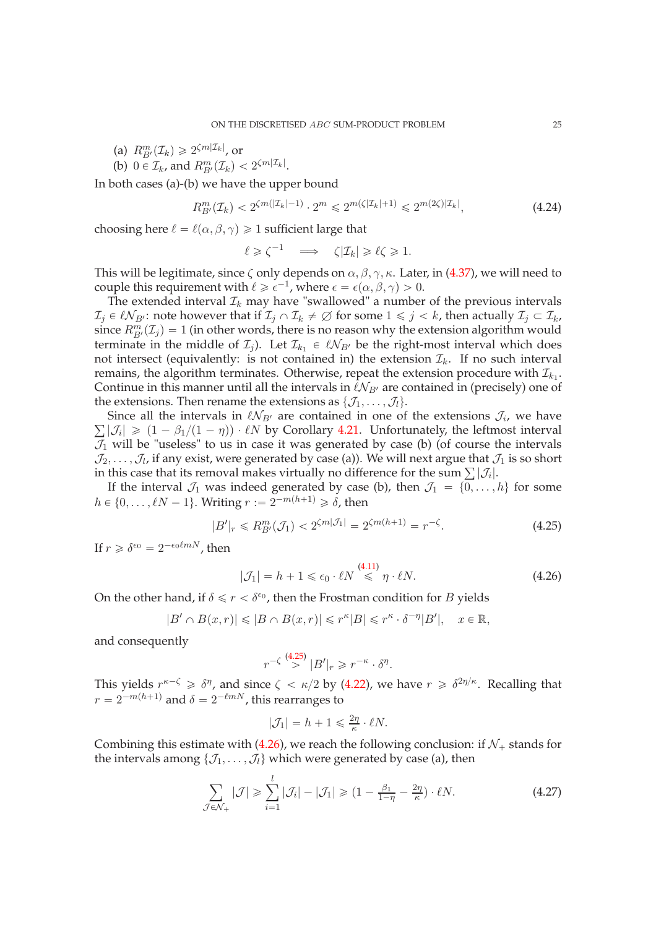- (a)  $R_{B'}^{m}(\mathcal{I}_k) \geq 2^{\zeta m |\mathcal{I}_k|}$ , or
- (b)  $0 \in \mathcal{I}_k$ , and  $R_{B'}^m(\mathcal{I}_k) < 2^{\zeta m |\mathcal{I}_k|}$ .

In both cases (a)-(b) we have the upper bound

<span id="page-24-2"></span>
$$
R_{B'}^{m}(\mathcal{I}_{k}) < 2^{\zeta m(|\mathcal{I}_{k}|-1)} \cdot 2^{m} \leq 2^{m(\zeta|\mathcal{I}_{k}|+1)} \leq 2^{m(2\zeta)|\mathcal{I}_{k}|},\tag{4.24}
$$

choosing here  $\ell = \ell(\alpha, \beta, \gamma) \geq 1$  sufficient large that

$$
\ell \geq \zeta^{-1} \quad \Longrightarrow \quad \zeta |\mathcal{I}_k| \geq \ell \zeta \geq 1.
$$

This will be legitimate, since  $\zeta$  only depends on  $\alpha, \beta, \gamma, \kappa$ . Later, in [\(4.37\)](#page-26-1), we will need to couple this requirement with  $\ell \geq \epsilon^{-1}$ , where  $\epsilon = \epsilon(\alpha, \beta, \gamma) > 0$ .

The extended interval  $\mathcal{I}_k$  may have "swallowed" a number of the previous intervals  $\mathcal{I}_j \in \ell \mathcal{N}_{B'}$ : note however that if  $\mathcal{I}_j \cap \mathcal{I}_k \neq \emptyset$  for some  $1 \leq j \leq k$ , then actually  $\mathcal{I}_j \subset \mathcal{I}_k$ , since  $R_{B'}^{m}(\mathcal{I}_j) = 1$  (in other words, there is no reason why the extension algorithm would terminate in the middle of  $\mathcal{I}_j$ ). Let  $\mathcal{I}_{k_1} \in \ell \mathcal{N}_{B'}$  be the right-most interval which does not intersect (equivalently: is not contained in) the extension  $\mathcal{I}_k$ . If no such interval remains, the algorithm terminates. Otherwise, repeat the extension procedure with  $\mathcal{I}_{k_1}$ . Continue in this manner until all the intervals in  $\ell \mathcal{N}_{B'}$  are contained in (precisely) one of the extensions. Then rename the extensions as  $\{\mathcal{J}_1, \ldots, \mathcal{J}_l\}.$ 

Since all the intervals in  $\ell \mathcal{N}_{B'}$  are contained in one of the extensions  $\mathcal{J}_i$ , we have  $\sum |\mathcal{J}_i| \geq (1 - \beta_1/(1 - \eta)) \cdot \ell N$  by Corollary [4.21.](#page-23-2) Unfortunately, the leftmost interval  $\mathcal{J}_1$  will be "useless" to us in case it was generated by case (b) (of course the intervals  $\mathcal{J}_2,\ldots,\mathcal{J}_l$ , if any exist, were generated by case (a)). We will next argue that  $\mathcal{J}_1$  is so short in this case that its removal makes virtually no difference for the sum  $\sum_i |\mathcal{J}_i|$ .

If the interval  $\mathcal{J}_1$  was indeed generated by case (b), then  $\mathcal{J}_1 = \{0, \ldots, h\}$  for some  $h \in \{0, \ldots, \ell N - 1\}$ . Writing  $r := 2^{-m(h+1)} \geq \delta$ , then

<span id="page-24-0"></span>
$$
|B'|_r \le R_{B'}^m(\mathcal{J}_1) < 2^{\zeta m|\mathcal{J}_1|} = 2^{\zeta m(h+1)} = r^{-\zeta}.\tag{4.25}
$$

If  $r \geq \delta^{\epsilon_0} = 2^{-\epsilon_0 \ell m N}$ , then

<span id="page-24-1"></span>
$$
|\mathcal{J}_1| = h + 1 \le \epsilon_0 \cdot \ell N \stackrel{\text{(4.11)}}{\le} \eta \cdot \ell N. \tag{4.26}
$$

On the other hand, if  $\delta \leq r < \delta^{\epsilon_0}$ , then the Frostman condition for B yields

$$
|B' \cap B(x,r)| \leq |B \cap B(x,r)| \leq r^{\kappa} |B| \leq r^{\kappa} \cdot \delta^{-\eta} |B'|, \quad x \in \mathbb{R},
$$

and consequently

$$
r^{-\zeta} \stackrel{(4.25)}{>} |B'|_r \geq r^{-\kappa} \cdot \delta^{\eta}.
$$

This yields  $r^{\kappa-\zeta} \geq \delta^{\eta}$ , and since  $\zeta < \kappa/2$  by [\(4.22\)](#page-23-3), we have  $r \geq \delta^{2\eta/\kappa}$ . Recalling that  $r = 2^{-m(h+1)}$  and  $\delta = 2^{-\ell m N}$ , this rearranges to

$$
|\mathcal{J}_1| = h + 1 \leq \frac{2\eta}{\kappa} \cdot \ell N.
$$

Combining this estimate with [\(4.26\)](#page-24-1), we reach the following conclusion: if  $\mathcal{N}_+$  stands for the intervals among  $\{\mathcal{J}_1, \ldots, \mathcal{J}_l\}$  which were generated by case (a), then

<span id="page-24-3"></span>
$$
\sum_{\mathcal{J}\in\mathcal{N}_+}|\mathcal{J}| \ge \sum_{i=1}^l |\mathcal{J}_i| - |\mathcal{J}_1| \ge (1 - \frac{\beta_1}{1-\eta} - \frac{2\eta}{\kappa}) \cdot \ell N. \tag{4.27}
$$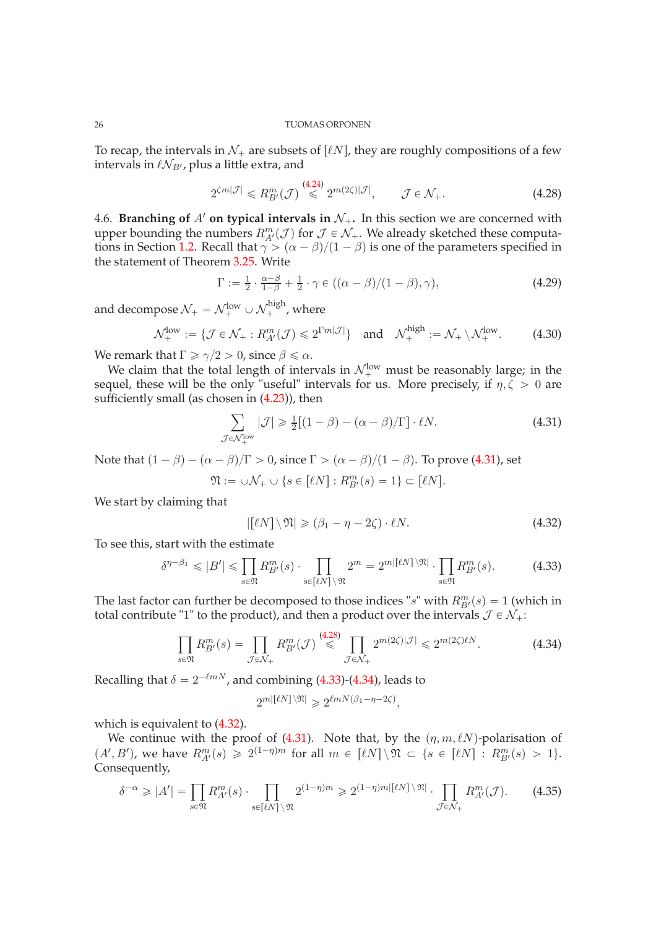To recap, the intervals in  $\mathcal{N}_+$  are subsets of  $\lbrack \ell N \rbrack$ , they are roughly compositions of a few intervals in  $\ell \mathcal{N}_{B}$ , plus a little extra, and

<span id="page-25-3"></span>
$$
2^{\zeta m|\mathcal{J}|} \leq R_{B'}^{m}(\mathcal{J}) \stackrel{(4.24)}{\leq} 2^{m(2\zeta)|\mathcal{J}|}, \qquad \mathcal{J} \in \mathcal{N}_{+}.
$$

<span id="page-25-0"></span>4.6. **Branching of** A' **on typical intervals in**  $\mathcal{N}_+$ . In this section we are concerned with upper bounding the numbers  $R_{A'}^m(\mathcal{J})$  for  $\mathcal{J} \in \mathcal{N}_+$ . We already sketched these computa-tions in Section [1.2.](#page-4-0) Recall that  $\gamma > (\alpha - \beta)/(1 - \beta)$  is one of the parameters specified in the statement of Theorem [3.25.](#page-13-1) Write

<span id="page-25-1"></span>
$$
\Gamma := \frac{1}{2} \cdot \frac{\alpha - \beta}{1 - \beta} + \frac{1}{2} \cdot \gamma \in ((\alpha - \beta)/(1 - \beta), \gamma), \tag{4.29}
$$

and decompose  $\mathcal{N}_+ = \mathcal{N}_+^{\text{low}} \cup \mathcal{N}_+^{\text{high}}$ , where

<span id="page-25-7"></span>
$$
\mathcal{N}_{+}^{\text{low}} := \{ \mathcal{J} \in \mathcal{N}_{+} : R_{A'}^{m}(\mathcal{J}) \leq 2^{\Gamma m |\mathcal{J}|} \} \text{ and } \mathcal{N}_{+}^{\text{high}} := \mathcal{N}_{+} \setminus \mathcal{N}_{+}^{\text{low}}. \tag{4.30}
$$

We remark that  $\Gamma \ge \gamma/2 > 0$ , since  $\beta \le \alpha$ .

We claim that the total length of intervals in  $\mathcal{N}_+^{\text{low}}$  must be reasonably large; in the sequel, these will be the only "useful" intervals for us. More precisely, if  $\eta, \zeta > 0$  are sufficiently small (as chosen in [\(4.23\)](#page-23-0)), then

<span id="page-25-2"></span>
$$
\sum_{\mathcal{J}\in\mathcal{N}_+^{\text{low}}}|\mathcal{J}|\geq \frac{1}{2}[(1-\beta)-(\alpha-\beta)/\Gamma]\cdot \ell N. \tag{4.31}
$$

Note that  $(1 - \beta) - (\alpha - \beta)/\Gamma > 0$ , since  $\Gamma > (\alpha - \beta)/(1 - \beta)$ . To prove [\(4.31\)](#page-25-2), set

$$
\mathfrak{N} := \cup \mathcal{N}_+ \cup \{ s \in [\ell N] : R_{B'}^m(s) = 1 \} \subset [\ell N].
$$

We start by claiming that

<span id="page-25-6"></span>
$$
|[\ell N] \setminus \mathfrak{N}| \geq (\beta_1 - \eta - 2\zeta) \cdot \ell N. \tag{4.32}
$$

To see this, start with the estimate

<span id="page-25-4"></span>
$$
\delta^{\eta-\beta_1} \leqslant |B'| \leqslant \prod_{s \in \mathfrak{N}} R_{B'}^m(s) \cdot \prod_{s \in [\ell N]} 2^m = 2^{m|[\ell N]}^{\mathfrak{N}} \cdot \prod_{s \in \mathfrak{N}} R_{B'}^m(s). \tag{4.33}
$$

The last factor can further be decomposed to those indices "s" with  $R_{B'}^m(s) = 1$  (which in total contribute "1" to the product), and then a product over the intervals  $\mathcal{J} \in \mathcal{N}_+$ :

<span id="page-25-5"></span>
$$
\prod_{s \in \mathfrak{N}} R_{B'}^{m}(s) = \prod_{\mathcal{J} \in \mathcal{N}_{+}} R_{B'}^{m}(\mathcal{J}) \stackrel{(4.28)}{\leqslant} \prod_{\mathcal{J} \in \mathcal{N}_{+}} 2^{m(2\zeta)|\mathcal{J}|} \leqslant 2^{m(2\zeta)\ell N}.
$$
 (4.34)

Recalling that  $\delta = 2^{-\ell m N}$ , and combining [\(4.33\)](#page-25-4)-[\(4.34\)](#page-25-5), leads to

$$
2^{m\left\lceil \ell N\right\rceil \setminus \mathfrak{N}} \geqslant 2^{\ell m N\left(\beta_1 - \eta - 2\zeta\right)},
$$

which is equivalent to [\(4.32\)](#page-25-6).

We continue with the proof of [\(4.31\)](#page-25-2). Note that, by the  $(\eta, m, \ell N)$ -polarisation of  $(A', B')$ , we have  $R_{A'}^m(s) \geq 2^{(1-\eta)m}$  for all  $m \in [\ell N] \setminus \mathfrak{N} \subset \{s \in [\ell N] : R_{B'}^m(s) > 1\}.$ Consequently,

<span id="page-25-8"></span>
$$
\delta^{-\alpha} \geqslant |A'| = \prod_{s \in \mathfrak{N}} R_{A'}^m(s) \cdot \prod_{s \in [\ell N]} 2^{(1-\eta)m} \geqslant 2^{(1-\eta)m|[\ell N]} \cdot \prod_{\mathcal{J} \in \mathcal{N}_+} R_{A'}^m(\mathcal{J}). \tag{4.35}
$$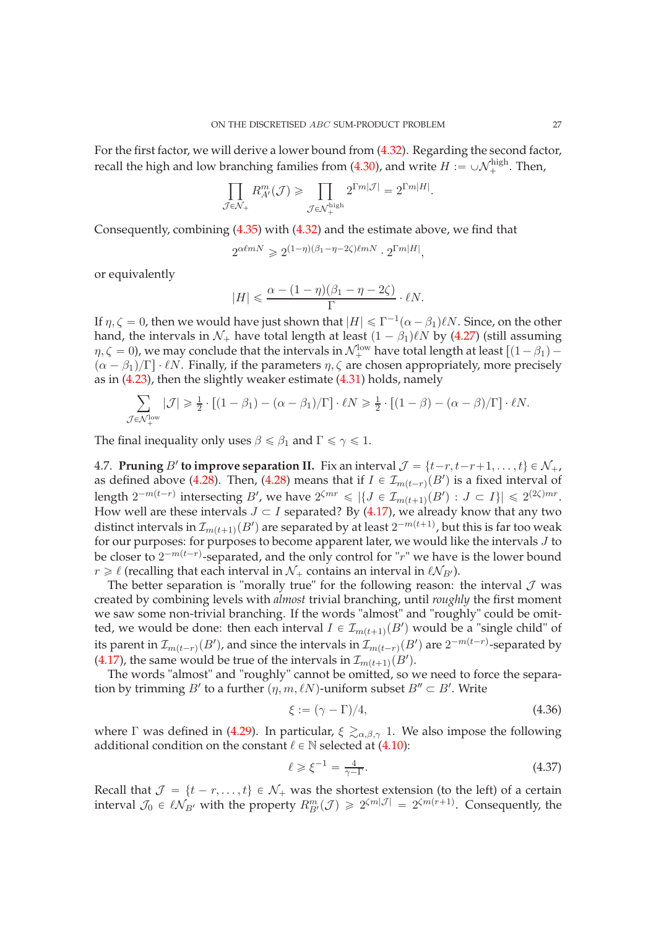For the first factor, we will derive a lower bound from [\(4.32\)](#page-25-6). Regarding the second factor, recall the high and low branching families from [\(4.30\)](#page-25-7), and write  $H := \cup \mathcal{N}_{+}^{\text{high}}$ . Then,

$$
\prod_{\mathcal{J}\in\mathcal{N}_{+}}R_{A'}^{m}(\mathcal{J})\geqslant\prod_{\mathcal{J}\in\mathcal{N}_{+}^{\mathrm{high}}}2^{\Gamma m|\mathcal{J}|}=2^{\Gamma m|H|}
$$

.

Consequently, combining [\(4.35\)](#page-25-8) with [\(4.32\)](#page-25-6) and the estimate above, we find that

$$
2^{\alpha \ell m N} \geqslant 2^{(1-\eta)(\beta_1-\eta-2\zeta)\ell m N} \cdot 2^{\Gamma m |H|},
$$

or equivalently

$$
|H| \leq \frac{\alpha - (1 - \eta)(\beta_1 - \eta - 2\zeta)}{\Gamma} \cdot \ell N.
$$

If  $\eta, \zeta = 0$ , then we would have just shown that  $|H| \leq \Gamma^{-1}(\alpha - \beta_1)\ell N$ . Since, on the other hand, the intervals in  $\mathcal{N}_+$  have total length at least  $(1 - \beta_1)\ell N$  by [\(4.27\)](#page-24-3) (still assuming  $\eta, \zeta = 0$ ), we may conclude that the intervals in  $\mathcal{N}_{+}^{\text{low}}$  have total length at least  $[(1 - \beta_1) (\alpha - \beta_1)/\Gamma$  ·  $\ell N$ . Finally, if the parameters  $\eta$ ,  $\zeta$  are chosen appropriately, more precisely as in [\(4.23\)](#page-23-0), then the slightly weaker estimate [\(4.31\)](#page-25-2) holds, namely

$$
\sum_{\mathcal{J}\in\mathcal{N}_{+}^{\text{low}}}|\mathcal{J}|\geqslant\frac{1}{2}\cdot\left[(1-\beta_{1})-(\alpha-\beta_{1})/\Gamma\right]\cdot\ell N\geqslant\frac{1}{2}\cdot\left[(1-\beta)-(\alpha-\beta)/\Gamma\right]\cdot\ell N.
$$

The final inequality only uses  $\beta \le \beta_1$  and  $\Gamma \le \gamma \le 1$ .

<span id="page-26-0"></span>4.7. **Pruning** B' to **improve separation II.** Fix an interval  $\mathcal{J} = \{t-r, t-r+1, \ldots, t\} \in \mathcal{N}_+,$ as defined above [\(4.28\)](#page-25-3). Then, [\(4.28\)](#page-25-3) means that if  $I \in \mathcal{I}_{m(t-r)}(B')$  is a fixed interval of length  $2^{-m(t-r)}$  intersecting B', we have  $2^{\zeta mr} \leq \left|\left\{J \in \mathcal{I}_{m(t+1)}(B') : J \subset I\right\}\right| \leq 2^{(2\zeta)mr}$ . How well are these intervals  $J \subset I$  separated? By [\(4.17\)](#page-21-1), we already know that any two distinct intervals in  $\mathcal{I}_{m(t+1)}(B')$  are separated by at least  $2^{-m(t+1)}$ , but this is far too weak for our purposes: for purposes to become apparent later, we would like the intervals J to be closer to  $2^{-m(t-r)}$ -separated, and the only control for "r" we have is the lower bound  $r \geq \ell$  (recalling that each interval in  $\mathcal{N}_+$  contains an interval in  $\ell \mathcal{N}_{B'}$ ).

The better separation is "morally true" for the following reason: the interval  $\mathcal J$  was created by combining levels with *almost* trivial branching, until *roughly* the first moment we saw some non-trivial branching. If the words "almost" and "roughly" could be omitted, we would be done: then each interval  $I \in \mathcal{I}_{m(t+1)}(B')$  would be a "single child" of its parent in  $\mathcal{I}_{m(t-r)}(B')$ , and since the intervals in  $\mathcal{I}_{m(t-r)}(B')$  are  $2^{-m(t-r)}$ -separated by [\(4.17\)](#page-21-1), the same would be true of the intervals in  $\mathcal{I}_{m(t+1)}(B')$ .

The words "almost" and "roughly" cannot be omitted, so we need to force the separation by trimming  $B'$  to a further  $(\eta, m, \ell N)$ -uniform subset  $B'' \subset B'$ . Write

<span id="page-26-2"></span>
$$
\xi := (\gamma - \Gamma)/4,\tag{4.36}
$$

where Γ was defined in [\(4.29\)](#page-25-1). In particular,  $\xi \gtrsim_{\alpha,\beta,\gamma} 1$ . We also impose the following additional condition on the constant  $\ell \in \mathbb{N}$  selected at [\(4.10\)](#page-19-2):

<span id="page-26-1"></span>
$$
\ell \geqslant \xi^{-1} = \frac{4}{\gamma - \Gamma}.\tag{4.37}
$$

Recall that  $\mathcal{J} = \{t - r, \ldots, t\} \in \mathcal{N}_+$  was the shortest extension (to the left) of a certain interval  $\mathcal{J}_0 \in \ell \mathcal{N}_{B'}$  with the property  $R_{B'}^m(\mathcal{J}) \geq 2^{\zeta m |\mathcal{J}|} = 2^{\zeta m (r+1)}$ . Consequently, the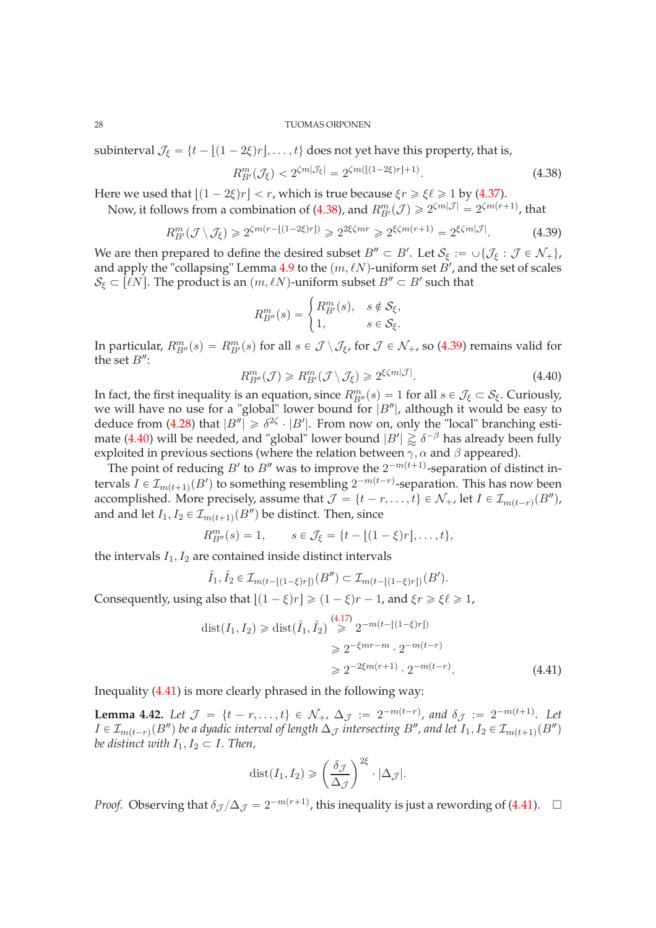subinterval  $\mathcal{J}_{\xi} = \{t - |(1 - 2\xi)r|, \dots, t\}$  does not yet have this property, that is,

<span id="page-27-0"></span>
$$
R_{B'}^{m}(\mathcal{J}_{\xi}) < 2^{\zeta m|\mathcal{J}_{\xi}|} = 2^{\zeta m([1-2\xi)r]+1)}.
$$
\n(4.38)

Here we used that  $\lfloor (1 - 2\xi)r \rfloor < r$ , which is true because  $\xi r \ge \xi \ell \ge 1$  by [\(4.37\)](#page-26-1). Now, it follows from a combination of [\(4.38\)](#page-27-0), and  $R_{B'}^{m}(\mathcal{J}) \geq 2^{\zeta m |\mathcal{J}|} = 2^{\zeta m(r+1)}$ , that

<span id="page-27-1"></span>
$$
R_{B'}^{m}(\mathcal{J}\setminus\mathcal{J}_{\xi})\geqslant 2^{\zeta m(r-\lfloor(1-2\xi)r\rfloor)}\geqslant 2^{2\xi\zeta mr}\geqslant 2^{\xi\zeta m(r+1)}=2^{\xi\zeta m|\mathcal{J}|}.\tag{4.39}
$$

We are then prepared to define the desired subset  $B'' \subset B'$ . Let  $S_{\xi} := \cup \{ \mathcal{J}_{\xi} : \mathcal{J} \in \mathcal{N}_+ \},$ and apply the "collapsing" Lemma [4.9](#page-19-3) to the  $(m, \ell N)$ -uniform set  $\vec{B}$ , and the set of scales  $\mathcal{S}_\xi \subset \overline{[\ell N]}$ . The product is an  $(m, \ell N)$ -uniform subset  $B'' \subset B'$  such that

$$
R_{B''}^m(s) = \begin{cases} R_{B'}^m(s), & s \notin \mathcal{S}_{\xi}, \\ 1, & s \in \mathcal{S}_{\xi}. \end{cases}
$$

In particular,  $R_{B''}^m(s) = R_{B'}^m(s)$  for all  $s \in \mathcal{J} \setminus \mathcal{J}_{\xi}$ , for  $\mathcal{J} \in \mathcal{N}_+$ , so [\(4.39\)](#page-27-1) remains valid for the set  $B''$ :

<span id="page-27-2"></span>
$$
R_{B''}^m(\mathcal{J}) \ge R_{B'}^m(\mathcal{J} \setminus \mathcal{J}_{\xi}) \ge 2^{\xi \zeta m |\mathcal{J}|}.
$$
\n(4.40)

In fact, the first inequality is an equation, since  $R_{B''}^m(s) = 1$  for all  $s \in \mathcal{J}_{\xi} \subset \mathcal{S}_{\xi}$ . Curiously, we will have no use for a "global" lower bound for  $|B''|$ , although it would be easy to deduce from [\(4.28\)](#page-25-3) that  $|B''| \ge \delta^{2\zeta} \cdot |B'|$ . From now on, only the "local" branching esti-mate [\(4.40\)](#page-27-2) will be needed, and "global" lower bound  $|B'| \gtrapprox \delta^{-\beta}$  has already been fully exploited in previous sections (where the relation between  $\gamma$ ,  $\alpha$  and  $\beta$  appeared).

The point of reducing  $B'$  to  $B''$  was to improve the  $2^{-m(t+1)}$ -separation of distinct intervals  $I \in \mathcal{I}_{m(t+1)}(B')$  to something resembling  $2^{-m(t-r)}$ -separation. This has now been accomplished. More precisely, assume that  $\mathcal{J} = \{t - r, \ldots, t\} \in \mathcal{N}_+$ , let  $I \in \mathcal{I}_{m(t-r)}(B'')$ , and and let  $I_1, I_2 \in \mathcal{I}_{m(t+1)}(B'')$  be distinct. Then, since

$$
R_{B''}^m(s) = 1, \qquad s \in \mathcal{J}_{\xi} = \{t - \lfloor (1 - \xi)r \rfloor, \dots, t\},\
$$

the intervals  $I_1, I_2$  are contained inside distinct intervals

$$
\hat{I}_1, \hat{I}_2 \in \mathcal{I}_{m(t - \lfloor (1 - \xi)r \rfloor)}(B'') \subset \mathcal{I}_{m(t - \lfloor (1 - \xi)r \rfloor)}(B').
$$

Consequently, using also that  $|(1 - \xi)r| \geq (1 - \xi)r - 1$ , and  $\xi r \geq \xi \ell \geq 1$ ,

$$
dist(I_1, I_2) \geq dist(\hat{I}_1, \hat{I}_2) \stackrel{(4.17)}{\geq} 2^{-m(t - [(1 - \xi)r])}
$$
  

$$
\geq 2^{-\xi mr - m} \cdot 2^{-m(t - r)}
$$
  

$$
\geq 2^{-2\xi m(r+1)} \cdot 2^{-m(t - r)}.
$$
 (4.41)

Inequality [\(4.41\)](#page-27-3) is more clearly phrased in the following way:

<span id="page-27-4"></span>**Lemma 4.42.** Let  $\mathcal{J} = \{t - r, \ldots, t\} \in \mathcal{N}_+, \Delta_{\mathcal{J}} := 2^{-m(t-r)}$ , and  $\delta_{\mathcal{J}} := 2^{-m(t+1)}$ . Let  $I \in \mathcal{I}_{m(t-r)}(B'')$  be a dyadic interval of length  $\Delta_{\mathcal{J}}$  intersecting  $B''$ , and let  $I_1, I_2 \in \mathcal{I}_{m(t+1)}(B'')$ *be distinct with*  $I_1, I_2 \subset I$ . Then,

<span id="page-27-3"></span>
$$
dist(I_1, I_2) \geqslant \left(\frac{\delta_{\mathcal{J}}}{\Delta_{\mathcal{J}}}\right)^{2\xi} \cdot |\Delta_{\mathcal{J}}|.
$$

*Proof.* Observing that  $\delta_{\mathcal{J}}/\Delta_{\mathcal{J}} = 2^{-m(r+1)}$ , this inequality is just a rewording of [\(4.41\)](#page-27-3).  $\Box$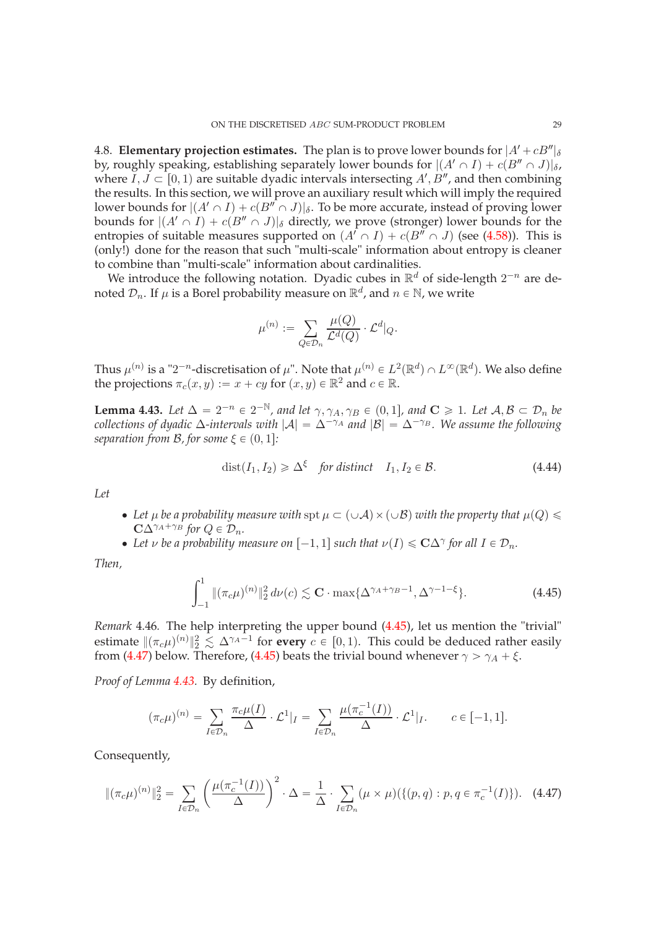<span id="page-28-0"></span>4.8. **Elementary projection estimates.** The plan is to prove lower bounds for  $|A' + cB''|_{\delta}$ by, roughly speaking, establishing separately lower bounds for  $|(A' \cap I) + c(B'' \cap J)|_{\delta}$ , where  $\overline{I}, \overline{J} \subset [0, 1)$  are suitable dyadic intervals intersecting  $A', B''$ , and then combining the results. In this section, we will prove an auxiliary result which will imply the required lower bounds for  $|(A' \cap I) + c(B'' \cap J)|_{\delta}$ . To be more accurate, instead of proving lower bounds for  $|(A' \cap I) + c(B'' \cap J)|_{\delta}$  directly, we prove (stronger) lower bounds for the entropies of suitable measures supported on  $(A' \cap I) + c(B'' \cap J)$  (see [\(4.58\)](#page-31-2)). This is (only!) done for the reason that such "multi-scale" information about entropy is cleaner to combine than "multi-scale" information about cardinalities.

We introduce the following notation. Dyadic cubes in  $\mathbb{R}^d$  of side-length  $2^{-n}$  are denoted  $\mathcal{D}_n$ . If  $\mu$  is a Borel probability measure on  $\mathbb{R}^d$ , and  $n \in \mathbb{N}$ , we write

$$
\mu^{(n)}:=\sum_{Q\in \mathcal{D}_n}\frac{\mu(Q)}{\mathcal{L}^d(Q)}\cdot \mathcal{L}^d|_Q.
$$

Thus  $\mu^{(n)}$  is a "2<sup>-n</sup>-discretisation of  $\mu$ ". Note that  $\mu^{(n)} \in L^2(\mathbb{R}^d) \cap L^\infty(\mathbb{R}^d)$ . We also define the projections  $\pi_c(x, y) := x + cy$  for  $(x, y) \in \mathbb{R}^2$  and  $c \in \mathbb{R}$ .

<span id="page-28-1"></span>**Lemma 4.43.** Let  $\Delta = 2^{-n} \in 2^{-\mathbb{N}}$ , and let  $\gamma$ ,  $\gamma_A$ ,  $\gamma_B \in (0, 1]$ , and  $\mathbf{C} \geq 1$ . Let  $\mathcal{A}, \mathcal{B} \subset \mathcal{D}_n$  be *collections of dyadic*  $\Delta$ -intervals with  $|\mathcal{A}| = \Delta^{-\gamma_A}$  and  $|\mathcal{B}| = \Delta^{-\gamma_B}$ . We assume the following *separation from B, for some*  $\xi \in (0, 1]$ *:* 

<span id="page-28-4"></span>
$$
dist(I_1, I_2) \ge \Delta^{\xi} \quad \text{for distinct} \quad I_1, I_2 \in \mathcal{B}.\tag{4.44}
$$

*Let*

- Let  $\mu$  be a probability measure with spt  $\mu \subset (\cup \mathcal{A}) \times (\cup \mathcal{B})$  with the property that  $\mu(Q) \leq$  $C\Delta^{\gamma_A+\gamma_B}$  for  $Q \in \mathcal{D}_n$ .
- Let *ν* be a probability measure on  $[-1, 1]$  such that  $\nu(I) \leq C\Delta^{\gamma}$  for all  $I \in \mathcal{D}_n$ .

*Then,*

<span id="page-28-2"></span>
$$
\int_{-1}^{1} \|(\pi_c \mu)^{(n)}\|_2^2 d\nu(c) \lesssim \mathbf{C} \cdot \max\{\Delta^{\gamma_A + \gamma_B - 1}, \Delta^{\gamma - 1 - \xi}\}.
$$
 (4.45)

*Remark* 4.46*.* The help interpreting the upper bound [\(4.45\)](#page-28-2), let us mention the "trivial" estimate  $\|(\pi_c\mu)^{(n)}\|_2^2 \lesssim \Delta^{\gamma_A-1}$  for **every**  $c \in [0,1)$ . This could be deduced rather easily from [\(4.47\)](#page-28-3) below. Therefore, [\(4.45\)](#page-28-2) beats the trivial bound whenever  $\gamma > \gamma_A + \xi$ .

*Proof of Lemma [4.43.](#page-28-1)* By definition,

$$
(\pi_c \mu)^{(n)} = \sum_{I \in \mathcal{D}_n} \frac{\pi_c \mu(I)}{\Delta} \cdot \mathcal{L}^1|_I = \sum_{I \in \mathcal{D}_n} \frac{\mu(\pi_c^{-1}(I))}{\Delta} \cdot \mathcal{L}^1|_I, \qquad c \in [-1, 1].
$$

Consequently,

<span id="page-28-3"></span>
$$
\|(\pi_c \mu)^{(n)}\|_2^2 = \sum_{I \in \mathcal{D}_n} \left(\frac{\mu(\pi_c^{-1}(I))}{\Delta}\right)^2 \cdot \Delta = \frac{1}{\Delta} \cdot \sum_{I \in \mathcal{D}_n} (\mu \times \mu) (\{(p, q) : p, q \in \pi_c^{-1}(I)\}). \tag{4.47}
$$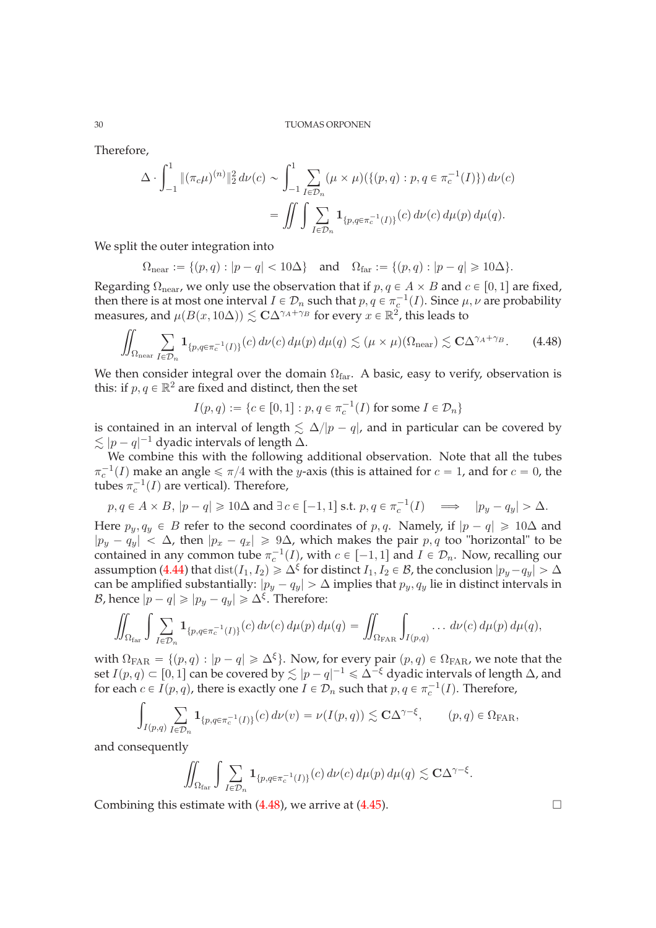Therefore,

$$
\Delta \cdot \int_{-1}^{1} \|(\pi_c \mu)^{(n)}\|_2^2 d\nu(c) \sim \int_{-1}^{1} \sum_{I \in \mathcal{D}_n} (\mu \times \mu) (\{(p, q) : p, q \in \pi_c^{-1}(I)\}) d\nu(c)
$$
  
= 
$$
\iint \int \sum_{I \in \mathcal{D}_n} \mathbf{1}_{\{p, q \in \pi_c^{-1}(I)\}}(c) d\nu(c) d\mu(p) d\mu(q).
$$

We split the outer integration into

$$
\Omega_{\text{near}} := \{ (p,q) : |p-q| < 10\Delta \} \quad \text{and} \quad \Omega_{\text{far}} := \{ (p,q) : |p-q| \geq 10\Delta \}.
$$

Regarding  $\Omega_{\text{near}}$ , we only use the observation that if  $p, q \in A \times B$  and  $c \in [0, 1]$  are fixed, then there is at most one interval  $I \in \mathcal{D}_n$  such that  $p, q \in \pi_{\alpha}^{-1}(I)$ . Since  $\mu, \nu$  are probability measures, and  $\mu(B(x, 10\Delta)) \lesssim C\Delta^{\gamma_A + \gamma_B}$  for every  $x \in \mathbb{R}^2$ , this leads to

<span id="page-29-0"></span>
$$
\iint_{\Omega_{\text{near}}} \sum_{I \in \mathcal{D}_n} \mathbf{1}_{\{p, q \in \pi_c^{-1}(I)\}}(c) d\nu(c) d\mu(p) d\mu(q) \lesssim (\mu \times \mu)(\Omega_{\text{near}}) \lesssim C\Delta^{\gamma_A + \gamma_B}.
$$
 (4.48)

We then consider integral over the domain  $\Omega_{\text{far}}$ . A basic, easy to verify, observation is this: if  $p, q \in \mathbb{R}^2$  are fixed and distinct, then the set

$$
I(p,q) := \{c \in [0,1] : p, q \in \pi_c^{-1}(I) \text{ for some } I \in \mathcal{D}_n\}
$$

is contained in an interval of length  $\leq \Delta/|p - q|$ , and in particular can be covered by  $\lesssim |p - q|^{-1}$  dyadic intervals of length ∆.

We combine this with the following additional observation. Note that all the tubes  $\pi_c^{-1}(I)$  make an angle  $\le \pi/4$  with the y-axis (this is attained for  $c = 1$ , and for  $c = 0$ , the tubes  $\pi_c^{-1}(I)$  are vertical). Therefore,

$$
p, q \in A \times B, |p - q| \geq 10\Delta
$$
 and  $\exists c \in [-1, 1]$  s.t.  $p, q \in \pi_c^{-1}(I) \implies |p_y - q_y| > \Delta$ .

Here  $p_y, q_y \in B$  refer to the second coordinates of p, q. Namely, if  $|p - q| \geq 10\Delta$  and  $|p_y - q_y| < \Delta$ , then  $|p_x - q_x| \ge 9\Delta$ , which makes the pair p, q too "horizontal" to be contained in any common tube  $\pi_c^{-1}(I)$ , with  $c \in [-1, 1]$  and  $I \in \mathcal{D}_n$ . Now, recalling our assumption [\(4.44\)](#page-28-4) that  $dist(I_1, I_2) \geq \Delta^{\xi}$  for distinct  $I_1, I_2 \in \mathcal{B}$ , the conclusion  $|p_y - q_y| > \Delta$ can be amplified substantially:  $|p_y - q_y| > \Delta$  implies that  $p_y, q_y$  lie in distinct intervals in *B*, hence  $|p - q| \geqslant |p_y - q_y| \geqslant \Delta^{\xi}$ . Therefore:

$$
\iint_{\Omega_{\text{far}}} \int \sum_{I \in \mathcal{D}_n} \mathbf{1}_{\{p,q \in \pi_c^{-1}(I)\}}(c) d\nu(c) d\mu(p) d\mu(q) = \iint_{\Omega_{\text{FAR}}} \int_{I(p,q)} \ldots d\nu(c) d\mu(p) d\mu(q),
$$

with  $\Omega_{\text{FAR}} = \{(p, q) : |p - q| \geq \Delta^{\xi}\}\.$  Now, for every pair  $(p, q) \in \Omega_{\text{FAR}}$ , we note that the set  $I(p, q) \subset [0, 1]$  can be covered by  $\lesssim |p - q|^{-1} \leq \Delta^{-\xi}$  dyadic intervals of length  $\Delta$ , and for each  $c \in I(p,q)$ , there is exactly one  $I \in \mathcal{D}_n$  such that  $p, q \in \pi_c^{-1}(I)$ . Therefore,

$$
\int_{I(p,q)} \sum_{I \in \mathcal{D}_n} \mathbf{1}_{\{p,q \in \pi_c^{-1}(I)\}}(c) d\nu(v) = \nu(I(p,q)) \lesssim \mathbf{C}\Delta^{\gamma-\xi}, \qquad (p,q) \in \Omega_{\text{FAR}},
$$

and consequently

$$
\iint_{\Omega_{\text{far}}} \int \sum_{I \in \mathcal{D}_n} \mathbf{1}_{\{p,q \in \pi_c^{-1}(I)\}}(c) d\nu(c) d\mu(p) d\mu(q) \lesssim C\Delta^{\gamma-\xi}.
$$

Combining this estimate with  $(4.48)$ , we arrive at  $(4.45)$ .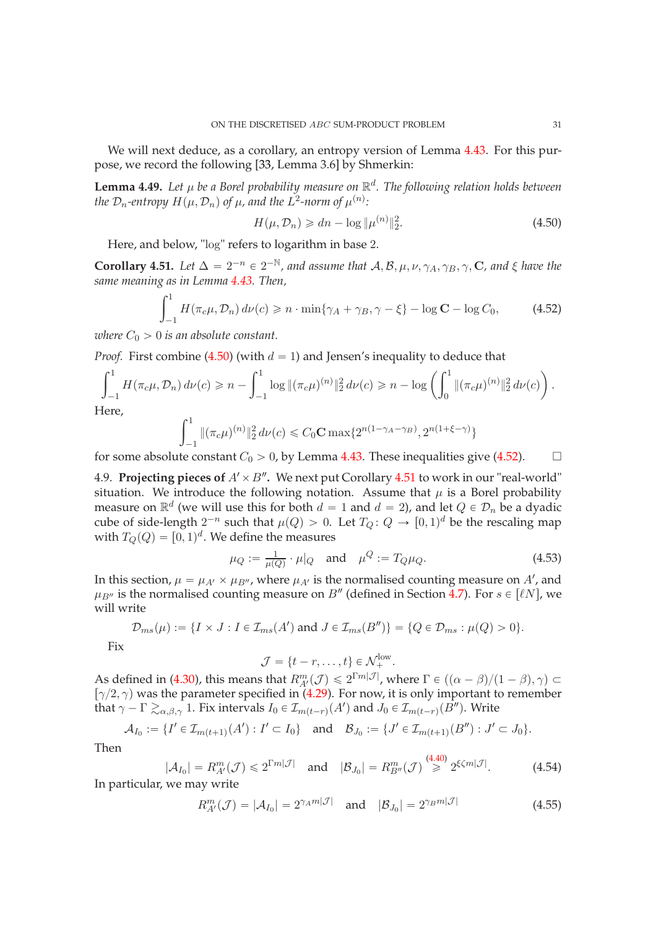We will next deduce, as a corollary, an entropy version of Lemma [4.43.](#page-28-1) For this purpose, we record the following [\[33,](#page-34-26) Lemma 3.6] by Shmerkin:

**Lemma 4.49.** *Let* µ *be a Borel probability measure on* R d *. The following relation holds between the*  $\mathcal{D}_n$ -entropy  $H(\mu, \mathcal{D}_n)$  of  $\mu$ , and the  $L^2$ -norm of  $\mu^{(n)}$ :

<span id="page-30-1"></span>
$$
H(\mu, \mathcal{D}_n) \geq d\eta - \log \|\mu^{(n)}\|_2^2.
$$
 (4.50)

Here, and below, "log" refers to logarithm in base 2.

<span id="page-30-3"></span>**Corollary 4.51.** Let  $\Delta = 2^{-n} \in 2^{-\mathbb{N}}$ , and assume that  $\mathcal{A}, \mathcal{B}, \mu, \nu, \gamma_A, \gamma_B, \gamma$ , **C**, and  $\xi$  have the *same meaning as in Lemma [4.43.](#page-28-1) Then,*

<span id="page-30-2"></span>
$$
\int_{-1}^{1} H(\pi_c \mu, \mathcal{D}_n) d\nu(c) \ge n \cdot \min\{\gamma_A + \gamma_B, \gamma - \xi\} - \log \mathbf{C} - \log C_0,\tag{4.52}
$$

*where*  $C_0 > 0$  *is an absolute constant.* 

*Proof.* First combine [\(4.50\)](#page-30-1) (with  $d = 1$ ) and Jensen's inequality to deduce that

$$
\int_{-1}^{1} H(\pi_c \mu, \mathcal{D}_n) d\nu(c) \ge n - \int_{-1}^{1} \log \|(\pi_c \mu)^{(n)}\|_2^2 d\nu(c) \ge n - \log \left(\int_{0}^{1} \|(\pi_c \mu)^{(n)}\|_2^2 d\nu(c)\right).
$$
  
Here,

 $\mathbb{F}$ 

$$
\int_{-1}^{1} \|(\pi_c \mu)^{(n)}\|_2^2 d\nu(c) \leq C_0 \mathbf{C} \max\{2^{n(1-\gamma_A-\gamma_B)}, 2^{n(1+\xi-\gamma)}\}
$$

<span id="page-30-0"></span>for some absolute constant  $C_0 > 0$ , by Lemma [4.43.](#page-28-1) These inequalities give [\(4.52\)](#page-30-2).  $\Box$ 

4.9. **Projecting pieces of**  $A' \times B''$ . We next put Corollary [4.51](#page-30-3) to work in our "real-world" situation. We introduce the following notation. Assume that  $\mu$  is a Borel probability measure on  $\mathbb{R}^d$  (we will use this for both  $d = 1$  and  $d = 2$ ), and let  $Q \in \mathcal{D}_n$  be a dyadic cube of side-length  $2^{-n}$  such that  $\mu(Q) > 0$ . Let  $T_Q: Q \to [0, 1]^d$  be the rescaling map with  $T_Q(Q) = [0, 1)^d$ . We define the measures

<span id="page-30-4"></span>
$$
\mu_Q := \frac{1}{\mu(Q)} \cdot \mu|_Q \text{ and } \mu^Q := T_Q \mu_Q.
$$
\n(4.53)

In this section,  $\mu = \mu_{A'} \times \mu_{B''}$ , where  $\mu_{A'}$  is the normalised counting measure on A', and  $\mu_{B''}$  is the normalised counting measure on  $B''$  (defined in Section [4.7\)](#page-26-0). For  $s \in [lnN]$ , we will write

$$
\mathcal{D}_{ms}(\mu) := \{ I \times J : I \in \mathcal{I}_{ms}(A') \text{ and } J \in \mathcal{I}_{ms}(B'') \} = \{ Q \in \mathcal{D}_{ms} : \mu(Q) > 0 \}.
$$

Fix

$$
\mathcal{J} = \{t - r, \dots, t\} \in \mathcal{N}_{+}^{\text{low}}.
$$

As defined in [\(4.30\)](#page-25-7), this means that  $R_{A'}^{m}(\mathcal{J}) \leq 2^{\Gamma m|\mathcal{J}|}$ , where  $\Gamma \in ((\alpha - \beta)/(1 - \beta), \gamma) \subset$  $\lceil \gamma/2, \gamma \rceil$  was the parameter specified in [\(4.29\)](#page-25-1). For now, it is only important to remember that  $\gamma - \Gamma \gtrsim_{\alpha,\beta,\gamma} 1$ . Fix intervals  $I_0 \in \mathcal{I}_{m(t - r)}(A')$  and  $J_0 \in \mathcal{I}_{m(t - r)}(B'')$ . Write

$$
\mathcal{A}_{I_0} := \{ I' \in \mathcal{I}_{m(t+1)}(A') : I' \subset I_0 \} \text{ and } \mathcal{B}_{J_0} := \{ J' \in \mathcal{I}_{m(t+1)}(B'') : J' \subset J_0 \}.
$$

Then

<span id="page-30-6"></span>
$$
|\mathcal{A}_{I_0}| = R_{A'}^m(\mathcal{J}) \leq 2^{\Gamma m |\mathcal{J}|} \quad \text{and} \quad |\mathcal{B}_{J_0}| = R_{B''}^m(\mathcal{J}) \stackrel{(4.40)}{\geq} 2^{\xi \zeta m |\mathcal{J}|}.
$$
 (4.54)

In particular, we may write

<span id="page-30-5"></span>
$$
R_{A'}^{m}(\mathcal{J}) = |\mathcal{A}_{I_0}| = 2^{\gamma_A m |\mathcal{J}|} \quad \text{and} \quad |\mathcal{B}_{J_0}| = 2^{\gamma_B m |\mathcal{J}|} \tag{4.55}
$$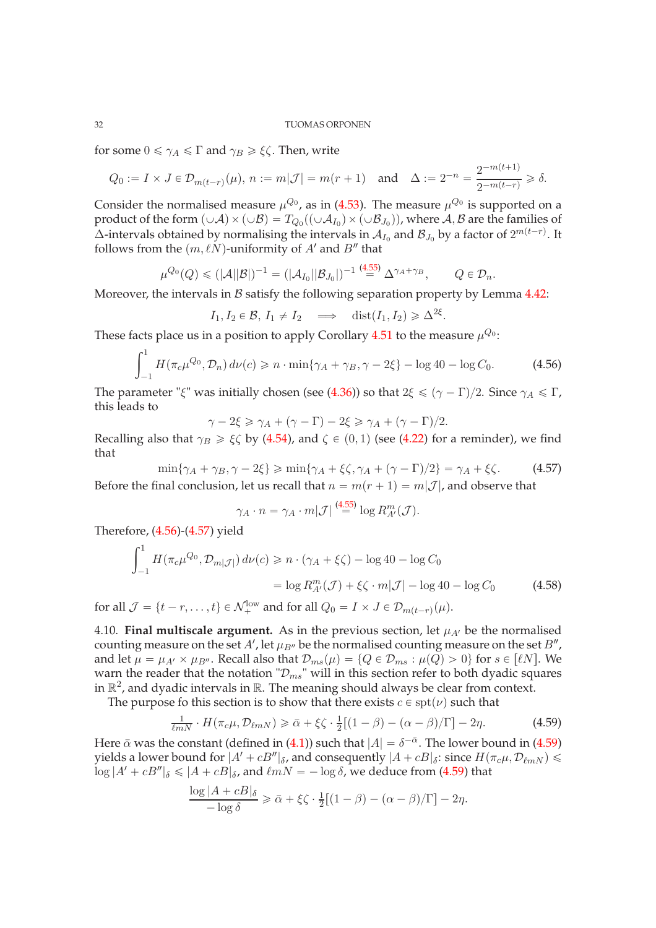for some  $0 \le \gamma_A \le \Gamma$  and  $\gamma_B \ge \xi \zeta$ . Then, write

$$
Q_0 := I \times J \in \mathcal{D}_{m(t-r)}(\mu), n := m|\mathcal{J}| = m(r+1)
$$
 and  $\Delta := 2^{-n} = \frac{2^{-m(t+1)}}{2^{-m(t-r)}} \ge \delta.$ 

Consider the normalised measure  $\mu^{Q_0}$ , as in [\(4.53\)](#page-30-4). The measure  $\mu^{Q_0}$  is supported on a product of the form  $(\cup A) \times (\cup B) = T_{Q_0}((\cup A_{I_0}) \times (\cup B_{J_0}))$ , where  $A, B$  are the families of  $\Delta$ -intervals obtained by normalising the intervals in  ${\cal A}_{I_0}$  and  ${\cal B}_{J_0}$  by a factor of  $2^{m(t-r)}.$  It follows from the  $(m, \ell N)$ -uniformity of  $A'$  and  $B''$  that

$$
\mu^{Q_0}(Q) \leq (|\mathcal{A}| |\mathcal{B}|)^{-1} = (|\mathcal{A}_{I_0}| |\mathcal{B}_{J_0}|)^{-1} \stackrel{(4.55)}{=} \Delta^{\gamma_A + \gamma_B}, \qquad Q \in \mathcal{D}_n.
$$

Moreover, the intervals in  $\beta$  satisfy the following separation property by Lemma [4.42:](#page-27-4)

$$
I_1, I_2 \in \mathcal{B}, I_1 \neq I_2 \implies \text{dist}(I_1, I_2) \geq \Delta^{2\xi}.
$$

These facts place us in a position to apply Corollary [4.51](#page-30-3) to the measure  $\mu^{Q_0}$ :

<span id="page-31-3"></span>
$$
\int_{-1}^{1} H(\pi_c \mu^{Q_0}, \mathcal{D}_n) d\nu(c) \geq n \cdot \min\{\gamma_A + \gamma_B, \gamma - 2\xi\} - \log 40 - \log C_0.
$$
 (4.56)

The parameter "ξ" was initially chosen (see [\(4.36\)](#page-26-2)) so that  $2\xi \le (\gamma - \Gamma)/2$ . Since  $\gamma_A \le \Gamma$ , this leads to

$$
\gamma - 2\xi \ge \gamma_A + (\gamma - \Gamma) - 2\xi \ge \gamma_A + (\gamma - \Gamma)/2.
$$

Recalling also that  $\gamma_B \ge \xi \zeta$  by [\(4.54\)](#page-30-6), and  $\zeta \in (0, 1)$  (see [\(4.22\)](#page-23-3) for a reminder), we find that

<span id="page-31-4"></span> $\min\{\gamma_A + \gamma_B, \gamma - 2\xi\} \geqslant \min\{\gamma_A + \xi\zeta, \gamma_A + (\gamma - \Gamma)/2\} = \gamma_A + \xi\zeta.$  (4.57) Before the final conclusion, let us recall that  $n = m(r + 1) = m|J|$ , and observe that

<span id="page-31-2"></span>
$$
\gamma_A \cdot n = \gamma_A \cdot m|\mathcal{J}| \stackrel{\text{(4.55)}}{=} \log R_{A'}^m(\mathcal{J}).
$$

Therefore, [\(4.56\)](#page-31-3)-[\(4.57\)](#page-31-4) yield

$$
\int_{-1}^{1} H(\pi_c \mu^{Q_0}, \mathcal{D}_{m|\mathcal{J}|}) d\nu(c) \ge n \cdot (\gamma_A + \xi \zeta) - \log 40 - \log C_0
$$

$$
= \log R_{A'}^m(\mathcal{J}) + \xi \zeta \cdot m|\mathcal{J}| - \log 40 - \log C_0 \tag{4.58}
$$

for all  $\mathcal{J} = \{t - r, \ldots, t\} \in \mathcal{N}_{+}^{\text{low}}$  and for all  $Q_0 = I \times J \in \mathcal{D}_{m(t-r)}(\mu)$ .

<span id="page-31-0"></span>4.10. **Final multiscale argument.** As in the previous section, let  $\mu_{A}$  be the normalised counting measure on the set  $A'$ , let  $\mu_{B''}$  be the normalised counting measure on the set  $B''$  , and let  $\mu = \mu_{A'} \times \mu_{B''}$ . Recall also that  $\mathcal{D}_{ms}(\mu) = \{Q \in \mathcal{D}_{ms} : \mu(Q) > 0\}$  for  $s \in [\ell]$ . We warn the reader that the notation " $\mathcal{D}_{ms}$ " will in this section refer to both dyadic squares in  $\mathbb{R}^2$ , and dyadic intervals in  $\mathbb{R}$ . The meaning should always be clear from context.

The purpose fo this section is to show that there exists  $c \in \text{spt}(\nu)$  such that

<span id="page-31-1"></span>
$$
\frac{1}{\ell m} \cdot H(\pi_c \mu, \mathcal{D}_{\ell m N}) \ge \bar{\alpha} + \xi \zeta \cdot \frac{1}{2} [(1 - \beta) - (\alpha - \beta)/\Gamma] - 2\eta. \tag{4.59}
$$

Here  $\bar{\alpha}$  was the constant (defined in [\(4.1\)](#page-17-4)) such that  $|A| = \delta^{-\bar{\alpha}}$ . The lower bound in [\(4.59\)](#page-31-1) yields a lower bound for  $|A' + cB''|_{\delta}$ , and consequently  $|A + cB|_{\delta}$ : since  $H(\pi_c \mu, \mathcal{D}_{\ell mN}) \le$  $\log |A' + cB''|_{\delta} \leq |A + cB|_{\delta}$ , and  $\ell mN = -\log \delta$ , we deduce from [\(4.59\)](#page-31-1) that

$$
\frac{\log |A + cB|_{\delta}}{-\log \delta} \ge \bar{\alpha} + \xi \zeta \cdot \frac{1}{2} [(1 - \beta) - (\alpha - \beta)/\Gamma] - 2\eta.
$$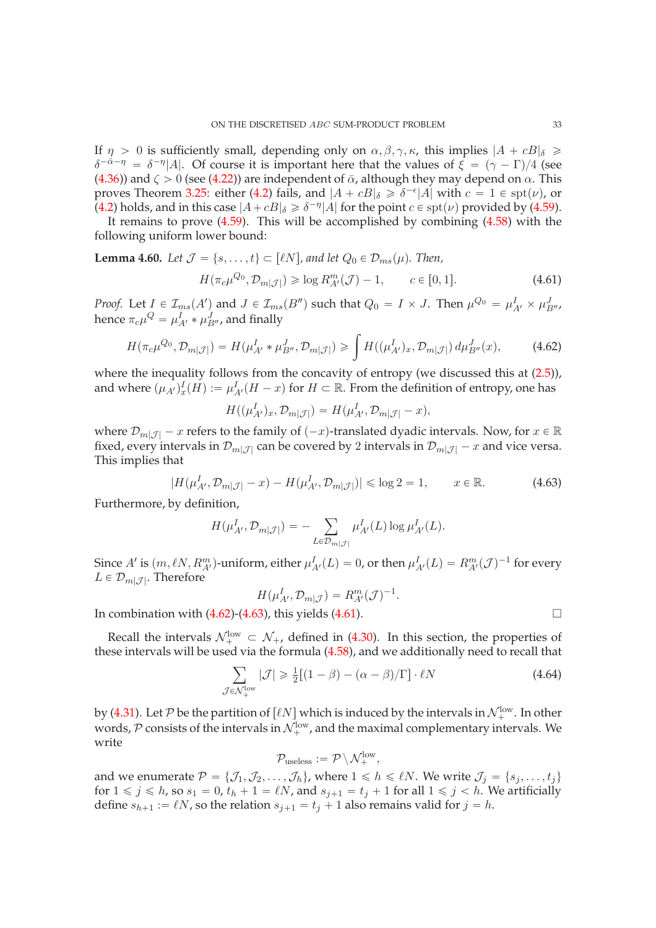If  $\eta > 0$  is sufficiently small, depending only on  $\alpha, \beta, \gamma, \kappa$ , this implies  $|A + cB|_{\delta} \ge$  $\delta^{-\bar{\alpha}-\eta} = \delta^{-\eta}|A|$ . Of course it is important here that the values of  $\xi = (\gamma - \Gamma)/4$  (see [\(4.36\)](#page-26-2)) and  $\zeta > 0$  (see [\(4.22\)](#page-23-3)) are independent of  $\bar{\alpha}$ , although they may depend on  $\alpha$ . This proves Theorem [3.25:](#page-13-1) either [\(4.2\)](#page-17-3) fails, and  $|A + cB|_{\delta} \ge \delta^{-\epsilon}|A|$  with  $c = 1 \in \text{spt}(\nu)$ , or [\(4.2\)](#page-17-3) holds, and in this case  $|A + cB|_{\delta} \ge \delta^{-\eta}|A|$  for the point  $c \in \text{spt}(\nu)$  provided by [\(4.59\)](#page-31-1).

It remains to prove [\(4.59\)](#page-31-1). This will be accomplished by combining [\(4.58\)](#page-31-2) with the following uniform lower bound:

<span id="page-32-3"></span>**Lemma 4.60.** Let 
$$
\mathcal{J} = \{s, ..., t\} \subset [\ell N]
$$
, and let  $Q_0 \in \mathcal{D}_{ms}(\mu)$ . Then,  

$$
H(\pi_c \mu^{Q_0}, \mathcal{D}_{m|\mathcal{J}|}) \geq \log R_{A'}^{m}(\mathcal{J}) - 1, \qquad c \in [0, 1].
$$
 (4.61)

*Proof.* Let  $I \in \mathcal{I}_{ms}(A')$  and  $J \in \mathcal{I}_{ms}(B'')$  such that  $Q_0 = I \times J$ . Then  $\mu^{Q_0} = \mu^I_{A'} \times \mu^J_{B''},$ hence  $\pi_c \mu^Q = \mu^I_{A'} * \mu^J_{B''}$ , and finally

<span id="page-32-2"></span><span id="page-32-0"></span>
$$
H(\pi_c \mu^{Q_0}, \mathcal{D}_{m|\mathcal{J}|}) = H(\mu^I_{A'} * \mu^J_{B''}, \mathcal{D}_{m|\mathcal{J}|}) \ge \int H((\mu^I_{A'})_x, \mathcal{D}_{m|\mathcal{J}|}) d\mu^J_{B''}(x), \tag{4.62}
$$

where the inequality follows from the concavity of entropy (we discussed this at  $(2.5)$ ), and where  $(\mu_{A'})_x^I(H) := \mu_{A'}^I(H - x)$  for  $H \subset \mathbb{R}$ . From the definition of entropy, one has

$$
H((\mu_{A'}^I)_x, \mathcal{D}_{m|\mathcal{J}|}) = H(\mu_{A'}^I, \mathcal{D}_{m|\mathcal{J}|} - x),
$$

where  $\mathcal{D}_{m}[\mathcal{J}]$  – x refers to the family of  $(-x)$ -translated dyadic intervals. Now, for  $x \in \mathbb{R}$ fixed, every intervals in  $\mathcal{D}_{m}[\mathcal{J}]$  can be covered by 2 intervals in  $\mathcal{D}_{m}[\mathcal{J}]$  – x and vice versa. This implies that

<span id="page-32-1"></span>
$$
|H(\mu_{A'}^I, \mathcal{D}_{m|\mathcal{J}|} - x) - H(\mu_{A'}^I, \mathcal{D}_{m|\mathcal{J}|})| \leq \log 2 = 1, \qquad x \in \mathbb{R}.
$$
 (4.63)

Furthermore, by definition,

$$
H(\mu^I_{A'}, \mathcal{D}_{m|\mathcal{J}|}) = -\sum_{L \in \mathcal{D}_{m|\mathcal{J}|}} \mu^I_{A'}(L) \log \mu^I_{A'}(L).
$$

Since A' is  $(m, \ell N, R_{A'}^m)$ -uniform, either  $\mu_{A'}^I(L) = 0$ , or then  $\mu_{A'}^I(L) = R_{A'}^m(\mathcal{J})^{-1}$  for every  $L \in \mathcal{D}_{m|\mathcal{J}|}$ . Therefore

$$
H(\mu^I_{A'}, \mathcal{D}_{m|\mathcal{J}}) = R_{A'}^m(\mathcal{J})^{-1}.
$$

In combination with  $(4.62)$ - $(4.63)$ , this yields  $(4.61)$ .

Recall the intervals  $\mathcal{N}_{+}^{\text{low}} \subset \mathcal{N}_{+}$ , defined in [\(4.30\)](#page-25-7). In this section, the properties of these intervals will be used via the formula [\(4.58\)](#page-31-2), and we additionally need to recall that

<span id="page-32-4"></span>
$$
\sum_{\mathcal{J}\in\mathcal{N}_{+}^{\text{low}}}|\mathcal{J}|\geqslant\frac{1}{2}\left[(1-\beta)-(\alpha-\beta)/\Gamma\right]\cdot\ell N\tag{4.64}
$$

by [\(4.31\)](#page-25-2). Let P be the partition of  $[\ell N]$  which is induced by the intervals in  $\mathcal{N}_+^{\text{low}}$ . In other words,  $\mathcal P$  consists of the intervals in  $\mathcal N^{\text{low}}_{+}$ , and the maximal complementary intervals. We write

$$
\mathcal{P}_{useless} := \mathcal{P} \setminus \mathcal{N}_{+}^{low},
$$

and we enumerate  $\mathcal{P} = \{\mathcal{J}_1,\mathcal{J}_2,\ldots,\mathcal{J}_h\}$ , where  $1 \leq k \leq \ell N$ . We write  $\mathcal{J}_j = \{s_j,\ldots,t_j\}$ for  $1 \leq j \leq h$ , so  $s_1 = 0$ ,  $t_h + 1 = \ell N$ , and  $s_{j+1} = t_j + 1$  for all  $1 \leq j < h$ . We artificially define  $s_{h+1} := \ell N$ , so the relation  $s_{j+1} = t_j + 1$  also remains valid for  $j = h$ .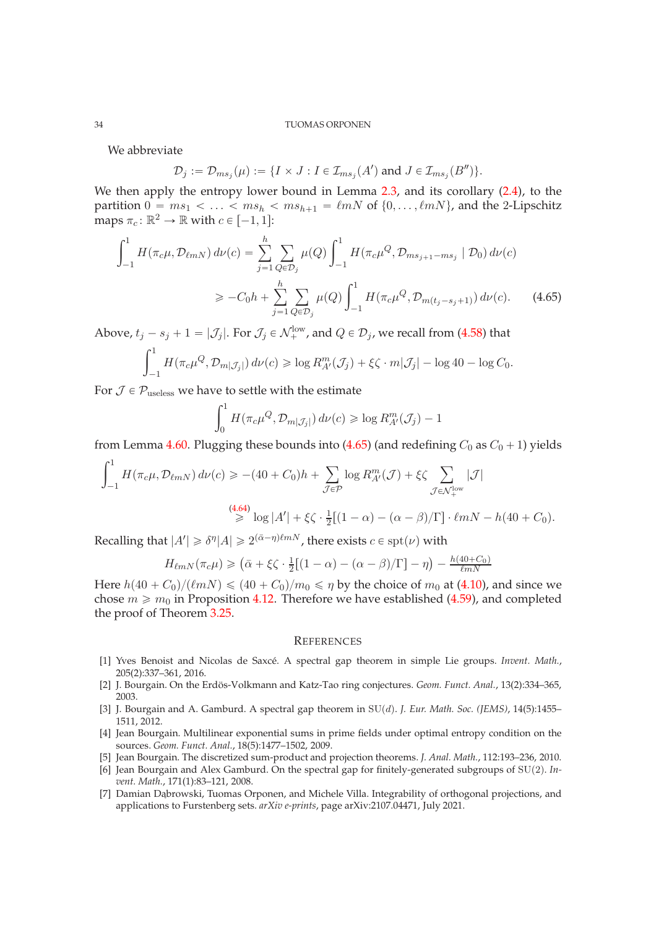We abbreviate

$$
\mathcal{D}_j := \mathcal{D}_{ms_j}(\mu) := \{ I \times J : I \in \mathcal{I}_{ms_j}(A') \text{ and } J \in \mathcal{I}_{ms_j}(B'') \}.
$$

We then apply the entropy lower bound in Lemma [2.3,](#page-6-2) and its corollary [\(2.4\)](#page-7-4), to the partition  $0 = ms_1 < \ldots < ms_h < ms_{h+1} = \ell mN$  of  $\{0, \ldots, \ell mN\}$ , and the 2-Lipschitz maps  $\pi_c: \mathbb{R}^2 \to \mathbb{R}$  with  $c \in [-1, 1]$ :

$$
\int_{-1}^{1} H(\pi_c \mu, \mathcal{D}_{\ell m N}) d\nu(c) = \sum_{j=1}^{h} \sum_{Q \in \mathcal{D}_j} \mu(Q) \int_{-1}^{1} H(\pi_c \mu^Q, \mathcal{D}_{m s_{j+1} - m s_j} \mid \mathcal{D}_0) d\nu(c)
$$
  

$$
\geq -C_0 h + \sum_{j=1}^{h} \sum_{Q \in \mathcal{D}_j} \mu(Q) \int_{-1}^{1} H(\pi_c \mu^Q, \mathcal{D}_{m(t_j - s_j + 1)}) d\nu(c). \tag{4.65}
$$

Above,  $t_j - s_j + 1 = |\mathcal{J}_j|$ . For  $\mathcal{J}_j \in \mathcal{N}_+^{\text{low}}$ , and  $Q \in \mathcal{D}_j$ , we recall from [\(4.58\)](#page-31-2) that

$$
\int_{-1}^1 H(\pi_c \mu^{Q}, \mathcal{D}_{m|\mathcal{J}_j|}) d\nu(c) \geq \log R_{A'}^{m}(\mathcal{J}_j) + \xi \zeta \cdot m|\mathcal{J}_j| - \log 40 - \log C_0.
$$

For  $\mathcal{J} \in \mathcal{P}_{\text{useless}}$  we have to settle with the estimate

<span id="page-33-8"></span>
$$
\int_0^1 H(\pi_c \mu^{Q}, \mathcal{D}_{m|\mathcal{J}_j|}) d\nu(c) \geqslant \log R_{A'}^{m}(\mathcal{J}_j) - 1
$$

from Lemma [4.60.](#page-32-3) Plugging these bounds into [\(4.65\)](#page-33-8) (and redefining  $C_0$  as  $C_0 + 1$ ) yields

$$
\int_{-1}^{1} H(\pi_c \mu, \mathcal{D}_{\ell m N}) d\nu(c) \ge -(40 + C_0)h + \sum_{\mathcal{J} \in \mathcal{P}} \log R_{A'}^m(\mathcal{J}) + \xi \zeta \sum_{\mathcal{J} \in \mathcal{N}_+^{\text{low}}} |\mathcal{J}|
$$
  
\n
$$
\stackrel{(4.64)}{\ge} \log |A'| + \xi \zeta \cdot \frac{1}{2} [(1 - \alpha) - (\alpha - \beta)/\Gamma] \cdot \ell m N - h(40 + C_0).
$$

Recalling that  $|A'| \geq \delta^{\eta} |A| \geq 2^{(\bar{\alpha}-\eta)\ell m N}$ , there exists  $c \in \text{spt}(\nu)$  with

$$
H_{\ell m N}(\pi_c \mu) \geq (\bar{\alpha} + \xi \zeta \cdot \frac{1}{2} [(1 - \alpha) - (\alpha - \beta)/\Gamma] - \eta) - \frac{h(40 + C_0)}{\ell m N}
$$

Here  $h(40 + C_0)/(\ell mN) \leq (40 + C_0)/m_0 \leq \eta$  by the choice of  $m_0$  at [\(4.10\)](#page-19-2), and since we chose  $m \ge m_0$  in Proposition [4.12.](#page-19-1) Therefore we have established [\(4.59\)](#page-31-1), and completed the proof of Theorem [3.25.](#page-13-1)

#### <span id="page-33-0"></span>**REFERENCES**

- <span id="page-33-7"></span>[1] Yves Benoist and Nicolas de Saxcé. A spectral gap theorem in simple Lie groups. *Invent. Math.*, 205(2):337–361, 2016.
- <span id="page-33-3"></span>[2] J. Bourgain. On the Erdös-Volkmann and Katz-Tao ring conjectures. *Geom. Funct. Anal.*, 13(2):334–365, 2003.
- <span id="page-33-5"></span>[3] J. Bourgain and A. Gamburd. A spectral gap theorem in SU(d). *J. Eur. Math. Soc. (JEMS)*, 14(5):1455– 1511, 2012.
- <span id="page-33-1"></span>[4] Jean Bourgain. Multilinear exponential sums in prime fields under optimal entropy condition on the sources. *Geom. Funct. Anal.*, 18(5):1477–1502, 2009.
- <span id="page-33-6"></span><span id="page-33-2"></span>[5] Jean Bourgain. The discretized sum-product and projection theorems. *J. Anal. Math.*, 112:193–236, 2010.
- [6] Jean Bourgain and Alex Gamburd. On the spectral gap for finitely-generated subgroups of SU(2). *Invent. Math.*, 171(1):83–121, 2008.
- <span id="page-33-4"></span>[7] Damian Dabrowski, Tuomas Orponen, and Michele Villa. Integrability of orthogonal projections, and applications to Furstenberg sets. *arXiv e-prints*, page arXiv:2107.04471, July 2021.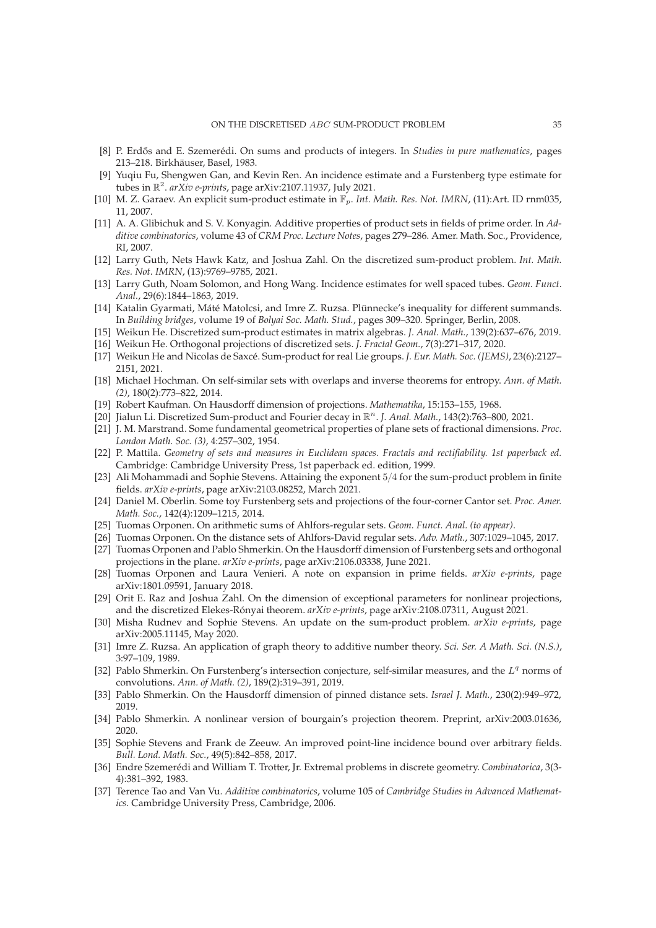- <span id="page-34-15"></span><span id="page-34-8"></span>[8] P. Erd˝os and E. Szemerédi. On sums and products of integers. In *Studies in pure mathematics*, pages 213–218. Birkhäuser, Basel, 1983.
- [9] Yuqiu Fu, Shengwen Gan, and Kevin Ren. An incidence estimate and a Furstenberg type estimate for tubes in R 2 . *arXiv e-prints*, page arXiv:2107.11937, July 2021.
- <span id="page-34-1"></span>[10] M. Z. Garaev. An explicit sum-product estimate in  $\mathbb{F}_p$ . *Int. Math. Res. Not. IMRN*, (11):Art. ID rnm035, 11, 2007.
- <span id="page-34-2"></span>[11] A. A. Glibichuk and S. V. Konyagin. Additive properties of product sets in fields of prime order. In *Additive combinatorics*, volume 43 of *CRM Proc. Lecture Notes*, pages 279–286. Amer. Math. Soc., Providence, RI, 2007.
- <span id="page-34-5"></span>[12] Larry Guth, Nets Hawk Katz, and Joshua Zahl. On the discretized sum-product problem. *Int. Math. Res. Not. IMRN*, (13):9769–9785, 2021.
- <span id="page-34-16"></span>[13] Larry Guth, Noam Solomon, and Hong Wang. Incidence estimates for well spaced tubes. *Geom. Funct. Anal.*, 29(6):1844–1863, 2019.
- <span id="page-34-23"></span>[14] Katalin Gyarmati, Máté Matolcsi, and Imre Z. Ruzsa. Plünnecke's inequality for different summands. In *Building bridges*, volume 19 of *Bolyai Soc. Math. Stud.*, pages 309–320. Springer, Berlin, 2008.
- <span id="page-34-12"></span><span id="page-34-11"></span>[15] Weikun He. Discretized sum-product estimates in matrix algebras. *J. Anal. Math.*, 139(2):637–676, 2019.
- <span id="page-34-13"></span>[16] Weikun He. Orthogonal projections of discretized sets. *J. Fractal Geom.*, 7(3):271–317, 2020.
- [17] Weikun He and Nicolas de Saxcé. Sum-product for real Lie groups. *J. Eur. Math. Soc. (JEMS)*, 23(6):2127– 2151, 2021.
- <span id="page-34-25"></span>[18] Michael Hochman. On self-similar sets with overlaps and inverse theorems for entropy. *Ann. of Math. (2)*, 180(2):773–822, 2014.
- <span id="page-34-14"></span><span id="page-34-6"></span>[19] Robert Kaufman. On Hausdorff dimension of projections. *Mathematika*, 15:153–155, 1968.
- [20] Jialun Li. Discretized Sum-product and Fourier decay in  $\mathbb{R}^n$ . J. Anal. Math., 143(2):763–800, 2021.
- [21] J. M. Marstrand. Some fundamental geometrical properties of plane sets of fractional dimensions. *Proc. London Math. Soc. (3)*, 4:257–302, 1954.
- [22] P. Mattila. *Geometry of sets and measures in Euclidean spaces. Fractals and rectifiability. 1st paperback ed.* Cambridge: Cambridge University Press, 1st paperback ed. edition, 1999.
- <span id="page-34-10"></span>[23] Ali Mohammadi and Sophie Stevens. Attaining the exponent  $5/4$  for the sum-product problem in finite fields. *arXiv e-prints*, page arXiv:2103.08252, March 2021.
- [24] Daniel M. Oberlin. Some toy Furstenberg sets and projections of the four-corner Cantor set. *Proc. Amer. Math. Soc.*, 142(4):1209–1215, 2014.
- <span id="page-34-21"></span><span id="page-34-19"></span>[25] Tuomas Orponen. On arithmetic sums of Ahlfors-regular sets. *Geom. Funct. Anal. (to appear)*.
- <span id="page-34-7"></span>[26] Tuomas Orponen. On the distance sets of Ahlfors-David regular sets. *Adv. Math.*, 307:1029–1045, 2017.
- [27] Tuomas Orponen and Pablo Shmerkin. On the Hausdorff dimension of Furstenberg sets and orthogonal projections in the plane. *arXiv e-prints*, page arXiv:2106.03338, June 2021.
- <span id="page-34-3"></span>[28] Tuomas Orponen and Laura Venieri. A note on expansion in prime fields. *arXiv e-prints*, page arXiv:1801.09591, January 2018.
- <span id="page-34-18"></span>[29] Orit E. Raz and Joshua Zahl. On the dimension of exceptional parameters for nonlinear projections, and the discretized Elekes-Rónyai theorem. *arXiv e-prints*, page arXiv:2108.07311, August 2021.
- <span id="page-34-9"></span>[30] Misha Rudnev and Sophie Stevens. An update on the sum-product problem. *arXiv e-prints*, page arXiv:2005.11145, May 2020.
- <span id="page-34-22"></span>[31] Imre Z. Ruzsa. An application of graph theory to additive number theory. *Sci. Ser. A Math. Sci. (N.S.)*, 3:97–109, 1989.
- <span id="page-34-20"></span>[32] Pablo Shmerkin. On Furstenberg's intersection conjecture, self-similar measures, and the  $L<sup>q</sup>$  norms of convolutions. *Ann. of Math. (2)*, 189(2):319–391, 2019.
- <span id="page-34-26"></span>[33] Pablo Shmerkin. On the Hausdorff dimension of pinned distance sets. *Israel J. Math.*, 230(2):949–972, 2019.
- <span id="page-34-17"></span>[34] Pablo Shmerkin. A nonlinear version of bourgain's projection theorem. Preprint, arXiv:2003.01636, 2020.
- <span id="page-34-4"></span>[35] Sophie Stevens and Frank de Zeeuw. An improved point-line incidence bound over arbitrary fields. *Bull. Lond. Math. Soc.*, 49(5):842–858, 2017.
- <span id="page-34-0"></span>[36] Endre Szemerédi and William T. Trotter, Jr. Extremal problems in discrete geometry. *Combinatorica*, 3(3- 4):381–392, 1983.
- <span id="page-34-24"></span>[37] Terence Tao and Van Vu. *Additive combinatorics*, volume 105 of *Cambridge Studies in Advanced Mathematics*. Cambridge University Press, Cambridge, 2006.